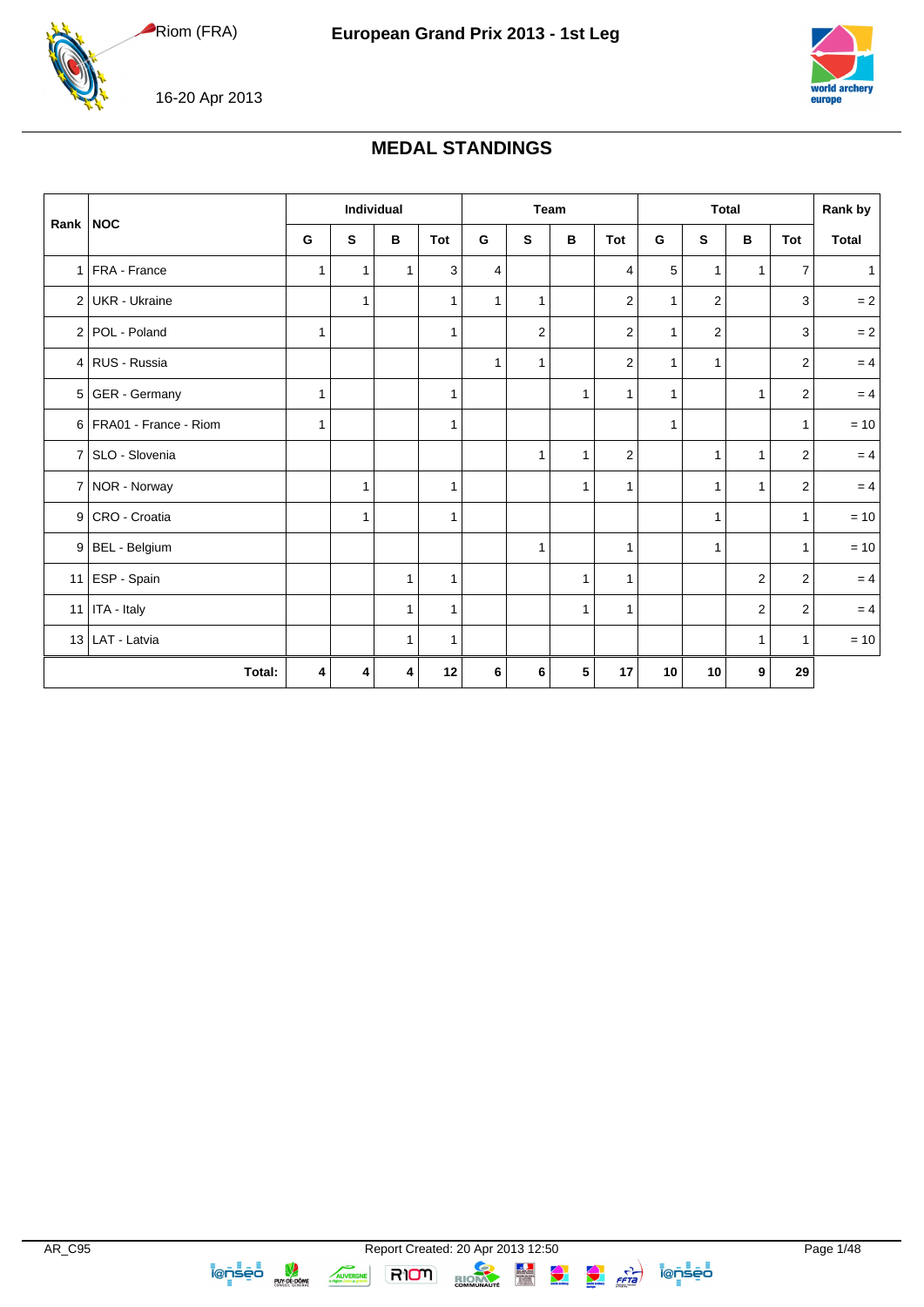



16-20 Apr 2013

# **MEDAL STANDINGS**

|          |                         |   | <b>Individual</b> |              |              |                |                | Team         |                |              |                | <b>Total</b>   |                         | Rank by      |
|----------|-------------------------|---|-------------------|--------------|--------------|----------------|----------------|--------------|----------------|--------------|----------------|----------------|-------------------------|--------------|
| Rank NOC |                         | G | S                 | в            | Tot          | G              | S              | в            | Tot            | G            | S              | в              | <b>Tot</b>              | Total        |
|          | 1 FRA - France          | 1 | $\mathbf{1}$      | $\mathbf{1}$ | 3            | $\overline{4}$ |                |              | $\overline{4}$ | 5            | $\mathbf{1}$   | $\mathbf{1}$   | $\overline{7}$          | $\mathbf{1}$ |
|          | 2 UKR - Ukraine         |   | $\mathbf{1}$      |              | $\mathbf{1}$ | $\mathbf{1}$   | 1              |              | $\overline{2}$ | $\mathbf{1}$ | 2              |                | 3                       | $= 2$        |
|          | 2 POL - Poland          | 1 |                   |              | 1            |                | $\overline{2}$ |              | 2              | $\mathbf{1}$ | $\overline{2}$ |                | 3                       | $=2$         |
|          | 4 RUS - Russia          |   |                   |              |              | $\mathbf{1}$   | $\mathbf{1}$   |              | $\overline{2}$ | $\mathbf{1}$ | $\mathbf{1}$   |                | $\overline{2}$          | $= 4$        |
|          | 5 GER - Germany         | 1 |                   |              | 1            |                |                | $\mathbf{1}$ | $\mathbf{1}$   | $\mathbf{1}$ |                | $\mathbf{1}$   | 2                       | $= 4$        |
|          | 6 FRA01 - France - Riom | 1 |                   |              | 1            |                |                |              |                | $\mathbf{1}$ |                |                | 1                       | $= 10$       |
|          | 7 SLO - Slovenia        |   |                   |              |              |                | $\mathbf{1}$   | $\mathbf{1}$ | 2              |              | $\mathbf{1}$   | $\mathbf{1}$   | $\overline{2}$          | $= 4$        |
|          | 7 NOR - Norway          |   | 1                 |              | 1            |                |                | 1            | $\mathbf{1}$   |              | 1              | $\mathbf{1}$   | $\overline{2}$          | $= 4$        |
|          | 9 CRO - Croatia         |   | $\mathbf{1}$      |              | 1            |                |                |              |                |              | 1              |                | $\mathbf{1}$            | $= 10$       |
|          | 9 BEL - Belgium         |   |                   |              |              |                | 1              |              | $\mathbf{1}$   |              | $\mathbf{1}$   |                | $\mathbf{1}$            | $= 10$       |
|          | 11 ESP - Spain          |   |                   | 1            | 1            |                |                | $\mathbf{1}$ | $\mathbf{1}$   |              |                | $\overline{2}$ | $\mathbf{2}$            | $= 4$        |
|          | 11 $ITA - Italy$        |   |                   | $\mathbf{1}$ | 1            |                |                | $\mathbf{1}$ | $\mathbf{1}$   |              |                | $\mathbf{2}$   | $\overline{\mathbf{c}}$ | $= 4$        |
|          | 13   LAT - Latvia       |   |                   | 1            | 1            |                |                |              |                |              |                | $\mathbf{1}$   | $\mathbf{1}$            | $= 10$       |
|          | Total:                  |   | 4                 | 4            | 12           | 6              | 6              | 5            | 17             | 10           | 10             | 9              | 29                      |              |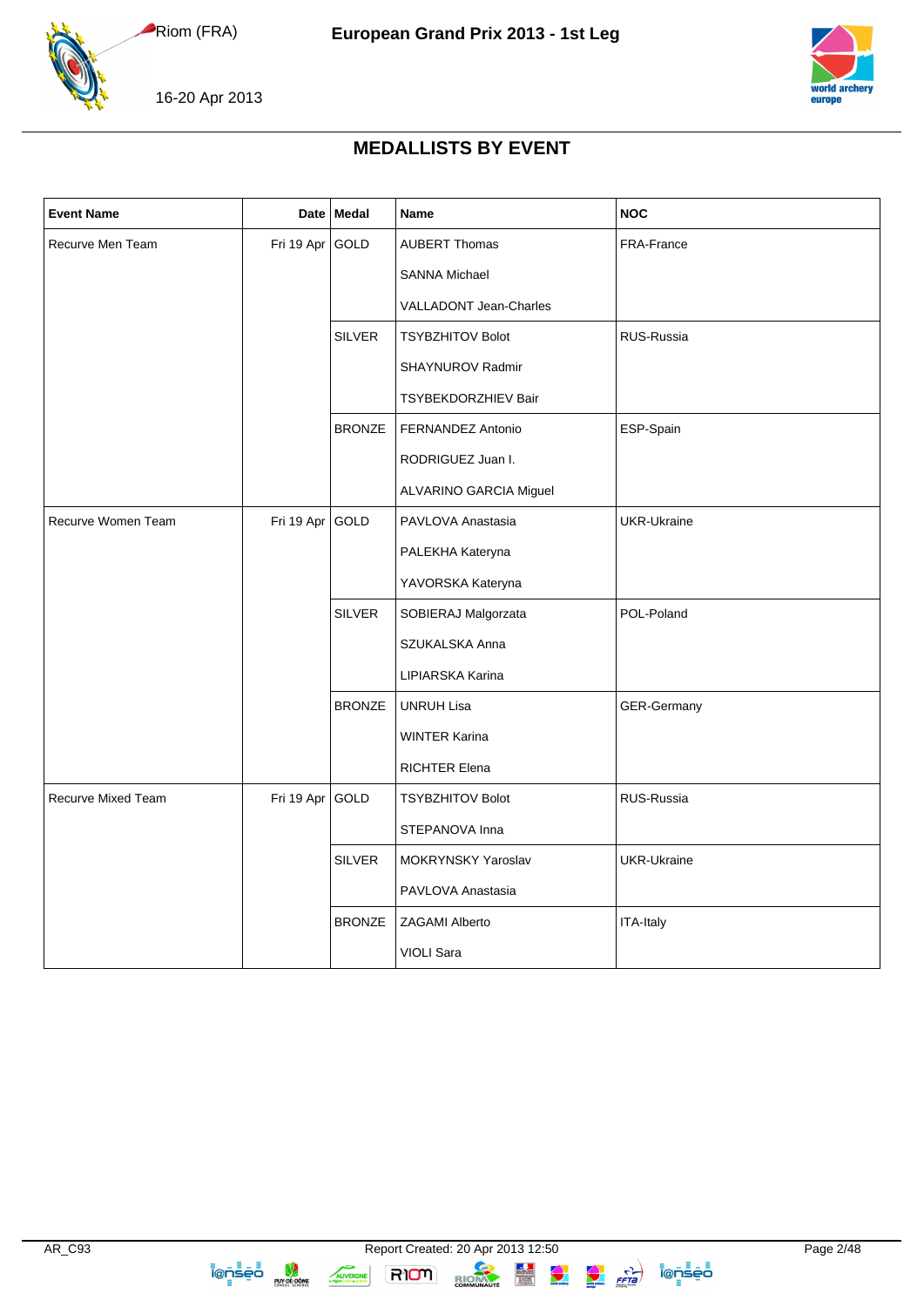

16-20 Apr 2013



## **MEDALLISTS BY EVENT**

| <b>Event Name</b>         |                 | Date Medal    | Name                          | <b>NOC</b>         |
|---------------------------|-----------------|---------------|-------------------------------|--------------------|
| Recurve Men Team          | Fri 19 Apr      | GOLD          | <b>AUBERT Thomas</b>          | FRA-France         |
|                           |                 |               | <b>SANNA Michael</b>          |                    |
|                           |                 |               | <b>VALLADONT Jean-Charles</b> |                    |
|                           |                 | <b>SILVER</b> | <b>TSYBZHITOV Bolot</b>       | RUS-Russia         |
|                           |                 |               | SHAYNUROV Radmir              |                    |
|                           |                 |               | <b>TSYBEKDORZHIEV Bair</b>    |                    |
|                           |                 | <b>BRONZE</b> | FERNANDEZ Antonio             | ESP-Spain          |
|                           |                 |               | RODRIGUEZ Juan I.             |                    |
|                           |                 |               | ALVARINO GARCIA Miguel        |                    |
| Recurve Women Team        | Fri 19 Apr GOLD |               | PAVLOVA Anastasia             | <b>UKR-Ukraine</b> |
|                           |                 |               | PALEKHA Kateryna              |                    |
|                           |                 |               | YAVORSKA Kateryna             |                    |
|                           |                 | <b>SILVER</b> | SOBIERAJ Malgorzata           | POL-Poland         |
|                           |                 |               | SZUKALSKA Anna                |                    |
|                           |                 |               | LIPIARSKA Karina              |                    |
|                           |                 | <b>BRONZE</b> | <b>UNRUH Lisa</b>             | GER-Germany        |
|                           |                 |               | <b>WINTER Karina</b>          |                    |
|                           |                 |               | RICHTER Elena                 |                    |
| <b>Recurve Mixed Team</b> | Fri 19 Apr GOLD |               | <b>TSYBZHITOV Bolot</b>       | RUS-Russia         |
|                           |                 |               | STEPANOVA Inna                |                    |
|                           |                 | <b>SILVER</b> | MOKRYNSKY Yaroslav            | UKR-Ukraine        |
|                           |                 |               | PAVLOVA Anastasia             |                    |
|                           |                 | <b>BRONZE</b> | ZAGAMI Alberto                | ITA-Italy          |
|                           |                 |               | VIOLI Sara                    |                    |

**ionsed W**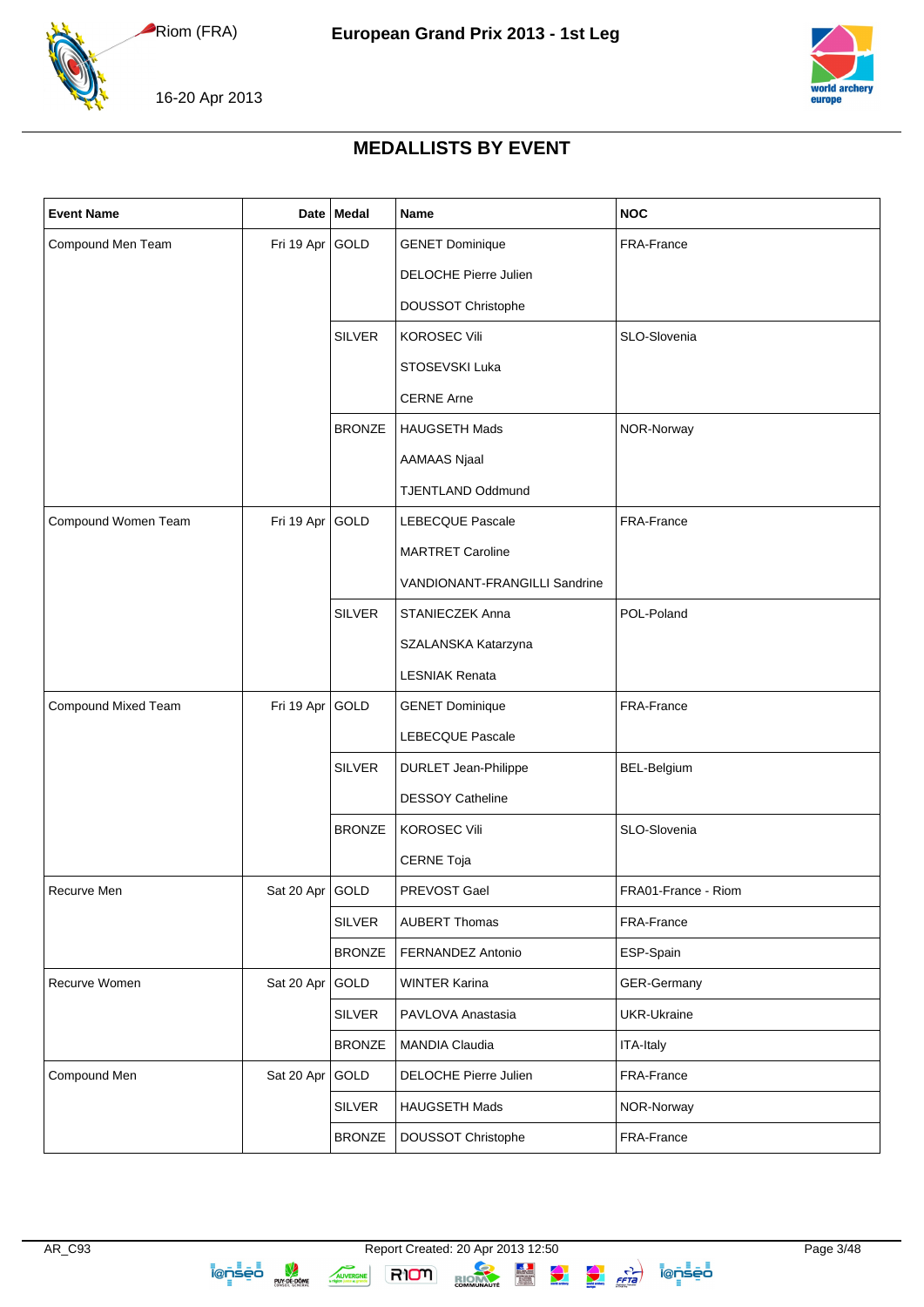

16-20 Apr 2013



## **MEDALLISTS BY EVENT**

| <b>Event Name</b>   |                   | Date Medal    | <b>Name</b>                   | <b>NOC</b>          |
|---------------------|-------------------|---------------|-------------------------------|---------------------|
| Compound Men Team   | Fri 19 Apr GOLD   |               | <b>GENET Dominique</b>        | FRA-France          |
|                     |                   |               | <b>DELOCHE Pierre Julien</b>  |                     |
|                     |                   |               | DOUSSOT Christophe            |                     |
|                     |                   | <b>SILVER</b> | <b>KOROSEC Vili</b>           | SLO-Slovenia        |
|                     |                   |               | STOSEVSKI Luka                |                     |
|                     |                   |               | <b>CERNE Arne</b>             |                     |
|                     |                   | <b>BRONZE</b> | <b>HAUGSETH Mads</b>          | NOR-Norway          |
|                     |                   |               | <b>AAMAAS Njaal</b>           |                     |
|                     |                   |               | TJENTLAND Oddmund             |                     |
| Compound Women Team | Fri 19 Apr GOLD   |               | LEBECQUE Pascale              | FRA-France          |
|                     |                   |               | <b>MARTRET Caroline</b>       |                     |
|                     |                   |               | VANDIONANT-FRANGILLI Sandrine |                     |
|                     |                   | <b>SILVER</b> | STANIECZEK Anna               | POL-Poland          |
|                     |                   |               | SZALANSKA Katarzyna           |                     |
|                     |                   |               | <b>LESNIAK Renata</b>         |                     |
| Compound Mixed Team | Fri 19 Apr GOLD   |               | <b>GENET Dominique</b>        | FRA-France          |
|                     |                   |               | LEBECQUE Pascale              |                     |
|                     |                   | <b>SILVER</b> | <b>DURLET Jean-Philippe</b>   | BEL-Belgium         |
|                     |                   |               | <b>DESSOY Catheline</b>       |                     |
|                     |                   | <b>BRONZE</b> | <b>KOROSEC Vili</b>           | SLO-Slovenia        |
|                     |                   |               | <b>CERNE Toja</b>             |                     |
| Recurve Men         | Sat 20 Apr   GOLD |               | PREVOST Gael                  | FRA01-France - Riom |
|                     |                   | <b>SILVER</b> | <b>AUBERT Thomas</b>          | FRA-France          |
|                     |                   | <b>BRONZE</b> | FERNANDEZ Antonio             | ESP-Spain           |
| Recurve Women       | Sat 20 Apr        | GOLD          | <b>WINTER Karina</b>          | GER-Germany         |
|                     |                   | <b>SILVER</b> | PAVLOVA Anastasia             | UKR-Ukraine         |
|                     |                   | <b>BRONZE</b> | MANDIA Claudia                | <b>ITA-Italy</b>    |
| Compound Men        | Sat 20 Apr        | GOLD          | DELOCHE Pierre Julien         | FRA-France          |
|                     |                   | <b>SILVER</b> | HAUGSETH Mads                 | NOR-Norway          |
|                     |                   | <b>BRONZE</b> | DOUSSOT Christophe            | FRA-France          |

**RIGHTANTE** 

RIOM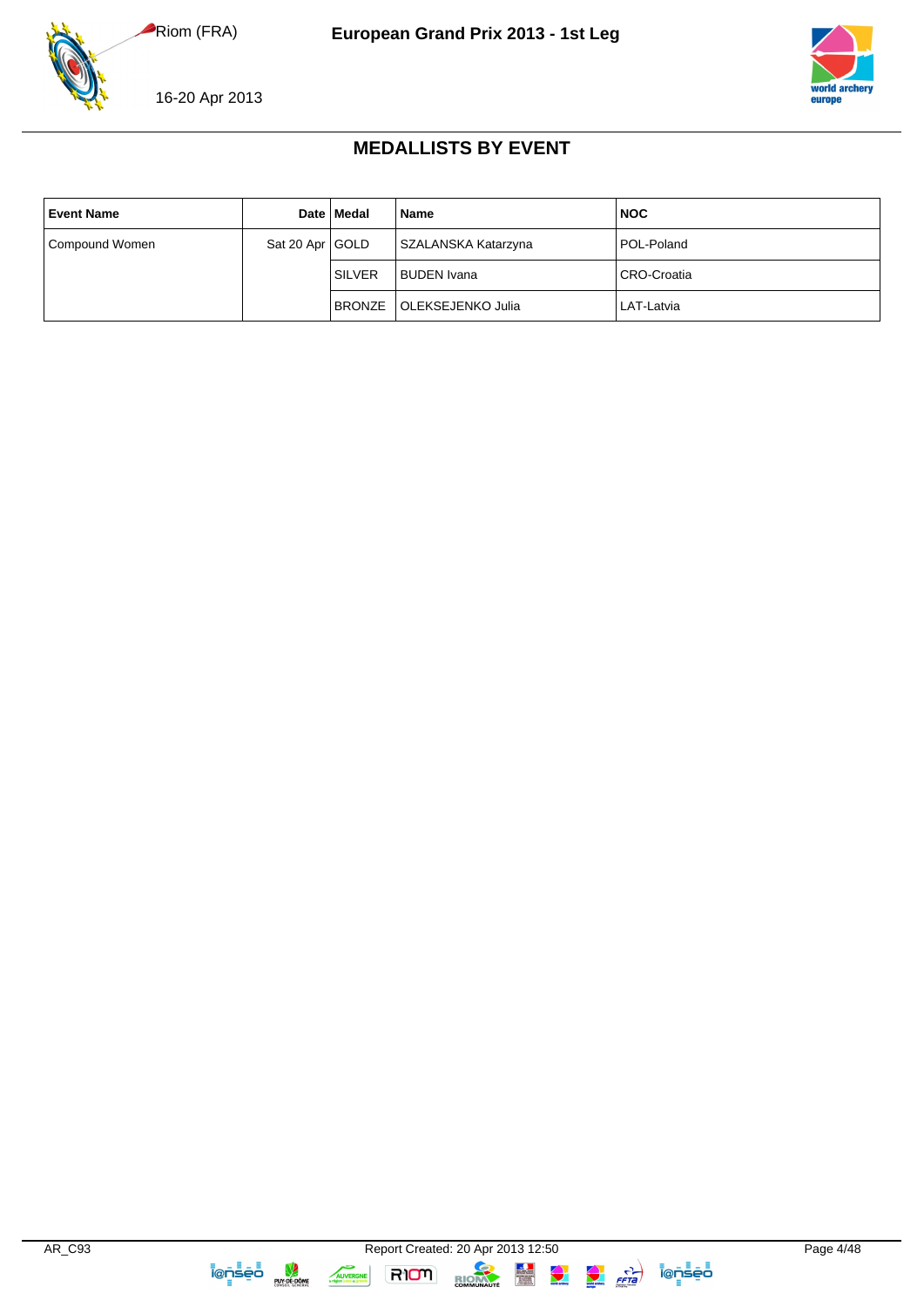

16-20 Apr 2013



## **MEDALLISTS BY EVENT**

| <b>Event Name</b> |                 | Date   Medal  | Name                | <b>NOC</b>    |
|-------------------|-----------------|---------------|---------------------|---------------|
| Compound Women    | Sat 20 Apr GOLD |               | SZALANSKA Katarzyna | POL-Poland    |
|                   |                 | <b>SILVER</b> | BUDEN Ivana         | l CRO-Croatia |
|                   |                 | l BRONZE      | OLEKSEJENKO Julia   | LAT-Latvia    |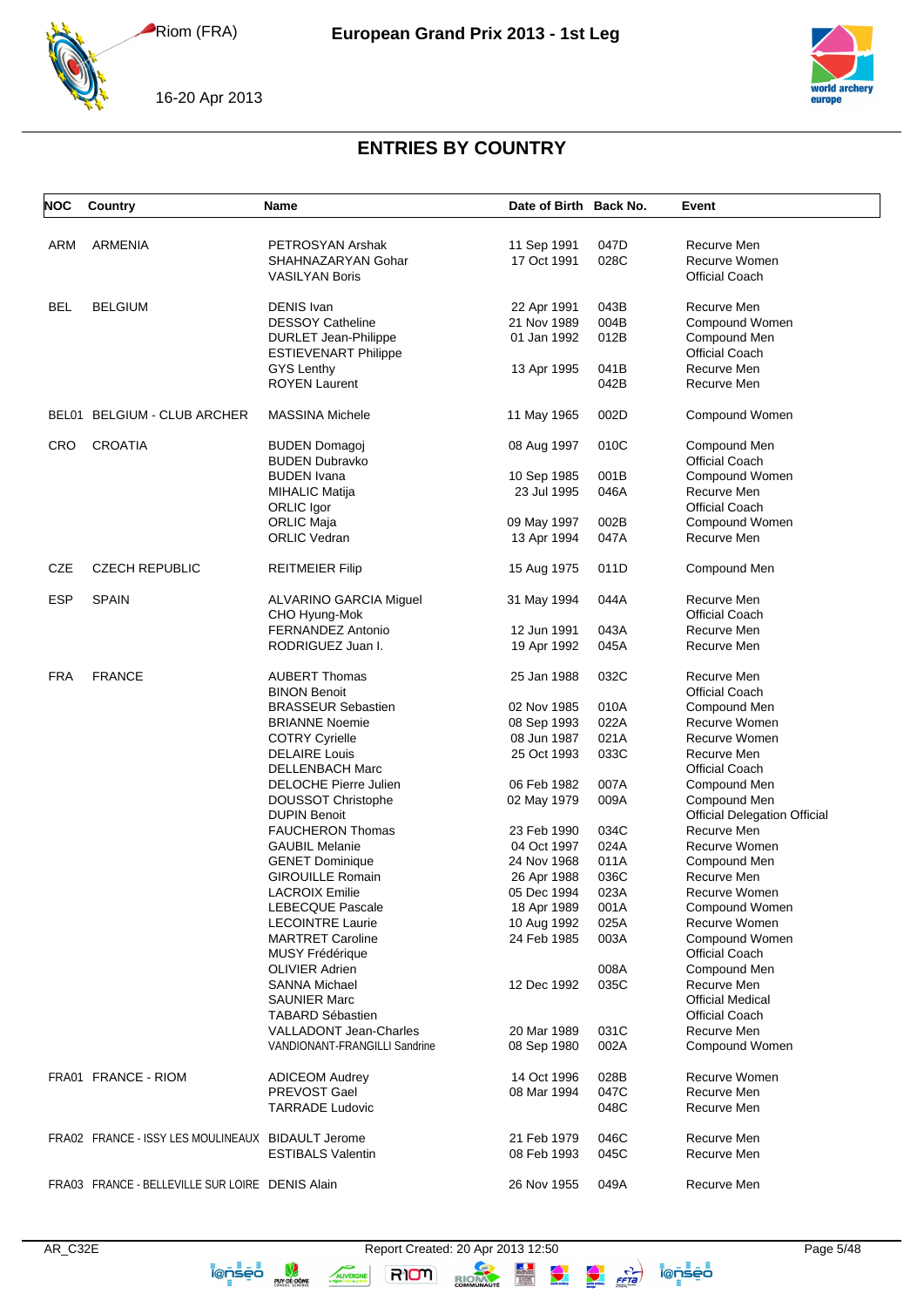

europe

16-20 Apr 2013

# **ENTRIES BY COUNTRY**

| ARM<br><b>ARMENIA</b><br>PETROSYAN Arshak<br>047D<br>Recurve Men<br>11 Sep 1991<br>028C<br>17 Oct 1991<br>Recurve Women<br>SHAHNAZARYAN Gohar<br><b>VASILYAN Boris</b><br><b>Official Coach</b><br>BEL<br><b>BELGIUM</b><br><b>DENIS Ivan</b><br>043B<br>Recurve Men<br>22 Apr 1991<br><b>DESSOY Catheline</b><br>21 Nov 1989<br>004B<br>Compound Women<br><b>DURLET Jean-Philippe</b><br>01 Jan 1992<br>012B<br>Compound Men<br><b>Official Coach</b><br><b>ESTIEVENART Philippe</b><br><b>GYS Lenthy</b><br>041B<br>Recurve Men<br>13 Apr 1995<br><b>ROYEN Laurent</b><br>042B<br>Recurve Men<br>BEL01 BELGIUM - CLUB ARCHER<br>002D<br>Compound Women<br><b>MASSINA Michele</b><br>11 May 1965<br><b>CRO</b><br><b>CROATIA</b><br>010C<br><b>BUDEN Domagoj</b><br>08 Aug 1997<br>Compound Men<br><b>Official Coach</b><br><b>BUDEN Dubravko</b><br><b>BUDEN Ivana</b><br>001B<br>Compound Women<br>10 Sep 1985<br>046A<br>Recurve Men<br>23 Jul 1995<br><b>MIHALIC Matija</b><br><b>Official Coach</b><br>ORLIC Igor<br><b>ORLIC Maja</b><br>002B<br>Compound Women<br>09 May 1997<br><b>ORLIC Vedran</b><br>047A<br>13 Apr 1994<br>Recurve Men<br><b>CZE</b><br><b>CZECH REPUBLIC</b><br>011D<br>Compound Men<br><b>REITMEIER Filip</b><br>15 Aug 1975<br><b>ESP</b><br><b>SPAIN</b><br>ALVARINO GARCIA Miguel<br>31 May 1994<br>044A<br>Recurve Men<br><b>Official Coach</b><br>CHO Hyung-Mok<br>FERNANDEZ Antonio<br>12 Jun 1991<br>043A<br>Recurve Men<br>RODRIGUEZ Juan I.<br>045A<br>Recurve Men<br>19 Apr 1992<br><b>FRANCE</b><br><b>FRA</b><br><b>AUBERT Thomas</b><br>25 Jan 1988<br>032C<br>Recurve Men<br><b>BINON Benoit</b><br><b>Official Coach</b><br><b>BRASSEUR Sebastien</b><br>010A<br>Compound Men<br>02 Nov 1985<br>022A<br><b>BRIANNE Noemie</b><br>Recurve Women<br>08 Sep 1993<br>021A<br>08 Jun 1987<br>Recurve Women<br><b>COTRY Cyrielle</b><br>033C<br><b>DELAIRE Louis</b><br>Recurve Men<br>25 Oct 1993<br><b>DELLENBACH Marc</b><br><b>Official Coach</b><br>DELOCHE Pierre Julien<br>007A<br>Compound Men<br>06 Feb 1982<br>DOUSSOT Christophe<br>02 May 1979<br>009A<br>Compound Men<br><b>DUPIN Benoit</b><br><b>Official Delegation Official</b><br><b>FAUCHERON Thomas</b><br>034C<br>Recurve Men<br>23 Feb 1990<br><b>GAUBIL Melanie</b><br>024A<br>Recurve Women<br>04 Oct 1997<br>011A<br>Compound Men<br><b>GENET Dominique</b><br>24 Nov 1968<br><b>GIROUILLE Romain</b><br>036C<br>26 Apr 1988<br>Recurve Men<br><b>LACROIX Emilie</b><br>023A<br>Recurve Women<br>05 Dec 1994<br>LEBECQUE Pascale<br>001A<br>18 Apr 1989<br>Compound Women<br><b>LECOINTRE Laurie</b><br>10 Aug 1992<br>025A<br>Recurve Women<br>24 Feb 1985<br>003A<br>Compound Women<br><b>MARTRET Caroline</b><br>MUSY Frédérique<br><b>Official Coach</b><br><b>OLIVIER Adrien</b><br>008A<br>Compound Men<br>035C<br><b>SANNA Michael</b><br>Recurve Men<br>12 Dec 1992<br><b>SAUNIER Marc</b><br><b>Official Medical</b><br><b>TABARD Sébastien</b><br><b>Official Coach</b><br><b>VALLADONT Jean-Charles</b><br>031C<br>Recurve Men<br>20 Mar 1989<br><b>VANDIONANT-FRANGILLI Sandrine</b><br>08 Sep 1980<br>002A<br>Compound Women<br>FRA01 FRANCE - RIOM<br>028B<br>Recurve Women<br><b>ADICEOM Audrey</b><br>14 Oct 1996<br>Recurve Men<br><b>PREVOST Gael</b><br>08 Mar 1994<br>047C<br><b>TARRADE Ludovic</b><br>048C<br>Recurve Men<br>FRA02 FRANCE - ISSY LES MOULINEAUX BIDAULT Jerome<br>046C<br>Recurve Men<br>21 Feb 1979<br><b>ESTIBALS Valentin</b><br>08 Feb 1993<br>045C<br>Recurve Men<br>FRA03 FRANCE - BELLEVILLE SUR LOIRE DENIS Alain<br>Recurve Men<br>26 Nov 1955<br>049A | <b>NOC</b> | Country | Name | Date of Birth Back No. | Event |
|-----------------------------------------------------------------------------------------------------------------------------------------------------------------------------------------------------------------------------------------------------------------------------------------------------------------------------------------------------------------------------------------------------------------------------------------------------------------------------------------------------------------------------------------------------------------------------------------------------------------------------------------------------------------------------------------------------------------------------------------------------------------------------------------------------------------------------------------------------------------------------------------------------------------------------------------------------------------------------------------------------------------------------------------------------------------------------------------------------------------------------------------------------------------------------------------------------------------------------------------------------------------------------------------------------------------------------------------------------------------------------------------------------------------------------------------------------------------------------------------------------------------------------------------------------------------------------------------------------------------------------------------------------------------------------------------------------------------------------------------------------------------------------------------------------------------------------------------------------------------------------------------------------------------------------------------------------------------------------------------------------------------------------------------------------------------------------------------------------------------------------------------------------------------------------------------------------------------------------------------------------------------------------------------------------------------------------------------------------------------------------------------------------------------------------------------------------------------------------------------------------------------------------------------------------------------------------------------------------------------------------------------------------------------------------------------------------------------------------------------------------------------------------------------------------------------------------------------------------------------------------------------------------------------------------------------------------------------------------------------------------------------------------------------------------------------------------------------------------------------------------------------------------------------------------------------------------------------------------------------------------------------------------------------------------------------------------------------------------------------------------------------------------------------------------------------------------------------------------------------------------------------------------------------------------------------------------------------------------------------------|------------|---------|------|------------------------|-------|
|                                                                                                                                                                                                                                                                                                                                                                                                                                                                                                                                                                                                                                                                                                                                                                                                                                                                                                                                                                                                                                                                                                                                                                                                                                                                                                                                                                                                                                                                                                                                                                                                                                                                                                                                                                                                                                                                                                                                                                                                                                                                                                                                                                                                                                                                                                                                                                                                                                                                                                                                                                                                                                                                                                                                                                                                                                                                                                                                                                                                                                                                                                                                                                                                                                                                                                                                                                                                                                                                                                                                                                                                                       |            |         |      |                        |       |
|                                                                                                                                                                                                                                                                                                                                                                                                                                                                                                                                                                                                                                                                                                                                                                                                                                                                                                                                                                                                                                                                                                                                                                                                                                                                                                                                                                                                                                                                                                                                                                                                                                                                                                                                                                                                                                                                                                                                                                                                                                                                                                                                                                                                                                                                                                                                                                                                                                                                                                                                                                                                                                                                                                                                                                                                                                                                                                                                                                                                                                                                                                                                                                                                                                                                                                                                                                                                                                                                                                                                                                                                                       |            |         |      |                        |       |
|                                                                                                                                                                                                                                                                                                                                                                                                                                                                                                                                                                                                                                                                                                                                                                                                                                                                                                                                                                                                                                                                                                                                                                                                                                                                                                                                                                                                                                                                                                                                                                                                                                                                                                                                                                                                                                                                                                                                                                                                                                                                                                                                                                                                                                                                                                                                                                                                                                                                                                                                                                                                                                                                                                                                                                                                                                                                                                                                                                                                                                                                                                                                                                                                                                                                                                                                                                                                                                                                                                                                                                                                                       |            |         |      |                        |       |
|                                                                                                                                                                                                                                                                                                                                                                                                                                                                                                                                                                                                                                                                                                                                                                                                                                                                                                                                                                                                                                                                                                                                                                                                                                                                                                                                                                                                                                                                                                                                                                                                                                                                                                                                                                                                                                                                                                                                                                                                                                                                                                                                                                                                                                                                                                                                                                                                                                                                                                                                                                                                                                                                                                                                                                                                                                                                                                                                                                                                                                                                                                                                                                                                                                                                                                                                                                                                                                                                                                                                                                                                                       |            |         |      |                        |       |
|                                                                                                                                                                                                                                                                                                                                                                                                                                                                                                                                                                                                                                                                                                                                                                                                                                                                                                                                                                                                                                                                                                                                                                                                                                                                                                                                                                                                                                                                                                                                                                                                                                                                                                                                                                                                                                                                                                                                                                                                                                                                                                                                                                                                                                                                                                                                                                                                                                                                                                                                                                                                                                                                                                                                                                                                                                                                                                                                                                                                                                                                                                                                                                                                                                                                                                                                                                                                                                                                                                                                                                                                                       |            |         |      |                        |       |
|                                                                                                                                                                                                                                                                                                                                                                                                                                                                                                                                                                                                                                                                                                                                                                                                                                                                                                                                                                                                                                                                                                                                                                                                                                                                                                                                                                                                                                                                                                                                                                                                                                                                                                                                                                                                                                                                                                                                                                                                                                                                                                                                                                                                                                                                                                                                                                                                                                                                                                                                                                                                                                                                                                                                                                                                                                                                                                                                                                                                                                                                                                                                                                                                                                                                                                                                                                                                                                                                                                                                                                                                                       |            |         |      |                        |       |
|                                                                                                                                                                                                                                                                                                                                                                                                                                                                                                                                                                                                                                                                                                                                                                                                                                                                                                                                                                                                                                                                                                                                                                                                                                                                                                                                                                                                                                                                                                                                                                                                                                                                                                                                                                                                                                                                                                                                                                                                                                                                                                                                                                                                                                                                                                                                                                                                                                                                                                                                                                                                                                                                                                                                                                                                                                                                                                                                                                                                                                                                                                                                                                                                                                                                                                                                                                                                                                                                                                                                                                                                                       |            |         |      |                        |       |
|                                                                                                                                                                                                                                                                                                                                                                                                                                                                                                                                                                                                                                                                                                                                                                                                                                                                                                                                                                                                                                                                                                                                                                                                                                                                                                                                                                                                                                                                                                                                                                                                                                                                                                                                                                                                                                                                                                                                                                                                                                                                                                                                                                                                                                                                                                                                                                                                                                                                                                                                                                                                                                                                                                                                                                                                                                                                                                                                                                                                                                                                                                                                                                                                                                                                                                                                                                                                                                                                                                                                                                                                                       |            |         |      |                        |       |
|                                                                                                                                                                                                                                                                                                                                                                                                                                                                                                                                                                                                                                                                                                                                                                                                                                                                                                                                                                                                                                                                                                                                                                                                                                                                                                                                                                                                                                                                                                                                                                                                                                                                                                                                                                                                                                                                                                                                                                                                                                                                                                                                                                                                                                                                                                                                                                                                                                                                                                                                                                                                                                                                                                                                                                                                                                                                                                                                                                                                                                                                                                                                                                                                                                                                                                                                                                                                                                                                                                                                                                                                                       |            |         |      |                        |       |
|                                                                                                                                                                                                                                                                                                                                                                                                                                                                                                                                                                                                                                                                                                                                                                                                                                                                                                                                                                                                                                                                                                                                                                                                                                                                                                                                                                                                                                                                                                                                                                                                                                                                                                                                                                                                                                                                                                                                                                                                                                                                                                                                                                                                                                                                                                                                                                                                                                                                                                                                                                                                                                                                                                                                                                                                                                                                                                                                                                                                                                                                                                                                                                                                                                                                                                                                                                                                                                                                                                                                                                                                                       |            |         |      |                        |       |
|                                                                                                                                                                                                                                                                                                                                                                                                                                                                                                                                                                                                                                                                                                                                                                                                                                                                                                                                                                                                                                                                                                                                                                                                                                                                                                                                                                                                                                                                                                                                                                                                                                                                                                                                                                                                                                                                                                                                                                                                                                                                                                                                                                                                                                                                                                                                                                                                                                                                                                                                                                                                                                                                                                                                                                                                                                                                                                                                                                                                                                                                                                                                                                                                                                                                                                                                                                                                                                                                                                                                                                                                                       |            |         |      |                        |       |
|                                                                                                                                                                                                                                                                                                                                                                                                                                                                                                                                                                                                                                                                                                                                                                                                                                                                                                                                                                                                                                                                                                                                                                                                                                                                                                                                                                                                                                                                                                                                                                                                                                                                                                                                                                                                                                                                                                                                                                                                                                                                                                                                                                                                                                                                                                                                                                                                                                                                                                                                                                                                                                                                                                                                                                                                                                                                                                                                                                                                                                                                                                                                                                                                                                                                                                                                                                                                                                                                                                                                                                                                                       |            |         |      |                        |       |
|                                                                                                                                                                                                                                                                                                                                                                                                                                                                                                                                                                                                                                                                                                                                                                                                                                                                                                                                                                                                                                                                                                                                                                                                                                                                                                                                                                                                                                                                                                                                                                                                                                                                                                                                                                                                                                                                                                                                                                                                                                                                                                                                                                                                                                                                                                                                                                                                                                                                                                                                                                                                                                                                                                                                                                                                                                                                                                                                                                                                                                                                                                                                                                                                                                                                                                                                                                                                                                                                                                                                                                                                                       |            |         |      |                        |       |
|                                                                                                                                                                                                                                                                                                                                                                                                                                                                                                                                                                                                                                                                                                                                                                                                                                                                                                                                                                                                                                                                                                                                                                                                                                                                                                                                                                                                                                                                                                                                                                                                                                                                                                                                                                                                                                                                                                                                                                                                                                                                                                                                                                                                                                                                                                                                                                                                                                                                                                                                                                                                                                                                                                                                                                                                                                                                                                                                                                                                                                                                                                                                                                                                                                                                                                                                                                                                                                                                                                                                                                                                                       |            |         |      |                        |       |
|                                                                                                                                                                                                                                                                                                                                                                                                                                                                                                                                                                                                                                                                                                                                                                                                                                                                                                                                                                                                                                                                                                                                                                                                                                                                                                                                                                                                                                                                                                                                                                                                                                                                                                                                                                                                                                                                                                                                                                                                                                                                                                                                                                                                                                                                                                                                                                                                                                                                                                                                                                                                                                                                                                                                                                                                                                                                                                                                                                                                                                                                                                                                                                                                                                                                                                                                                                                                                                                                                                                                                                                                                       |            |         |      |                        |       |
|                                                                                                                                                                                                                                                                                                                                                                                                                                                                                                                                                                                                                                                                                                                                                                                                                                                                                                                                                                                                                                                                                                                                                                                                                                                                                                                                                                                                                                                                                                                                                                                                                                                                                                                                                                                                                                                                                                                                                                                                                                                                                                                                                                                                                                                                                                                                                                                                                                                                                                                                                                                                                                                                                                                                                                                                                                                                                                                                                                                                                                                                                                                                                                                                                                                                                                                                                                                                                                                                                                                                                                                                                       |            |         |      |                        |       |
|                                                                                                                                                                                                                                                                                                                                                                                                                                                                                                                                                                                                                                                                                                                                                                                                                                                                                                                                                                                                                                                                                                                                                                                                                                                                                                                                                                                                                                                                                                                                                                                                                                                                                                                                                                                                                                                                                                                                                                                                                                                                                                                                                                                                                                                                                                                                                                                                                                                                                                                                                                                                                                                                                                                                                                                                                                                                                                                                                                                                                                                                                                                                                                                                                                                                                                                                                                                                                                                                                                                                                                                                                       |            |         |      |                        |       |
|                                                                                                                                                                                                                                                                                                                                                                                                                                                                                                                                                                                                                                                                                                                                                                                                                                                                                                                                                                                                                                                                                                                                                                                                                                                                                                                                                                                                                                                                                                                                                                                                                                                                                                                                                                                                                                                                                                                                                                                                                                                                                                                                                                                                                                                                                                                                                                                                                                                                                                                                                                                                                                                                                                                                                                                                                                                                                                                                                                                                                                                                                                                                                                                                                                                                                                                                                                                                                                                                                                                                                                                                                       |            |         |      |                        |       |
|                                                                                                                                                                                                                                                                                                                                                                                                                                                                                                                                                                                                                                                                                                                                                                                                                                                                                                                                                                                                                                                                                                                                                                                                                                                                                                                                                                                                                                                                                                                                                                                                                                                                                                                                                                                                                                                                                                                                                                                                                                                                                                                                                                                                                                                                                                                                                                                                                                                                                                                                                                                                                                                                                                                                                                                                                                                                                                                                                                                                                                                                                                                                                                                                                                                                                                                                                                                                                                                                                                                                                                                                                       |            |         |      |                        |       |
|                                                                                                                                                                                                                                                                                                                                                                                                                                                                                                                                                                                                                                                                                                                                                                                                                                                                                                                                                                                                                                                                                                                                                                                                                                                                                                                                                                                                                                                                                                                                                                                                                                                                                                                                                                                                                                                                                                                                                                                                                                                                                                                                                                                                                                                                                                                                                                                                                                                                                                                                                                                                                                                                                                                                                                                                                                                                                                                                                                                                                                                                                                                                                                                                                                                                                                                                                                                                                                                                                                                                                                                                                       |            |         |      |                        |       |
|                                                                                                                                                                                                                                                                                                                                                                                                                                                                                                                                                                                                                                                                                                                                                                                                                                                                                                                                                                                                                                                                                                                                                                                                                                                                                                                                                                                                                                                                                                                                                                                                                                                                                                                                                                                                                                                                                                                                                                                                                                                                                                                                                                                                                                                                                                                                                                                                                                                                                                                                                                                                                                                                                                                                                                                                                                                                                                                                                                                                                                                                                                                                                                                                                                                                                                                                                                                                                                                                                                                                                                                                                       |            |         |      |                        |       |
|                                                                                                                                                                                                                                                                                                                                                                                                                                                                                                                                                                                                                                                                                                                                                                                                                                                                                                                                                                                                                                                                                                                                                                                                                                                                                                                                                                                                                                                                                                                                                                                                                                                                                                                                                                                                                                                                                                                                                                                                                                                                                                                                                                                                                                                                                                                                                                                                                                                                                                                                                                                                                                                                                                                                                                                                                                                                                                                                                                                                                                                                                                                                                                                                                                                                                                                                                                                                                                                                                                                                                                                                                       |            |         |      |                        |       |
|                                                                                                                                                                                                                                                                                                                                                                                                                                                                                                                                                                                                                                                                                                                                                                                                                                                                                                                                                                                                                                                                                                                                                                                                                                                                                                                                                                                                                                                                                                                                                                                                                                                                                                                                                                                                                                                                                                                                                                                                                                                                                                                                                                                                                                                                                                                                                                                                                                                                                                                                                                                                                                                                                                                                                                                                                                                                                                                                                                                                                                                                                                                                                                                                                                                                                                                                                                                                                                                                                                                                                                                                                       |            |         |      |                        |       |
|                                                                                                                                                                                                                                                                                                                                                                                                                                                                                                                                                                                                                                                                                                                                                                                                                                                                                                                                                                                                                                                                                                                                                                                                                                                                                                                                                                                                                                                                                                                                                                                                                                                                                                                                                                                                                                                                                                                                                                                                                                                                                                                                                                                                                                                                                                                                                                                                                                                                                                                                                                                                                                                                                                                                                                                                                                                                                                                                                                                                                                                                                                                                                                                                                                                                                                                                                                                                                                                                                                                                                                                                                       |            |         |      |                        |       |
|                                                                                                                                                                                                                                                                                                                                                                                                                                                                                                                                                                                                                                                                                                                                                                                                                                                                                                                                                                                                                                                                                                                                                                                                                                                                                                                                                                                                                                                                                                                                                                                                                                                                                                                                                                                                                                                                                                                                                                                                                                                                                                                                                                                                                                                                                                                                                                                                                                                                                                                                                                                                                                                                                                                                                                                                                                                                                                                                                                                                                                                                                                                                                                                                                                                                                                                                                                                                                                                                                                                                                                                                                       |            |         |      |                        |       |
|                                                                                                                                                                                                                                                                                                                                                                                                                                                                                                                                                                                                                                                                                                                                                                                                                                                                                                                                                                                                                                                                                                                                                                                                                                                                                                                                                                                                                                                                                                                                                                                                                                                                                                                                                                                                                                                                                                                                                                                                                                                                                                                                                                                                                                                                                                                                                                                                                                                                                                                                                                                                                                                                                                                                                                                                                                                                                                                                                                                                                                                                                                                                                                                                                                                                                                                                                                                                                                                                                                                                                                                                                       |            |         |      |                        |       |
|                                                                                                                                                                                                                                                                                                                                                                                                                                                                                                                                                                                                                                                                                                                                                                                                                                                                                                                                                                                                                                                                                                                                                                                                                                                                                                                                                                                                                                                                                                                                                                                                                                                                                                                                                                                                                                                                                                                                                                                                                                                                                                                                                                                                                                                                                                                                                                                                                                                                                                                                                                                                                                                                                                                                                                                                                                                                                                                                                                                                                                                                                                                                                                                                                                                                                                                                                                                                                                                                                                                                                                                                                       |            |         |      |                        |       |
|                                                                                                                                                                                                                                                                                                                                                                                                                                                                                                                                                                                                                                                                                                                                                                                                                                                                                                                                                                                                                                                                                                                                                                                                                                                                                                                                                                                                                                                                                                                                                                                                                                                                                                                                                                                                                                                                                                                                                                                                                                                                                                                                                                                                                                                                                                                                                                                                                                                                                                                                                                                                                                                                                                                                                                                                                                                                                                                                                                                                                                                                                                                                                                                                                                                                                                                                                                                                                                                                                                                                                                                                                       |            |         |      |                        |       |
|                                                                                                                                                                                                                                                                                                                                                                                                                                                                                                                                                                                                                                                                                                                                                                                                                                                                                                                                                                                                                                                                                                                                                                                                                                                                                                                                                                                                                                                                                                                                                                                                                                                                                                                                                                                                                                                                                                                                                                                                                                                                                                                                                                                                                                                                                                                                                                                                                                                                                                                                                                                                                                                                                                                                                                                                                                                                                                                                                                                                                                                                                                                                                                                                                                                                                                                                                                                                                                                                                                                                                                                                                       |            |         |      |                        |       |
|                                                                                                                                                                                                                                                                                                                                                                                                                                                                                                                                                                                                                                                                                                                                                                                                                                                                                                                                                                                                                                                                                                                                                                                                                                                                                                                                                                                                                                                                                                                                                                                                                                                                                                                                                                                                                                                                                                                                                                                                                                                                                                                                                                                                                                                                                                                                                                                                                                                                                                                                                                                                                                                                                                                                                                                                                                                                                                                                                                                                                                                                                                                                                                                                                                                                                                                                                                                                                                                                                                                                                                                                                       |            |         |      |                        |       |
|                                                                                                                                                                                                                                                                                                                                                                                                                                                                                                                                                                                                                                                                                                                                                                                                                                                                                                                                                                                                                                                                                                                                                                                                                                                                                                                                                                                                                                                                                                                                                                                                                                                                                                                                                                                                                                                                                                                                                                                                                                                                                                                                                                                                                                                                                                                                                                                                                                                                                                                                                                                                                                                                                                                                                                                                                                                                                                                                                                                                                                                                                                                                                                                                                                                                                                                                                                                                                                                                                                                                                                                                                       |            |         |      |                        |       |
|                                                                                                                                                                                                                                                                                                                                                                                                                                                                                                                                                                                                                                                                                                                                                                                                                                                                                                                                                                                                                                                                                                                                                                                                                                                                                                                                                                                                                                                                                                                                                                                                                                                                                                                                                                                                                                                                                                                                                                                                                                                                                                                                                                                                                                                                                                                                                                                                                                                                                                                                                                                                                                                                                                                                                                                                                                                                                                                                                                                                                                                                                                                                                                                                                                                                                                                                                                                                                                                                                                                                                                                                                       |            |         |      |                        |       |
|                                                                                                                                                                                                                                                                                                                                                                                                                                                                                                                                                                                                                                                                                                                                                                                                                                                                                                                                                                                                                                                                                                                                                                                                                                                                                                                                                                                                                                                                                                                                                                                                                                                                                                                                                                                                                                                                                                                                                                                                                                                                                                                                                                                                                                                                                                                                                                                                                                                                                                                                                                                                                                                                                                                                                                                                                                                                                                                                                                                                                                                                                                                                                                                                                                                                                                                                                                                                                                                                                                                                                                                                                       |            |         |      |                        |       |
|                                                                                                                                                                                                                                                                                                                                                                                                                                                                                                                                                                                                                                                                                                                                                                                                                                                                                                                                                                                                                                                                                                                                                                                                                                                                                                                                                                                                                                                                                                                                                                                                                                                                                                                                                                                                                                                                                                                                                                                                                                                                                                                                                                                                                                                                                                                                                                                                                                                                                                                                                                                                                                                                                                                                                                                                                                                                                                                                                                                                                                                                                                                                                                                                                                                                                                                                                                                                                                                                                                                                                                                                                       |            |         |      |                        |       |
|                                                                                                                                                                                                                                                                                                                                                                                                                                                                                                                                                                                                                                                                                                                                                                                                                                                                                                                                                                                                                                                                                                                                                                                                                                                                                                                                                                                                                                                                                                                                                                                                                                                                                                                                                                                                                                                                                                                                                                                                                                                                                                                                                                                                                                                                                                                                                                                                                                                                                                                                                                                                                                                                                                                                                                                                                                                                                                                                                                                                                                                                                                                                                                                                                                                                                                                                                                                                                                                                                                                                                                                                                       |            |         |      |                        |       |
|                                                                                                                                                                                                                                                                                                                                                                                                                                                                                                                                                                                                                                                                                                                                                                                                                                                                                                                                                                                                                                                                                                                                                                                                                                                                                                                                                                                                                                                                                                                                                                                                                                                                                                                                                                                                                                                                                                                                                                                                                                                                                                                                                                                                                                                                                                                                                                                                                                                                                                                                                                                                                                                                                                                                                                                                                                                                                                                                                                                                                                                                                                                                                                                                                                                                                                                                                                                                                                                                                                                                                                                                                       |            |         |      |                        |       |
|                                                                                                                                                                                                                                                                                                                                                                                                                                                                                                                                                                                                                                                                                                                                                                                                                                                                                                                                                                                                                                                                                                                                                                                                                                                                                                                                                                                                                                                                                                                                                                                                                                                                                                                                                                                                                                                                                                                                                                                                                                                                                                                                                                                                                                                                                                                                                                                                                                                                                                                                                                                                                                                                                                                                                                                                                                                                                                                                                                                                                                                                                                                                                                                                                                                                                                                                                                                                                                                                                                                                                                                                                       |            |         |      |                        |       |
|                                                                                                                                                                                                                                                                                                                                                                                                                                                                                                                                                                                                                                                                                                                                                                                                                                                                                                                                                                                                                                                                                                                                                                                                                                                                                                                                                                                                                                                                                                                                                                                                                                                                                                                                                                                                                                                                                                                                                                                                                                                                                                                                                                                                                                                                                                                                                                                                                                                                                                                                                                                                                                                                                                                                                                                                                                                                                                                                                                                                                                                                                                                                                                                                                                                                                                                                                                                                                                                                                                                                                                                                                       |            |         |      |                        |       |
|                                                                                                                                                                                                                                                                                                                                                                                                                                                                                                                                                                                                                                                                                                                                                                                                                                                                                                                                                                                                                                                                                                                                                                                                                                                                                                                                                                                                                                                                                                                                                                                                                                                                                                                                                                                                                                                                                                                                                                                                                                                                                                                                                                                                                                                                                                                                                                                                                                                                                                                                                                                                                                                                                                                                                                                                                                                                                                                                                                                                                                                                                                                                                                                                                                                                                                                                                                                                                                                                                                                                                                                                                       |            |         |      |                        |       |
|                                                                                                                                                                                                                                                                                                                                                                                                                                                                                                                                                                                                                                                                                                                                                                                                                                                                                                                                                                                                                                                                                                                                                                                                                                                                                                                                                                                                                                                                                                                                                                                                                                                                                                                                                                                                                                                                                                                                                                                                                                                                                                                                                                                                                                                                                                                                                                                                                                                                                                                                                                                                                                                                                                                                                                                                                                                                                                                                                                                                                                                                                                                                                                                                                                                                                                                                                                                                                                                                                                                                                                                                                       |            |         |      |                        |       |
|                                                                                                                                                                                                                                                                                                                                                                                                                                                                                                                                                                                                                                                                                                                                                                                                                                                                                                                                                                                                                                                                                                                                                                                                                                                                                                                                                                                                                                                                                                                                                                                                                                                                                                                                                                                                                                                                                                                                                                                                                                                                                                                                                                                                                                                                                                                                                                                                                                                                                                                                                                                                                                                                                                                                                                                                                                                                                                                                                                                                                                                                                                                                                                                                                                                                                                                                                                                                                                                                                                                                                                                                                       |            |         |      |                        |       |
|                                                                                                                                                                                                                                                                                                                                                                                                                                                                                                                                                                                                                                                                                                                                                                                                                                                                                                                                                                                                                                                                                                                                                                                                                                                                                                                                                                                                                                                                                                                                                                                                                                                                                                                                                                                                                                                                                                                                                                                                                                                                                                                                                                                                                                                                                                                                                                                                                                                                                                                                                                                                                                                                                                                                                                                                                                                                                                                                                                                                                                                                                                                                                                                                                                                                                                                                                                                                                                                                                                                                                                                                                       |            |         |      |                        |       |
|                                                                                                                                                                                                                                                                                                                                                                                                                                                                                                                                                                                                                                                                                                                                                                                                                                                                                                                                                                                                                                                                                                                                                                                                                                                                                                                                                                                                                                                                                                                                                                                                                                                                                                                                                                                                                                                                                                                                                                                                                                                                                                                                                                                                                                                                                                                                                                                                                                                                                                                                                                                                                                                                                                                                                                                                                                                                                                                                                                                                                                                                                                                                                                                                                                                                                                                                                                                                                                                                                                                                                                                                                       |            |         |      |                        |       |
|                                                                                                                                                                                                                                                                                                                                                                                                                                                                                                                                                                                                                                                                                                                                                                                                                                                                                                                                                                                                                                                                                                                                                                                                                                                                                                                                                                                                                                                                                                                                                                                                                                                                                                                                                                                                                                                                                                                                                                                                                                                                                                                                                                                                                                                                                                                                                                                                                                                                                                                                                                                                                                                                                                                                                                                                                                                                                                                                                                                                                                                                                                                                                                                                                                                                                                                                                                                                                                                                                                                                                                                                                       |            |         |      |                        |       |
|                                                                                                                                                                                                                                                                                                                                                                                                                                                                                                                                                                                                                                                                                                                                                                                                                                                                                                                                                                                                                                                                                                                                                                                                                                                                                                                                                                                                                                                                                                                                                                                                                                                                                                                                                                                                                                                                                                                                                                                                                                                                                                                                                                                                                                                                                                                                                                                                                                                                                                                                                                                                                                                                                                                                                                                                                                                                                                                                                                                                                                                                                                                                                                                                                                                                                                                                                                                                                                                                                                                                                                                                                       |            |         |      |                        |       |
|                                                                                                                                                                                                                                                                                                                                                                                                                                                                                                                                                                                                                                                                                                                                                                                                                                                                                                                                                                                                                                                                                                                                                                                                                                                                                                                                                                                                                                                                                                                                                                                                                                                                                                                                                                                                                                                                                                                                                                                                                                                                                                                                                                                                                                                                                                                                                                                                                                                                                                                                                                                                                                                                                                                                                                                                                                                                                                                                                                                                                                                                                                                                                                                                                                                                                                                                                                                                                                                                                                                                                                                                                       |            |         |      |                        |       |
|                                                                                                                                                                                                                                                                                                                                                                                                                                                                                                                                                                                                                                                                                                                                                                                                                                                                                                                                                                                                                                                                                                                                                                                                                                                                                                                                                                                                                                                                                                                                                                                                                                                                                                                                                                                                                                                                                                                                                                                                                                                                                                                                                                                                                                                                                                                                                                                                                                                                                                                                                                                                                                                                                                                                                                                                                                                                                                                                                                                                                                                                                                                                                                                                                                                                                                                                                                                                                                                                                                                                                                                                                       |            |         |      |                        |       |
|                                                                                                                                                                                                                                                                                                                                                                                                                                                                                                                                                                                                                                                                                                                                                                                                                                                                                                                                                                                                                                                                                                                                                                                                                                                                                                                                                                                                                                                                                                                                                                                                                                                                                                                                                                                                                                                                                                                                                                                                                                                                                                                                                                                                                                                                                                                                                                                                                                                                                                                                                                                                                                                                                                                                                                                                                                                                                                                                                                                                                                                                                                                                                                                                                                                                                                                                                                                                                                                                                                                                                                                                                       |            |         |      |                        |       |
|                                                                                                                                                                                                                                                                                                                                                                                                                                                                                                                                                                                                                                                                                                                                                                                                                                                                                                                                                                                                                                                                                                                                                                                                                                                                                                                                                                                                                                                                                                                                                                                                                                                                                                                                                                                                                                                                                                                                                                                                                                                                                                                                                                                                                                                                                                                                                                                                                                                                                                                                                                                                                                                                                                                                                                                                                                                                                                                                                                                                                                                                                                                                                                                                                                                                                                                                                                                                                                                                                                                                                                                                                       |            |         |      |                        |       |
|                                                                                                                                                                                                                                                                                                                                                                                                                                                                                                                                                                                                                                                                                                                                                                                                                                                                                                                                                                                                                                                                                                                                                                                                                                                                                                                                                                                                                                                                                                                                                                                                                                                                                                                                                                                                                                                                                                                                                                                                                                                                                                                                                                                                                                                                                                                                                                                                                                                                                                                                                                                                                                                                                                                                                                                                                                                                                                                                                                                                                                                                                                                                                                                                                                                                                                                                                                                                                                                                                                                                                                                                                       |            |         |      |                        |       |
|                                                                                                                                                                                                                                                                                                                                                                                                                                                                                                                                                                                                                                                                                                                                                                                                                                                                                                                                                                                                                                                                                                                                                                                                                                                                                                                                                                                                                                                                                                                                                                                                                                                                                                                                                                                                                                                                                                                                                                                                                                                                                                                                                                                                                                                                                                                                                                                                                                                                                                                                                                                                                                                                                                                                                                                                                                                                                                                                                                                                                                                                                                                                                                                                                                                                                                                                                                                                                                                                                                                                                                                                                       |            |         |      |                        |       |
|                                                                                                                                                                                                                                                                                                                                                                                                                                                                                                                                                                                                                                                                                                                                                                                                                                                                                                                                                                                                                                                                                                                                                                                                                                                                                                                                                                                                                                                                                                                                                                                                                                                                                                                                                                                                                                                                                                                                                                                                                                                                                                                                                                                                                                                                                                                                                                                                                                                                                                                                                                                                                                                                                                                                                                                                                                                                                                                                                                                                                                                                                                                                                                                                                                                                                                                                                                                                                                                                                                                                                                                                                       |            |         |      |                        |       |
|                                                                                                                                                                                                                                                                                                                                                                                                                                                                                                                                                                                                                                                                                                                                                                                                                                                                                                                                                                                                                                                                                                                                                                                                                                                                                                                                                                                                                                                                                                                                                                                                                                                                                                                                                                                                                                                                                                                                                                                                                                                                                                                                                                                                                                                                                                                                                                                                                                                                                                                                                                                                                                                                                                                                                                                                                                                                                                                                                                                                                                                                                                                                                                                                                                                                                                                                                                                                                                                                                                                                                                                                                       |            |         |      |                        |       |
|                                                                                                                                                                                                                                                                                                                                                                                                                                                                                                                                                                                                                                                                                                                                                                                                                                                                                                                                                                                                                                                                                                                                                                                                                                                                                                                                                                                                                                                                                                                                                                                                                                                                                                                                                                                                                                                                                                                                                                                                                                                                                                                                                                                                                                                                                                                                                                                                                                                                                                                                                                                                                                                                                                                                                                                                                                                                                                                                                                                                                                                                                                                                                                                                                                                                                                                                                                                                                                                                                                                                                                                                                       |            |         |      |                        |       |
|                                                                                                                                                                                                                                                                                                                                                                                                                                                                                                                                                                                                                                                                                                                                                                                                                                                                                                                                                                                                                                                                                                                                                                                                                                                                                                                                                                                                                                                                                                                                                                                                                                                                                                                                                                                                                                                                                                                                                                                                                                                                                                                                                                                                                                                                                                                                                                                                                                                                                                                                                                                                                                                                                                                                                                                                                                                                                                                                                                                                                                                                                                                                                                                                                                                                                                                                                                                                                                                                                                                                                                                                                       |            |         |      |                        |       |
|                                                                                                                                                                                                                                                                                                                                                                                                                                                                                                                                                                                                                                                                                                                                                                                                                                                                                                                                                                                                                                                                                                                                                                                                                                                                                                                                                                                                                                                                                                                                                                                                                                                                                                                                                                                                                                                                                                                                                                                                                                                                                                                                                                                                                                                                                                                                                                                                                                                                                                                                                                                                                                                                                                                                                                                                                                                                                                                                                                                                                                                                                                                                                                                                                                                                                                                                                                                                                                                                                                                                                                                                                       |            |         |      |                        |       |
|                                                                                                                                                                                                                                                                                                                                                                                                                                                                                                                                                                                                                                                                                                                                                                                                                                                                                                                                                                                                                                                                                                                                                                                                                                                                                                                                                                                                                                                                                                                                                                                                                                                                                                                                                                                                                                                                                                                                                                                                                                                                                                                                                                                                                                                                                                                                                                                                                                                                                                                                                                                                                                                                                                                                                                                                                                                                                                                                                                                                                                                                                                                                                                                                                                                                                                                                                                                                                                                                                                                                                                                                                       |            |         |      |                        |       |
|                                                                                                                                                                                                                                                                                                                                                                                                                                                                                                                                                                                                                                                                                                                                                                                                                                                                                                                                                                                                                                                                                                                                                                                                                                                                                                                                                                                                                                                                                                                                                                                                                                                                                                                                                                                                                                                                                                                                                                                                                                                                                                                                                                                                                                                                                                                                                                                                                                                                                                                                                                                                                                                                                                                                                                                                                                                                                                                                                                                                                                                                                                                                                                                                                                                                                                                                                                                                                                                                                                                                                                                                                       |            |         |      |                        |       |
|                                                                                                                                                                                                                                                                                                                                                                                                                                                                                                                                                                                                                                                                                                                                                                                                                                                                                                                                                                                                                                                                                                                                                                                                                                                                                                                                                                                                                                                                                                                                                                                                                                                                                                                                                                                                                                                                                                                                                                                                                                                                                                                                                                                                                                                                                                                                                                                                                                                                                                                                                                                                                                                                                                                                                                                                                                                                                                                                                                                                                                                                                                                                                                                                                                                                                                                                                                                                                                                                                                                                                                                                                       |            |         |      |                        |       |
|                                                                                                                                                                                                                                                                                                                                                                                                                                                                                                                                                                                                                                                                                                                                                                                                                                                                                                                                                                                                                                                                                                                                                                                                                                                                                                                                                                                                                                                                                                                                                                                                                                                                                                                                                                                                                                                                                                                                                                                                                                                                                                                                                                                                                                                                                                                                                                                                                                                                                                                                                                                                                                                                                                                                                                                                                                                                                                                                                                                                                                                                                                                                                                                                                                                                                                                                                                                                                                                                                                                                                                                                                       |            |         |      |                        |       |

AR\_C32E Report Created: 20 Apr 2013 12:50 Page 5/48<br>
Report Created: 20 Apr 2013 12:50 Page 5/48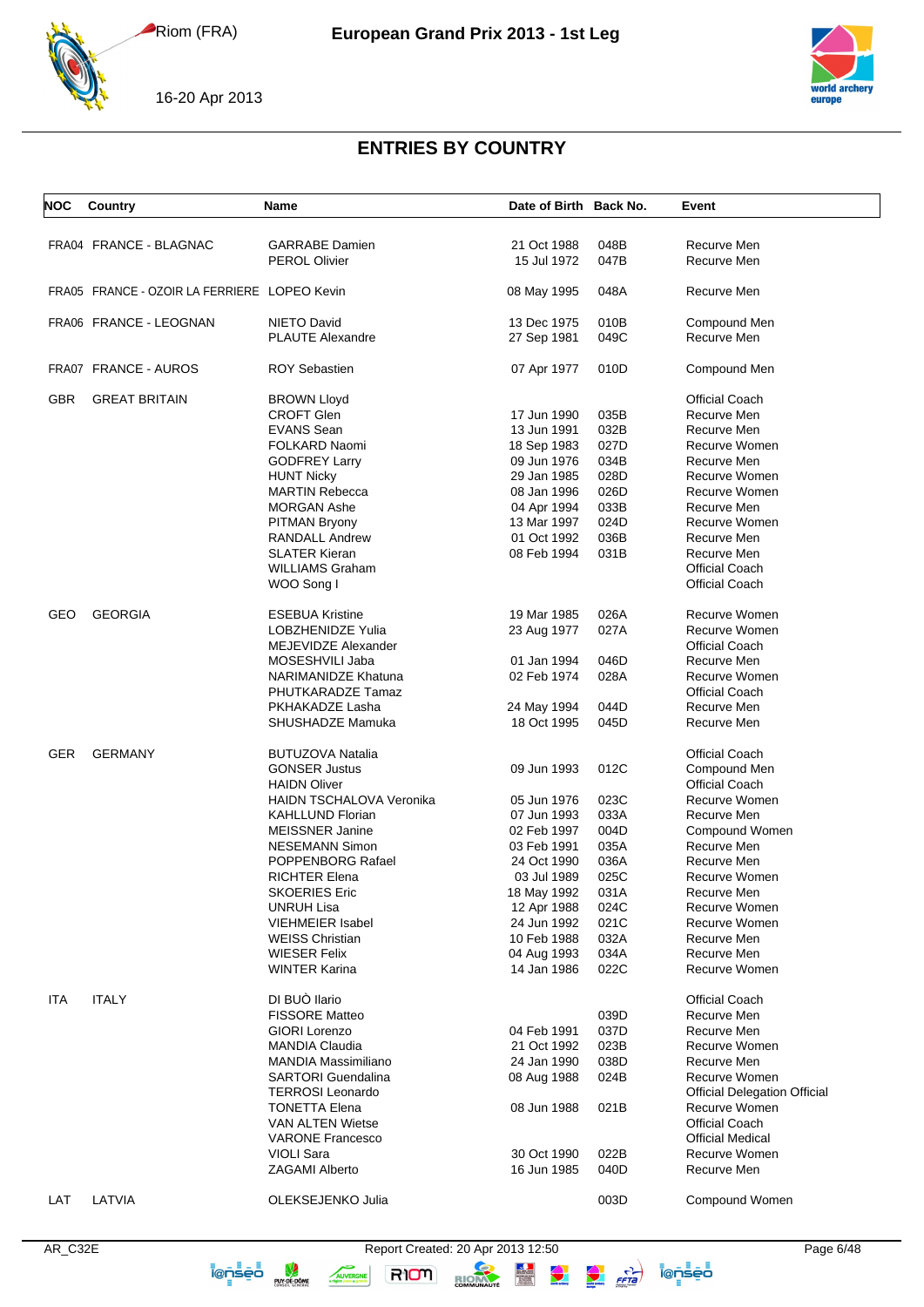

16-20 Apr 2013



# **ENTRIES BY COUNTRY**

| NOC        | Country                                      | Name                            | Date of Birth Back No. |      | Event                               |
|------------|----------------------------------------------|---------------------------------|------------------------|------|-------------------------------------|
|            |                                              |                                 |                        |      |                                     |
|            | FRA04 FRANCE - BLAGNAC                       | <b>GARRABE Damien</b>           | 21 Oct 1988            | 048B | Recurve Men                         |
|            |                                              | <b>PEROL Olivier</b>            | 15 Jul 1972            | 047B | Recurve Men                         |
|            | FRA05 FRANCE - OZOIR LA FERRIERE LOPEO Kevin |                                 | 08 May 1995            | 048A | Recurve Men                         |
|            | FRA06 FRANCE - LEOGNAN                       | NIETO David                     | 13 Dec 1975            | 010B | Compound Men                        |
|            |                                              | <b>PLAUTE Alexandre</b>         | 27 Sep 1981            | 049C | Recurve Men                         |
|            | FRA07 FRANCE - AUROS                         | <b>ROY Sebastien</b>            | 07 Apr 1977            | 010D | Compound Men                        |
| <b>GBR</b> | <b>GREAT BRITAIN</b>                         | <b>BROWN Lloyd</b>              |                        |      | <b>Official Coach</b>               |
|            |                                              | <b>CROFT Glen</b>               | 17 Jun 1990            | 035B | Recurve Men                         |
|            |                                              | <b>EVANS Sean</b>               | 13 Jun 1991            | 032B | Recurve Men                         |
|            |                                              | FOLKARD Naomi                   | 18 Sep 1983            | 027D | Recurve Women                       |
|            |                                              | <b>GODFREY Larry</b>            | 09 Jun 1976            | 034B | Recurve Men                         |
|            |                                              | <b>HUNT Nicky</b>               | 29 Jan 1985            | 028D | Recurve Women                       |
|            |                                              |                                 |                        |      |                                     |
|            |                                              | <b>MARTIN Rebecca</b>           | 08 Jan 1996            | 026D | Recurve Women                       |
|            |                                              | <b>MORGAN Ashe</b>              | 04 Apr 1994            | 033B | Recurve Men                         |
|            |                                              | <b>PITMAN Bryony</b>            | 13 Mar 1997            | 024D | Recurve Women                       |
|            |                                              | <b>RANDALL Andrew</b>           | 01 Oct 1992            | 036B | Recurve Men                         |
|            |                                              | <b>SLATER Kieran</b>            | 08 Feb 1994            | 031B | Recurve Men                         |
|            |                                              | <b>WILLIAMS Graham</b>          |                        |      | <b>Official Coach</b>               |
|            |                                              | WOO Song I                      |                        |      | <b>Official Coach</b>               |
| GEO        | <b>GEORGIA</b>                               | <b>ESEBUA Kristine</b>          | 19 Mar 1985            | 026A | Recurve Women                       |
|            |                                              | LOBZHENIDZE Yulia               | 23 Aug 1977            | 027A | Recurve Women                       |
|            |                                              |                                 |                        |      | <b>Official Coach</b>               |
|            |                                              | MEJEVIDZE Alexander             |                        |      |                                     |
|            |                                              | MOSESHVILI Jaba                 | 01 Jan 1994            | 046D | Recurve Men                         |
|            |                                              | NARIMANIDZE Khatuna             | 02 Feb 1974            | 028A | Recurve Women                       |
|            |                                              | PHUTKARADZE Tamaz               |                        |      | <b>Official Coach</b>               |
|            |                                              | PKHAKADZE Lasha                 | 24 May 1994            | 044D | Recurve Men                         |
|            |                                              | SHUSHADZE Mamuka                | 18 Oct 1995            | 045D | Recurve Men                         |
| <b>GER</b> | <b>GERMANY</b>                               | <b>BUTUZOVA Natalia</b>         |                        |      | <b>Official Coach</b>               |
|            |                                              | <b>GONSER Justus</b>            | 09 Jun 1993            | 012C | Compound Men                        |
|            |                                              | <b>HAIDN Oliver</b>             |                        |      | <b>Official Coach</b>               |
|            |                                              | <b>HAIDN TSCHALOVA Veronika</b> | 05 Jun 1976            | 023C | Recurve Women                       |
|            |                                              | <b>KAHLLUND Florian</b>         | 07 Jun 1993            | 033A | Recurve Men                         |
|            |                                              |                                 |                        |      |                                     |
|            |                                              | <b>MEISSNER Janine</b>          | 02 Feb 1997            | 004D | Compound Women                      |
|            |                                              | <b>NESEMANN Simon</b>           | 03 Feb 1991            | 035A | Recurve Men                         |
|            |                                              | POPPENBORG Rafael               | 24 Oct 1990            | 036A | Recurve Men                         |
|            |                                              | <b>RICHTER Elena</b>            | 03 Jul 1989            | 025C | Recurve Women                       |
|            |                                              | <b>SKOERIES Eric</b>            | 18 May 1992            | 031A | Recurve Men                         |
|            |                                              | <b>UNRUH Lisa</b>               | 12 Apr 1988            | 024C | Recurve Women                       |
|            |                                              | <b>VIEHMEIER Isabel</b>         | 24 Jun 1992            | 021C | Recurve Women                       |
|            |                                              | <b>WEISS Christian</b>          | 10 Feb 1988            | 032A | Recurve Men                         |
|            |                                              | <b>WIESER Felix</b>             | 04 Aug 1993            | 034A | Recurve Men                         |
|            |                                              | <b>WINTER Karina</b>            | 14 Jan 1986            | 022C | Recurve Women                       |
|            |                                              |                                 |                        |      |                                     |
| <b>ITA</b> | <b>ITALY</b>                                 | DI BUÒ llario                   |                        |      | <b>Official Coach</b>               |
|            |                                              | <b>FISSORE Matteo</b>           |                        | 039D | Recurve Men                         |
|            |                                              | <b>GIORI</b> Lorenzo            | 04 Feb 1991            | 037D | Recurve Men                         |
|            |                                              | <b>MANDIA Claudia</b>           | 21 Oct 1992            | 023B | Recurve Women                       |
|            |                                              | <b>MANDIA Massimiliano</b>      | 24 Jan 1990            | 038D | Recurve Men                         |
|            |                                              | <b>SARTORI</b> Guendalina       | 08 Aug 1988            | 024B | Recurve Women                       |
|            |                                              | <b>TERROSI Leonardo</b>         |                        |      | <b>Official Delegation Official</b> |
|            |                                              | <b>TONETTA Elena</b>            | 08 Jun 1988            | 021B | Recurve Women                       |
|            |                                              | <b>VAN ALTEN Wietse</b>         |                        |      | Official Coach                      |
|            |                                              | <b>VARONE Francesco</b>         |                        |      | <b>Official Medical</b>             |
|            |                                              |                                 |                        |      |                                     |
|            |                                              | <b>VIOLI Sara</b>               | 30 Oct 1990            | 022B | Recurve Women                       |
|            |                                              | <b>ZAGAMI Alberto</b>           | 16 Jun 1985            | 040D | Recurve Men                         |
| LAT        | LATVIA                                       | OLEKSEJENKO Julia               |                        | 003D | Compound Women                      |
|            |                                              |                                 |                        |      |                                     |

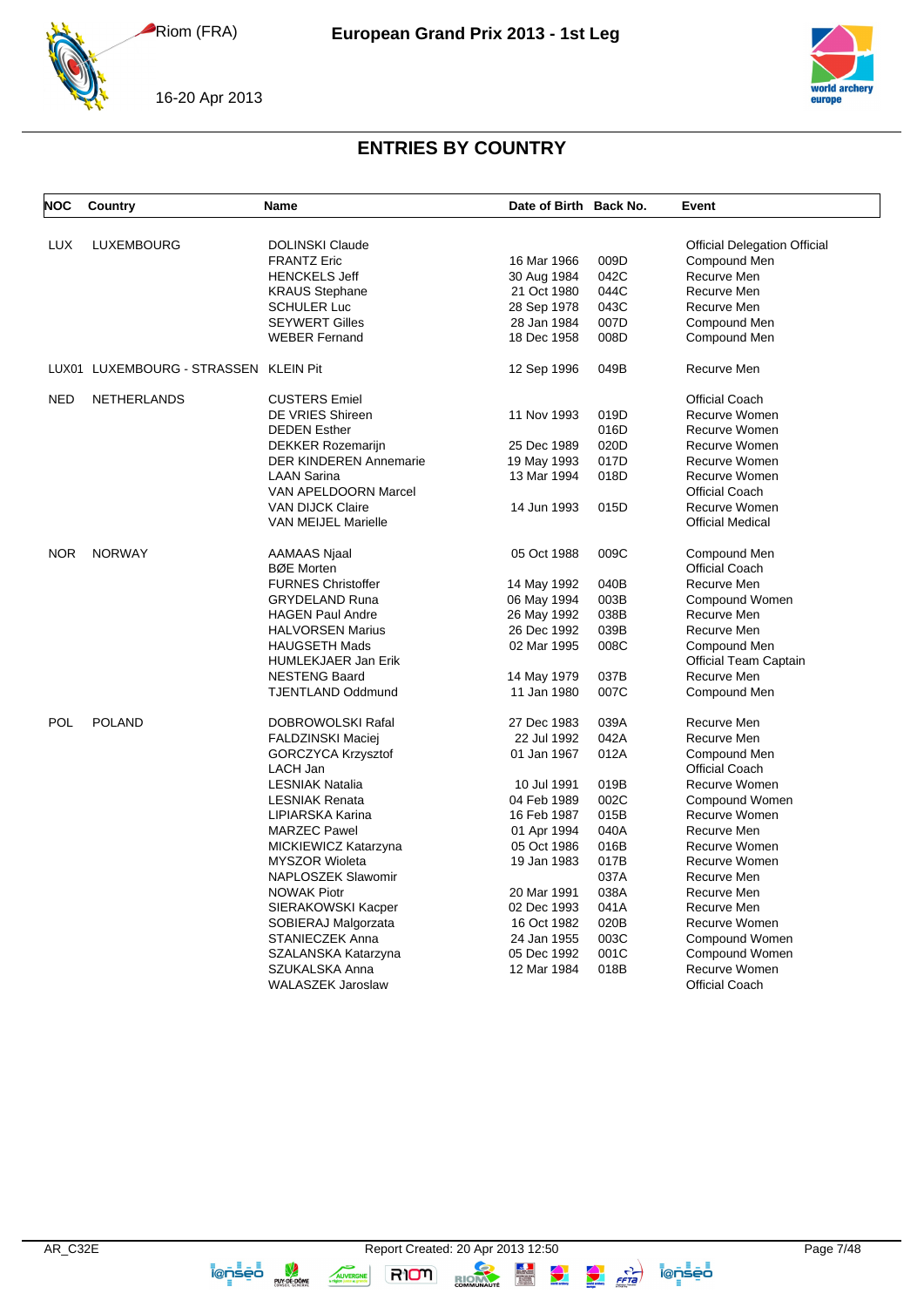

16-20 Apr 2013

# **ENTRIES BY COUNTRY**

| NOC        | Country                               | Name                          | Date of Birth Back No. |      | Event                               |
|------------|---------------------------------------|-------------------------------|------------------------|------|-------------------------------------|
|            |                                       |                               |                        |      |                                     |
| <b>LUX</b> | LUXEMBOURG                            | <b>DOLINSKI Claude</b>        |                        |      | <b>Official Delegation Official</b> |
|            |                                       | <b>FRANTZ Eric</b>            | 16 Mar 1966            | 009D | Compound Men                        |
|            |                                       | <b>HENCKELS Jeff</b>          | 30 Aug 1984            | 042C | Recurve Men                         |
|            |                                       | <b>KRAUS Stephane</b>         | 21 Oct 1980            | 044C | Recurve Men                         |
|            |                                       | <b>SCHULER Luc</b>            | 28 Sep 1978            | 043C | Recurve Men                         |
|            |                                       | <b>SEYWERT Gilles</b>         | 28 Jan 1984            | 007D | Compound Men                        |
|            |                                       | <b>WEBER Fernand</b>          | 18 Dec 1958            | 008D | Compound Men                        |
|            | LUX01 LUXEMBOURG - STRASSEN KLEIN Pit |                               | 12 Sep 1996            | 049B | Recurve Men                         |
| <b>NED</b> | NETHERLANDS                           | <b>CUSTERS Emiel</b>          |                        |      | <b>Official Coach</b>               |
|            |                                       | DE VRIES Shireen              | 11 Nov 1993            | 019D | Recurve Women                       |
|            |                                       | <b>DEDEN Esther</b>           |                        | 016D | Recurve Women                       |
|            |                                       | <b>DEKKER Rozemarijn</b>      | 25 Dec 1989            | 020D | Recurve Women                       |
|            |                                       | <b>DER KINDEREN Annemarie</b> | 19 May 1993            | 017D | Recurve Women                       |
|            |                                       | <b>LAAN Sarina</b>            | 13 Mar 1994            | 018D | Recurve Women                       |
|            |                                       | VAN APELDOORN Marcel          |                        |      | <b>Official Coach</b>               |
|            |                                       | <b>VAN DIJCK Claire</b>       | 14 Jun 1993            | 015D | Recurve Women                       |
|            |                                       | <b>VAN MEIJEL Marielle</b>    |                        |      | <b>Official Medical</b>             |
| <b>NOR</b> | <b>NORWAY</b>                         | AAMAAS Njaal                  | 05 Oct 1988            | 009C | Compound Men                        |
|            |                                       | <b>BØE Morten</b>             |                        |      | <b>Official Coach</b>               |
|            |                                       | <b>FURNES Christoffer</b>     | 14 May 1992            | 040B | Recurve Men                         |
|            |                                       | <b>GRYDELAND Runa</b>         | 06 May 1994            | 003B | Compound Women                      |
|            |                                       | <b>HAGEN Paul Andre</b>       | 26 May 1992            | 038B | Recurve Men                         |
|            |                                       | <b>HALVORSEN Marius</b>       | 26 Dec 1992            | 039B | Recurve Men                         |
|            |                                       | <b>HAUGSETH Mads</b>          | 02 Mar 1995            | 008C | Compound Men                        |
|            |                                       | HUMLEKJAER Jan Erik           |                        |      | <b>Official Team Captain</b>        |
|            |                                       | <b>NESTENG Baard</b>          | 14 May 1979            | 037B | Recurve Men                         |
|            |                                       | <b>TJENTLAND Oddmund</b>      | 11 Jan 1980            | 007C | Compound Men                        |
|            |                                       |                               |                        |      |                                     |
| <b>POL</b> | <b>POLAND</b>                         | DOBROWOLSKI Rafal             | 27 Dec 1983            | 039A | Recurve Men                         |
|            |                                       | <b>FALDZINSKI Maciej</b>      | 22 Jul 1992            | 042A | Recurve Men                         |
|            |                                       | <b>GORCZYCA Krzysztof</b>     | 01 Jan 1967            | 012A | Compound Men                        |
|            |                                       | LACH Jan                      |                        |      | <b>Official Coach</b>               |
|            |                                       | <b>LESNIAK Natalia</b>        | 10 Jul 1991            | 019B | Recurve Women                       |
|            |                                       | <b>LESNIAK Renata</b>         | 04 Feb 1989            | 002C | Compound Women                      |
|            |                                       | LIPIARSKA Karina              | 16 Feb 1987            | 015B | Recurve Women                       |
|            |                                       | <b>MARZEC Pawel</b>           | 01 Apr 1994            | 040A | Recurve Men                         |
|            |                                       | MICKIEWICZ Katarzyna          | 05 Oct 1986            | 016B | Recurve Women                       |
|            |                                       | <b>MYSZOR Wioleta</b>         | 19 Jan 1983            | 017B | Recurve Women                       |
|            |                                       | NAPLOSZEK Slawomir            |                        | 037A | Recurve Men                         |
|            |                                       | <b>NOWAK Piotr</b>            | 20 Mar 1991            | 038A | Recurve Men                         |
|            |                                       | SIERAKOWSKI Kacper            | 02 Dec 1993            | 041A | Recurve Men                         |
|            |                                       | SOBIERAJ Malgorzata           | 16 Oct 1982            | 020B | Recurve Women                       |
|            |                                       | STANIECZEK Anna               | 24 Jan 1955            | 003C | Compound Women                      |
|            |                                       | SZALANSKA Katarzyna           | 05 Dec 1992            | 001C | Compound Women                      |
|            |                                       | SZUKALSKA Anna                | 12 Mar 1984            | 018B | Recurve Women                       |
|            |                                       | <b>WALASZEK Jaroslaw</b>      |                        |      | <b>Official Coach</b>               |

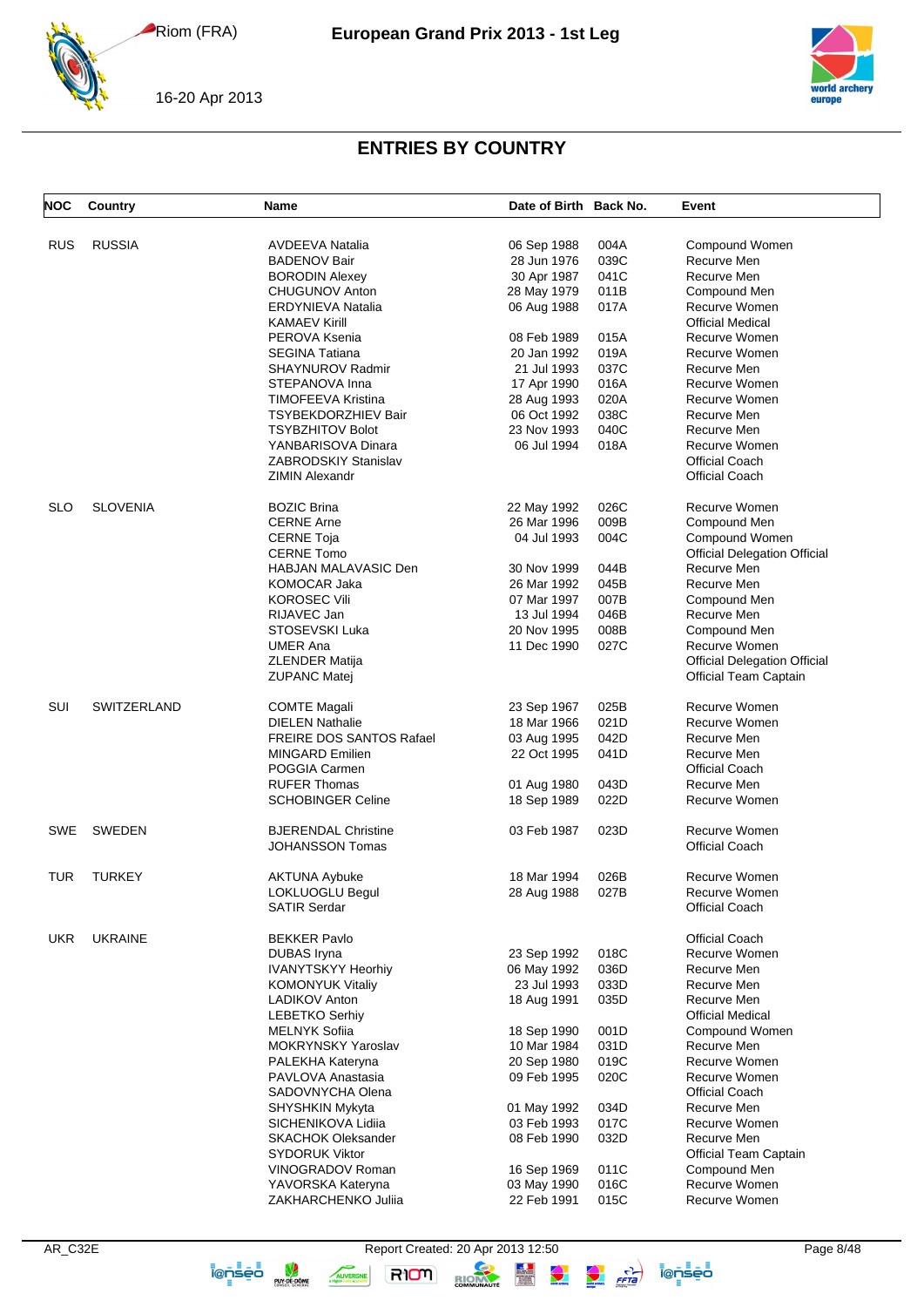

16-20 Apr 2013



# **ENTRIES BY COUNTRY**

| <b>NOC</b> | Country         | Name                                                 | Date of Birth Back No. |      | Event                               |
|------------|-----------------|------------------------------------------------------|------------------------|------|-------------------------------------|
| RUS        | <b>RUSSIA</b>   | AVDEEVA Natalia                                      | 06 Sep 1988            | 004A | Compound Women                      |
|            |                 | <b>BADENOV Bair</b>                                  | 28 Jun 1976            | 039C | Recurve Men                         |
|            |                 | <b>BORODIN Alexey</b>                                | 30 Apr 1987            | 041C | Recurve Men                         |
|            |                 | <b>CHUGUNOV Anton</b>                                | 28 May 1979            | 011B | Compound Men                        |
|            |                 | <b>ERDYNIEVA Natalia</b>                             | 06 Aug 1988            | 017A | Recurve Women                       |
|            |                 | <b>KAMAEV Kirill</b>                                 |                        |      | <b>Official Medical</b>             |
|            |                 | PEROVA Ksenia                                        | 08 Feb 1989            | 015A | Recurve Women                       |
|            |                 | <b>SEGINA Tatiana</b>                                | 20 Jan 1992            | 019A | Recurve Women                       |
|            |                 | <b>SHAYNUROV Radmir</b>                              | 21 Jul 1993            | 037C | Recurve Men                         |
|            |                 | STEPANOVA Inna                                       | 17 Apr 1990            | 016A | Recurve Women                       |
|            |                 | <b>TIMOFEEVA Kristina</b>                            | 28 Aug 1993            | 020A | Recurve Women                       |
|            |                 | <b>TSYBEKDORZHIEV Bair</b>                           | 06 Oct 1992            | 038C | Recurve Men                         |
|            |                 | <b>TSYBZHITOV Bolot</b>                              | 23 Nov 1993            | 040C | Recurve Men                         |
|            |                 | YANBARISOVA Dinara                                   | 06 Jul 1994            | 018A | Recurve Women                       |
|            |                 | ZABRODSKIY Stanislav                                 |                        |      | <b>Official Coach</b>               |
|            |                 | <b>ZIMIN Alexandr</b>                                |                        |      | <b>Official Coach</b>               |
|            |                 |                                                      |                        |      |                                     |
| SLO        | <b>SLOVENIA</b> | <b>BOZIC Brina</b>                                   | 22 May 1992            | 026C | Recurve Women                       |
|            |                 | <b>CERNE Arne</b>                                    | 26 Mar 1996            | 009B | Compound Men                        |
|            |                 | <b>CERNE Toja</b>                                    | 04 Jul 1993            | 004C | Compound Women                      |
|            |                 | <b>CERNE Tomo</b>                                    |                        |      | <b>Official Delegation Official</b> |
|            |                 | <b>HABJAN MALAVASIC Den</b>                          | 30 Nov 1999            | 044B | Recurve Men                         |
|            |                 | <b>KOMOCAR Jaka</b>                                  | 26 Mar 1992            | 045B | Recurve Men                         |
|            |                 | <b>KOROSEC Vili</b>                                  | 07 Mar 1997            | 007B | Compound Men                        |
|            |                 | RIJAVEC Jan                                          | 13 Jul 1994            | 046B | Recurve Men                         |
|            |                 | STOSEVSKI Luka                                       | 20 Nov 1995            | 008B | Compound Men                        |
|            |                 | <b>UMER Ana</b>                                      | 11 Dec 1990            | 027C | Recurve Women                       |
|            |                 | <b>ZLENDER Matija</b>                                |                        |      | <b>Official Delegation Official</b> |
|            |                 | <b>ZUPANC Matej</b>                                  |                        |      | Official Team Captain               |
| SUI        | SWITZERLAND     | <b>COMTE Magali</b>                                  | 23 Sep 1967            | 025B | Recurve Women                       |
|            |                 | <b>DIELEN Nathalie</b>                               | 18 Mar 1966            | 021D | Recurve Women                       |
|            |                 | <b>FREIRE DOS SANTOS Rafael</b>                      | 03 Aug 1995            | 042D | Recurve Men                         |
|            |                 | <b>MINGARD Emilien</b>                               | 22 Oct 1995            | 041D | Recurve Men                         |
|            |                 | POGGIA Carmen                                        |                        |      | <b>Official Coach</b>               |
|            |                 | <b>RUFER Thomas</b>                                  | 01 Aug 1980            | 043D | Recurve Men                         |
|            |                 | <b>SCHOBINGER Celine</b>                             | 18 Sep 1989            | 022D | Recurve Women                       |
|            |                 |                                                      |                        |      |                                     |
| <b>SWE</b> | <b>SWEDEN</b>   | <b>BJERENDAL Christine</b><br><b>JOHANSSON Tomas</b> | 03 Feb 1987            | 023D | Recurve Women                       |
|            |                 |                                                      |                        |      | <b>Official Coach</b>               |
| <b>TUR</b> | <b>TURKEY</b>   | <b>AKTUNA Aybuke</b>                                 | 18 Mar 1994            | 026B | Recurve Women                       |
|            |                 | LOKLUOGLU Begul                                      | 28 Aug 1988            | 027B | Recurve Women                       |
|            |                 | <b>SATIR Serdar</b>                                  |                        |      | <b>Official Coach</b>               |
| UKR        | <b>UKRAINE</b>  | <b>BEKKER Pavlo</b>                                  |                        |      | <b>Official Coach</b>               |
|            |                 | <b>DUBAS</b> Iryna                                   | 23 Sep 1992            | 018C | Recurve Women                       |
|            |                 | <b>IVANYTSKYY Heorhiy</b>                            | 06 May 1992            | 036D | Recurve Men                         |
|            |                 | <b>KOMONYUK Vitaliy</b>                              | 23 Jul 1993            | 033D | Recurve Men                         |
|            |                 | LADIKOV Anton                                        | 18 Aug 1991            | 035D | Recurve Men                         |
|            |                 | <b>LEBETKO Serhiy</b>                                |                        |      | <b>Official Medical</b>             |
|            |                 | <b>MELNYK Sofiia</b>                                 | 18 Sep 1990            | 001D | Compound Women                      |
|            |                 | <b>MOKRYNSKY Yaroslav</b>                            | 10 Mar 1984            | 031D | Recurve Men                         |
|            |                 | PALEKHA Kateryna                                     | 20 Sep 1980            | 019C | Recurve Women                       |
|            |                 | PAVLOVA Anastasia                                    | 09 Feb 1995            | 020C | Recurve Women                       |
|            |                 | SADOVNYCHA Olena                                     |                        |      | <b>Official Coach</b>               |
|            |                 | SHYSHKIN Mykyta                                      | 01 May 1992            | 034D | Recurve Men                         |
|            |                 | SICHENIKOVA Lidiia                                   | 03 Feb 1993            | 017C | Recurve Women                       |
|            |                 | <b>SKACHOK Oleksander</b>                            | 08 Feb 1990            | 032D | Recurve Men                         |
|            |                 | <b>SYDORUK Viktor</b>                                |                        |      | Official Team Captain               |
|            |                 | VINOGRADOV Roman                                     | 16 Sep 1969            | 011C | Compound Men                        |
|            |                 | YAVORSKA Kateryna                                    | 03 May 1990            | 016C | Recurve Women                       |
|            |                 | ZAKHARCHENKO Juliia                                  | 22 Feb 1991            | 015C | Recurve Women                       |



RION

AUVERGNE

**RIOM** 

 $\frac{1}{\sqrt{2}}$ 

 $\bigodot$ 

 $\sum_{\text{effa}}$   $\frac{1}{\sqrt{2}}$   $\frac{1}{\sqrt{2}}$   $\frac{1}{\sqrt{2}}$   $\frac{1}{\sqrt{2}}$   $\frac{1}{\sqrt{2}}$   $\frac{1}{\sqrt{2}}$   $\frac{1}{\sqrt{2}}$   $\frac{1}{\sqrt{2}}$   $\frac{1}{\sqrt{2}}$   $\frac{1}{\sqrt{2}}$   $\frac{1}{\sqrt{2}}$   $\frac{1}{\sqrt{2}}$   $\frac{1}{\sqrt{2}}$   $\frac{1}{\sqrt{2}}$   $\frac{1}{\sqrt{2}}$   $\frac{1}{\sqrt{2}}$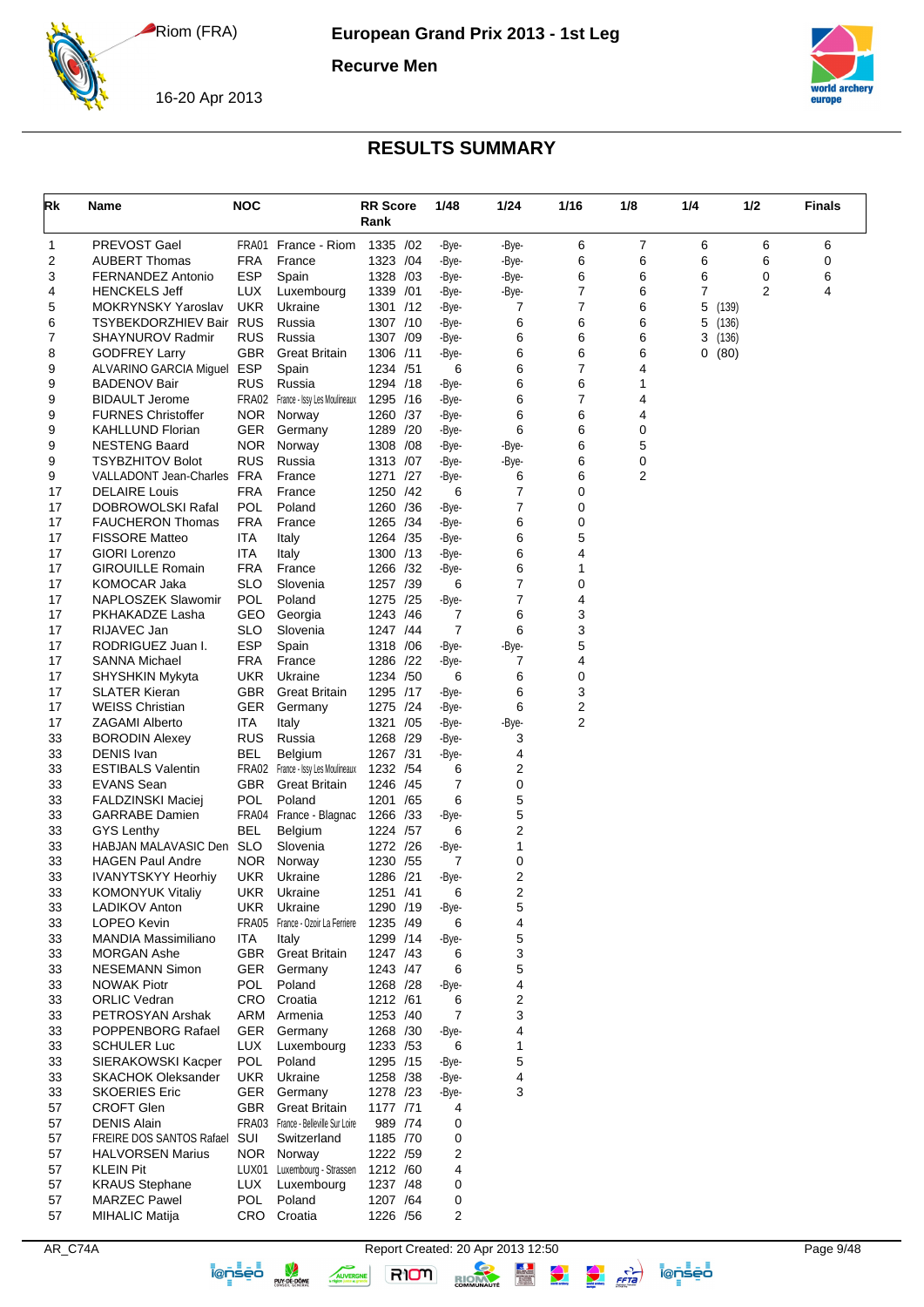**European Grand Prix 2013 - 1st Leg**

**Recurve Men**



16-20 Apr 2013

# **RESULTS SUMMARY**

| Rk       | Name                                             | <b>NOC</b>               |                                     | <b>RR Score</b><br>Rank | 1/48           | 1/24   | 1/16           | 1/8    | 1/4    | 1/2            |   | Finals |
|----------|--------------------------------------------------|--------------------------|-------------------------------------|-------------------------|----------------|--------|----------------|--------|--------|----------------|---|--------|
| 1        | PREVOST Gael                                     |                          | FRA01 France - Riom                 | 1335 /02                | -Bye-          | -Bye-  | 6              | 7      | 6      |                | 6 | 6      |
| 2        | <b>AUBERT Thomas</b>                             | <b>FRA</b>               | France                              | 1323 / 04               | -Bye-          | -Bye-  | 6              | 6      | 6      |                | 6 | 0      |
| 3        | <b>FERNANDEZ Antonio</b>                         | <b>ESP</b>               | Spain                               | 1328 /03                | -Bye-          | -Bye-  | 6              | 6      | 6      |                | 0 | 6      |
| 4        | <b>HENCKELS Jeff</b>                             | LUX                      | Luxembourg                          | 1339 /01                | -Bye-          | -Bye-  | $\overline{7}$ | 6      | 7      |                | 2 | 4      |
| 5<br>6   | MOKRYNSKY Yaroslav<br><b>TSYBEKDORZHIEV Bair</b> | UKR<br><b>RUS</b>        | Ukraine<br>Russia                   | 1301 /12<br>1307 /10    | -Bye-          | 7<br>6 | 7<br>6         | 6<br>6 | 5<br>5 | (139)<br>(136) |   |        |
| 7        | <b>SHAYNUROV Radmir</b>                          | <b>RUS</b>               | Russia                              | 1307 /09                | -Bye-<br>-Bye- | 6      | 6              | 6      | 3      | (136)          |   |        |
| 8        | <b>GODFREY Larry</b>                             | <b>GBR</b>               | <b>Great Britain</b>                | 1306 /11                | -Bye-          | 6      | 6              | 6      | 0      | (80)           |   |        |
| 9        | ALVARINO GARCIA Miguel                           | <b>ESP</b>               | Spain                               | 1234 / 51               | 6              | 6      | 7              | 4      |        |                |   |        |
| 9        | <b>BADENOV Bair</b>                              | <b>RUS</b>               | Russia                              | 1294 /18                | -Bye-          | 6      | 6              | 1      |        |                |   |        |
| 9        | <b>BIDAULT Jerome</b>                            |                          | FRA02 France - Issy Les Moulineaux  | 1295 /16                | -Bye-          | 6      | 7              | 4      |        |                |   |        |
| 9        | <b>FURNES Christoffer</b>                        | NOR                      | Norway                              | 1260 /37                | -Bye-          | 6      | 6              | 4      |        |                |   |        |
| 9        | <b>KAHLLUND Florian</b>                          | <b>GER</b>               | Germany                             | 1289 /20                | -Bye-          | 6      | 6              | 0      |        |                |   |        |
| 9        | <b>NESTENG Baard</b>                             | NOR.                     | Norway                              | 1308 / 08               | -Bye-          | -Bye-  | 6              | 5      |        |                |   |        |
| 9        | <b>TSYBZHITOV Bolot</b>                          | <b>RUS</b>               | Russia                              | 1313 /07                | -Bye-          | -Bye-  | 6              | 0      |        |                |   |        |
| 9<br>17  | VALLADONT Jean-Charles                           | FRA<br><b>FRA</b>        | France<br>France                    | 1271 /27                | -Bye-<br>6     | 6<br>7 | 6<br>0         | 2      |        |                |   |        |
| 17       | <b>DELAIRE Louis</b><br>DOBROWOLSKI Rafal        | <b>POL</b>               | Poland                              | 1250 /42<br>1260 / 36   | -Bye-          | 7      | 0              |        |        |                |   |        |
| 17       | <b>FAUCHERON Thomas</b>                          | <b>FRA</b>               | France                              | 1265 /34                | -Bye-          | 6      | 0              |        |        |                |   |        |
| 17       | <b>FISSORE Matteo</b>                            | ITA                      | Italy                               | 1264 / 35               | -Bye-          | 6      | 5              |        |        |                |   |        |
| 17       | GIORI Lorenzo                                    | ITA.                     | Italy                               | 1300 /13                | -Bye-          | 6      | 4              |        |        |                |   |        |
| 17       | <b>GIROUILLE Romain</b>                          | <b>FRA</b>               | France                              | 1266 /32                | -Bye-          | 6      | 1              |        |        |                |   |        |
| 17       | <b>KOMOCAR Jaka</b>                              | <b>SLO</b>               | Slovenia                            | 1257 /39                | 6              | 7      | 0              |        |        |                |   |        |
| 17       | NAPLOSZEK Slawomir                               | <b>POL</b>               | Poland                              | 1275 /25                | -Bye-          | 7      | 4              |        |        |                |   |        |
| 17       | PKHAKADZE Lasha                                  | GEO                      | Georgia                             | 1243 / 46               | 7              | 6      | 3              |        |        |                |   |        |
| 17       | RIJAVEC Jan                                      | SLO                      | Slovenia                            | 1247 /44                | $\overline{7}$ | 6      | 3              |        |        |                |   |        |
| 17       | RODRIGUEZ Juan I.                                | <b>ESP</b>               | Spain                               | 1318 /06                | -Bye-          | -Bye-  | 5              |        |        |                |   |        |
| 17       | <b>SANNA Michael</b>                             | FRA                      | France                              | 1286 /22                | -Bye-          | 7      | 4              |        |        |                |   |        |
| 17<br>17 | SHYSHKIN Mykyta<br><b>SLATER Kieran</b>          | <b>UKR</b><br><b>GBR</b> | Ukraine<br><b>Great Britain</b>     | 1234 /50<br>1295 /17    | 6<br>-Bye-     | 6<br>6 | 0<br>3         |        |        |                |   |        |
| 17       | <b>WEISS Christian</b>                           | <b>GER</b>               | Germany                             | 1275 /24                | -Bye-          | 6      | 2              |        |        |                |   |        |
| 17       | <b>ZAGAMI Alberto</b>                            | ITA                      | Italy                               | 1321 /05                | -Bye-          | -Bye-  | $\overline{2}$ |        |        |                |   |        |
| 33       | <b>BORODIN Alexey</b>                            | <b>RUS</b>               | Russia                              | 1268 /29                | -Bye-          | 3      |                |        |        |                |   |        |
| 33       | <b>DENIS Ivan</b>                                | BEL                      | Belgium                             | 1267 /31                | -Bye-          | 4      |                |        |        |                |   |        |
| 33       | <b>ESTIBALS Valentin</b>                         |                          | FRA02 France - Issy Les Moulineaux  | 1232 / 54               | 6              | 2      |                |        |        |                |   |        |
| 33       | EVANS Sean                                       | <b>GBR</b>               | <b>Great Britain</b>                | 1246 / 45               | 7              | 0      |                |        |        |                |   |        |
| 33       | <b>FALDZINSKI Maciej</b>                         | <b>POL</b>               | Poland                              | 1201 / 65               | 6              | 5      |                |        |        |                |   |        |
| 33       | <b>GARRABE</b> Damien                            |                          | FRA04 France - Blagnac              | 1266 /33                | -Bye-          | 5      |                |        |        |                |   |        |
| 33       | <b>GYS Lenthy</b><br>HABJAN MALAVASIC Den        | BEL<br><b>SLO</b>        | Belgium<br>Slovenia                 | 1224 /57                | 6              | 2<br>1 |                |        |        |                |   |        |
| 33<br>33 | <b>HAGEN Paul Andre</b>                          | NOR.                     | Norway                              | 1272 /26<br>1230 / 55   | -Bye-<br>7     | 0      |                |        |        |                |   |        |
| 33       | <b>IVANYTSKYY Heorhiy</b>                        | <b>UKR</b>               | Ukraine                             | 1286 /21                | -Bye-          | 2      |                |        |        |                |   |        |
| 33       | <b>KOMONYUK Vitaliy</b>                          | UKR                      | Ukraine                             | 1251 /41                | 6              | 2      |                |        |        |                |   |        |
| 33       | <b>LADIKOV Anton</b>                             | <b>UKR</b>               | Ukraine                             | 1290 /19                | -Bye-          | 5      |                |        |        |                |   |        |
| 33       | LOPEO Kevin                                      |                          | FRA05 France - Ozoir La Ferriere    | 1235 /49                | 6              | 4      |                |        |        |                |   |        |
| 33       | <b>MANDIA Massimiliano</b>                       | ITA                      | Italy                               | 1299 /14                | -Bye-          | 5      |                |        |        |                |   |        |
| 33       | <b>MORGAN Ashe</b>                               | GBR                      | <b>Great Britain</b>                | 1247 /43                | 6              | 3      |                |        |        |                |   |        |
| 33       | <b>NESEMANN Simon</b>                            | GER                      | Germany                             | 1243 /47                | 6              | 5      |                |        |        |                |   |        |
| 33       | NOWAK Piotr                                      | POL                      | Poland                              | 1268 /28                | -Bye-          | 4      |                |        |        |                |   |        |
| 33       | <b>ORLIC Vedran</b>                              | CRO                      | Croatia                             | 1212 /61                | 6              | 2      |                |        |        |                |   |        |
| 33<br>33 | PETROSYAN Arshak<br>POPPENBORG Rafael            | ARM<br>GER               | Armenia                             | 1253 /40                | $\overline{7}$ | 3<br>4 |                |        |        |                |   |        |
| 33       | <b>SCHULER Luc</b>                               | LUX                      | Germany<br>Luxembourg               | 1268 /30<br>1233 /53    | -Bye-<br>6     | 1      |                |        |        |                |   |        |
| 33       | SIERAKOWSKI Kacper                               | POL                      | Poland                              | 1295 /15                | -Bye-          | 5      |                |        |        |                |   |        |
| 33       | <b>SKACHOK Oleksander</b>                        | <b>UKR</b>               | Ukraine                             | 1258 /38                | -Bye-          | 4      |                |        |        |                |   |        |
| 33       | <b>SKOERIES Eric</b>                             | GER                      | Germany                             | 1278 /23                | -Bye-          | 3      |                |        |        |                |   |        |
| 57       | <b>CROFT Glen</b>                                | GBR                      | <b>Great Britain</b>                | 1177 /71                | 4              |        |                |        |        |                |   |        |
| 57       | <b>DENIS Alain</b>                               |                          | FRA03 France - Belleville Sur Loire | 989 /74                 | 0              |        |                |        |        |                |   |        |
| 57       | FREIRE DOS SANTOS Rafael SUI                     |                          | Switzerland                         | 1185 /70                | 0              |        |                |        |        |                |   |        |
| 57       | <b>HALVORSEN Marius</b>                          |                          | NOR Norway                          | 1222 /59                | 2              |        |                |        |        |                |   |        |
| 57       | <b>KLEIN Pit</b>                                 |                          | LUX01 Luxembourg - Strassen         | 1212 /60                | 4              |        |                |        |        |                |   |        |
| 57       | <b>KRAUS Stephane</b>                            | <b>LUX</b>               | Luxembourg                          | 1237 /48                | 0              |        |                |        |        |                |   |        |
| 57<br>57 | <b>MARZEC Pawel</b><br>MIHALIC Matija            | <b>POL</b><br>CRO        | Poland<br>Croatia                   | 1207 /64<br>1226 /56    | 0<br>2         |        |                |        |        |                |   |        |
|          |                                                  |                          |                                     |                         |                |        |                |        |        |                |   |        |

AUVERGNE

AR\_C74A Report Created: 20 Apr 2013 12:50 Page 9/48<br> **AVERONE RIOT RIOT REPORT OF REPORT PRIOR**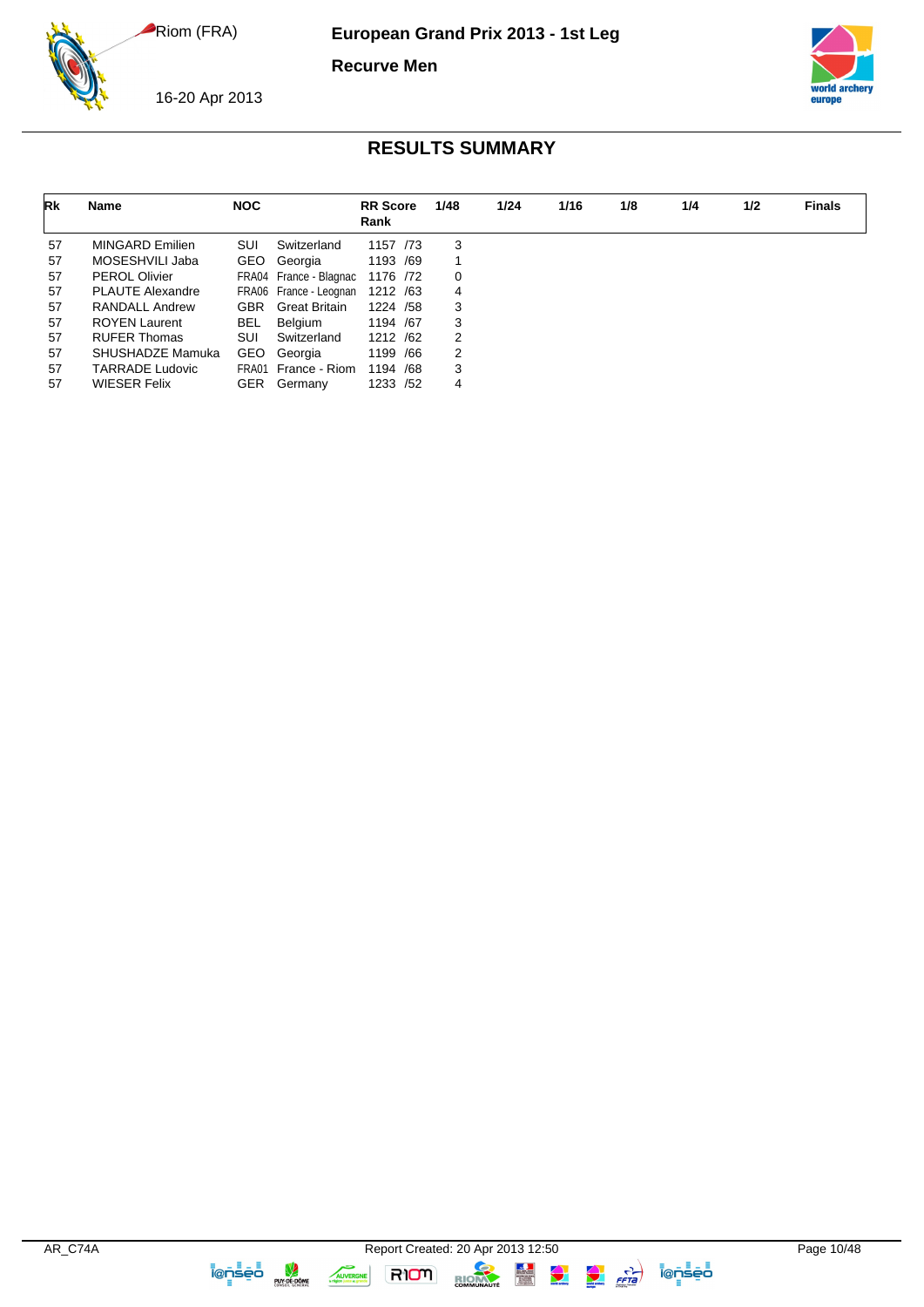**European Grand Prix 2013 - 1st Leg**

**Recurve Men**



16-20 Apr 2013

# **RESULTS SUMMARY**

| Rk | Name                    | <b>NOC</b> |                        | <b>RR</b> Score<br>Rank | 1/48 | 1/24 | 1/16 | 1/8 | 1/4 | 1/2 | <b>Finals</b> |
|----|-------------------------|------------|------------------------|-------------------------|------|------|------|-----|-----|-----|---------------|
| 57 | <b>MINGARD Emilien</b>  | SUI        | Switzerland            | 1157 /73                | 3    |      |      |     |     |     |               |
| 57 | MOSESHVILI Jaba         | GEO.       | Georgia                | 1193 /69                |      |      |      |     |     |     |               |
| 57 | <b>PEROL Olivier</b>    |            | FRA04 France - Blagnac | 1176 /72                | 0    |      |      |     |     |     |               |
| 57 | <b>PLAUTE Alexandre</b> |            | FRA06 France - Leognan | 1212 /63                | 4    |      |      |     |     |     |               |
| 57 | RANDALL Andrew          | GBR        | <b>Great Britain</b>   | 1224 / 58               | 3    |      |      |     |     |     |               |
| 57 | <b>ROYEN Laurent</b>    | BEL        | Belgium                | 1194 /67                | 3    |      |      |     |     |     |               |
| 57 | <b>RUFER Thomas</b>     | SUI        | Switzerland            | 1212 /62                | 2    |      |      |     |     |     |               |
| 57 | SHUSHADZE Mamuka        | <b>GEO</b> | Georgia                | 1199 / 66               | 2    |      |      |     |     |     |               |
| 57 | <b>TARRADE Ludovic</b>  |            | FRA01 France - Riom    | 1194 /68                | 3    |      |      |     |     |     |               |
| 57 | <b>WIESER Felix</b>     | <b>GER</b> | Germany                | 1233 / 52               | 4    |      |      |     |     |     |               |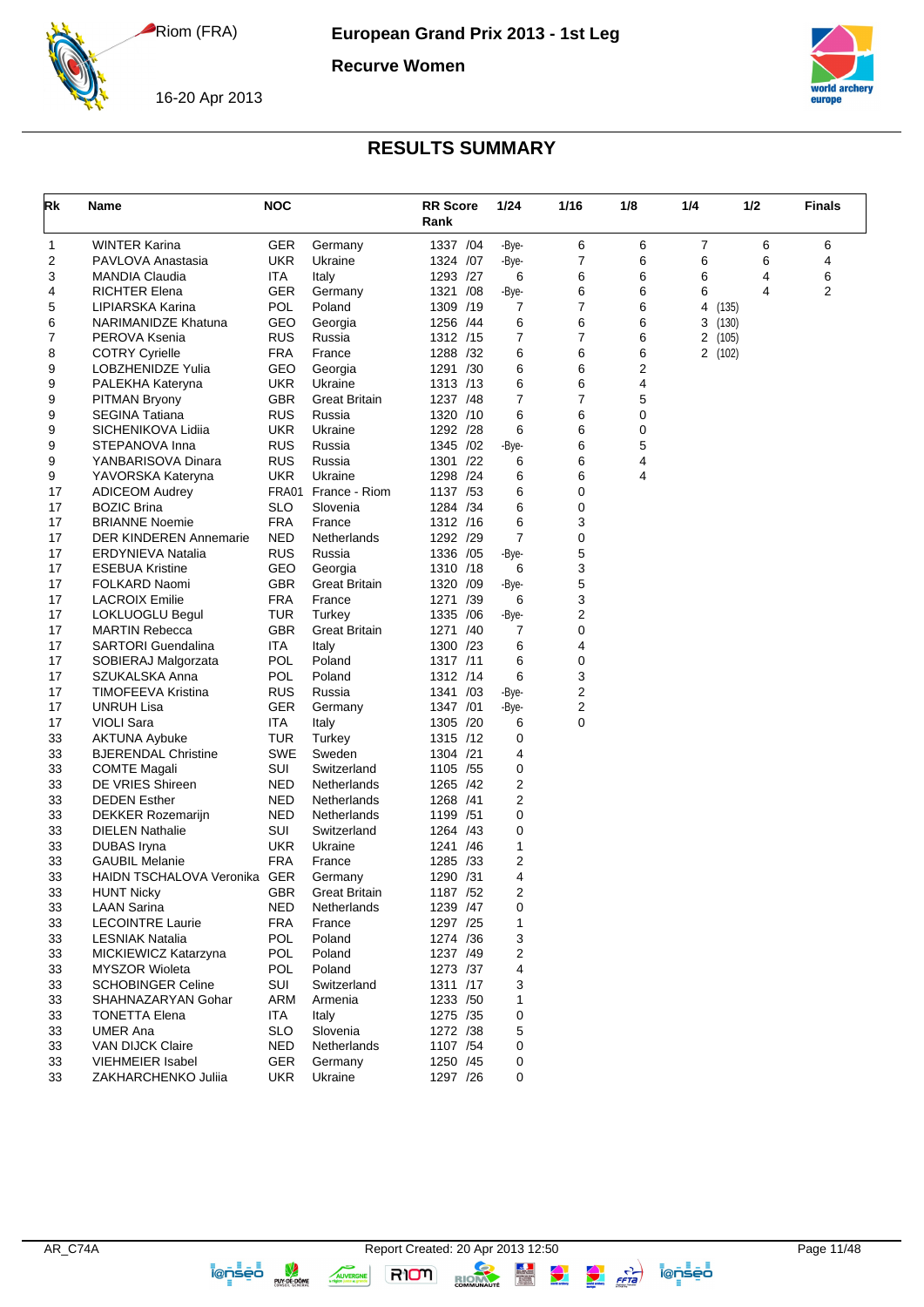**European Grand Prix 2013 - 1st Leg**

**Recurve Women**



16-20 Apr 2013



## **RESULTS SUMMARY**

| Rk       | Name                                    | <b>NOC</b>        |                                 | <b>RR</b> Score<br>Rank |     | 1/24                | 1/16           | 1/8 | 1/4            | 1/2   | <b>Finals</b>  |
|----------|-----------------------------------------|-------------------|---------------------------------|-------------------------|-----|---------------------|----------------|-----|----------------|-------|----------------|
| 1        | <b>WINTER Karina</b>                    | <b>GER</b>        | Germany                         | 1337 /04                |     | -Bye-               | 6              | 6   | $\overline{7}$ | 6     | 6              |
| 2        | PAVLOVA Anastasia                       | <b>UKR</b>        | Ukraine                         | 1324 /07                |     | -Bye-               | $\overline{7}$ | 6   | 6              | 6     | 4              |
| 3        | <b>MANDIA Claudia</b>                   | ITA               | Italy                           | 1293 /27                |     | 6                   | 6              | 6   | 6              | 4     | 6              |
| 4        | <b>RICHTER Elena</b>                    | GER               | Germany                         | 1321 /08                |     | -Bye-               | 6              | 6   | 6              | 4     | $\overline{2}$ |
| 5        | LIPIARSKA Karina                        | <b>POL</b>        | Poland                          | 1309 /19                |     | 7                   | 7              | 6   | 4              | (135) |                |
| 6        | NARIMANIDZE Khatuna                     | GEO               | Georgia                         | 1256 /44                |     | 6                   | 6              | 6   | 3              | (130) |                |
| 7        | PEROVA Ksenia                           | <b>RUS</b>        | Russia                          | 1312 /15                |     | 7                   | 7              | 6   | 2              | (105) |                |
| 8        | <b>COTRY Cyrielle</b>                   | <b>FRA</b>        | France                          | 1288 /32                |     | 6                   | 6              | 6   | 2(102)         |       |                |
| 9        | LOBZHENIDZE Yulia                       | GEO               | Georgia                         | 1291 /30                |     | 6                   | 6              | 2   |                |       |                |
| 9        | PALEKHA Kateryna                        | <b>UKR</b>        | Ukraine                         | 1313 /13                |     | 6                   | 6              | 4   |                |       |                |
| 9        | <b>PITMAN Bryony</b>                    | <b>GBR</b>        | <b>Great Britain</b>            | 1237 /48                |     | 7                   | 7              | 5   |                |       |                |
| 9        | <b>SEGINA Tatiana</b>                   | <b>RUS</b>        | Russia                          | 1320 /10                |     | 6                   | 6              | 0   |                |       |                |
| 9        | SICHENIKOVA Lidija                      | <b>UKR</b>        | Ukraine                         | 1292 /28                |     | 6                   | 6              | 0   |                |       |                |
| 9        | STEPANOVA Inna                          | <b>RUS</b>        | Russia                          | 1345 / 02               |     | -Bye-               | 6              | 5   |                |       |                |
| 9        | YANBARISOVA Dinara                      | <b>RUS</b>        | Russia                          | 1301 /22                |     | 6                   | 6              | 4   |                |       |                |
| 9        | YAVORSKA Kateryna                       | <b>UKR</b>        | Ukraine                         | 1298 /24                |     | 6                   | 6              | 4   |                |       |                |
| 17       | <b>ADICEOM Audrey</b>                   | FRA01             | France - Riom                   | 1137 /53                |     | 6                   | 0              |     |                |       |                |
| 17       | <b>BOZIC Brina</b>                      | <b>SLO</b>        | Slovenia                        | 1284 / 34               |     | 6                   | 0              |     |                |       |                |
| 17       | <b>BRIANNE Noemie</b>                   | <b>FRA</b>        | France                          | 1312 /16                |     | 6<br>$\overline{7}$ | 3              |     |                |       |                |
| 17       | <b>DER KINDEREN Annemarie</b>           | <b>NED</b>        | Netherlands                     | 1292 /29                |     |                     | 0              |     |                |       |                |
| 17<br>17 | <b>ERDYNIEVA Natalia</b>                | <b>RUS</b><br>GEO | Russia                          | 1336 /05                |     | -Bye-<br>6          | 5<br>3         |     |                |       |                |
| 17       | <b>ESEBUA Kristine</b><br>FOLKARD Naomi | <b>GBR</b>        | Georgia<br><b>Great Britain</b> | 1310 /18<br>1320 /09    |     | -Bye-               | 5              |     |                |       |                |
| 17       | <b>LACROIX Emilie</b>                   | <b>FRA</b>        | France                          | 1271                    | /39 | 6                   | 3              |     |                |       |                |
| 17       | LOKLUOGLU Begul                         | TUR               | Turkey                          | 1335 / 06               |     | -Bye-               | 2              |     |                |       |                |
| 17       | <b>MARTIN Rebecca</b>                   | <b>GBR</b>        | <b>Great Britain</b>            | 1271 /40                |     | 7                   | 0              |     |                |       |                |
| 17       | <b>SARTORI</b> Guendalina               | ITA               | Italy                           | 1300 /23                |     | 6                   | 4              |     |                |       |                |
| 17       | SOBIERAJ Malgorzata                     | POL               | Poland                          | 1317 /11                |     | 6                   | 0              |     |                |       |                |
| 17       | SZUKALSKA Anna                          | <b>POL</b>        | Poland                          | 1312 /14                |     | 6                   | 3              |     |                |       |                |
| 17       | <b>TIMOFEEVA Kristina</b>               | <b>RUS</b>        | Russia                          | 1341 /03                |     | -Bye-               | 2              |     |                |       |                |
| 17       | UNRUH Lisa                              | <b>GER</b>        | Germany                         | 1347 / 01               |     | -Bye-               | 2              |     |                |       |                |
| 17       | VIOLI Sara                              | ITA               | Italy                           | 1305 /20                |     | 6                   | 0              |     |                |       |                |
| 33       | <b>AKTUNA Aybuke</b>                    | TUR               | Turkey                          | 1315 /12                |     | 0                   |                |     |                |       |                |
| 33       | <b>BJERENDAL Christine</b>              | <b>SWE</b>        | Sweden                          | 1304 /21                |     | 4                   |                |     |                |       |                |
| 33       | COMTE Magali                            | SUI               | Switzerland                     | 1105 / 55               |     | 0                   |                |     |                |       |                |
| 33       | DE VRIES Shireen                        | <b>NED</b>        | Netherlands                     | 1265 /42                |     | 2                   |                |     |                |       |                |
| 33       | <b>DEDEN Esther</b>                     | <b>NED</b>        | Netherlands                     | 1268 /41                |     | 2                   |                |     |                |       |                |
| 33       | <b>DEKKER Rozemarijn</b>                | <b>NED</b>        | Netherlands                     | 1199 /51                |     | 0                   |                |     |                |       |                |
| 33       | <b>DIELEN Nathalie</b>                  | SUI               | Switzerland                     | 1264 /43                |     | 0                   |                |     |                |       |                |
| 33       | <b>DUBAS</b> Iryna                      | <b>UKR</b>        | Ukraine                         | 1241 /46                |     | 1                   |                |     |                |       |                |
| 33       | <b>GAUBIL Melanie</b>                   | <b>FRA</b>        | France                          | 1285 /33                |     | $\overline{2}$      |                |     |                |       |                |
| 33       | HAIDN TSCHALOVA Veronika GER            |                   | Germany                         | 1290 /31                |     | 4                   |                |     |                |       |                |
| 33       | <b>HUNT Nicky</b>                       | <b>GBR</b>        | <b>Great Britain</b>            | 1187 /52                |     | 2                   |                |     |                |       |                |
| 33       | <b>LAAN Sarina</b>                      | <b>NED</b>        | Netherlands                     | 1239 / 47               |     | 0                   |                |     |                |       |                |
| 33       | <b>LECOINTRE Laurie</b>                 | <b>FRA</b>        | France                          | 1297 /25                |     | 1                   |                |     |                |       |                |
| 33       | <b>LESNIAK Natalia</b>                  | <b>POL</b>        | Poland                          | 1274 /36                |     | 3                   |                |     |                |       |                |
| 33       | MICKIEWICZ Katarzyna                    | <b>POL</b>        | Poland                          | 1237 /49                |     | $\overline{c}$      |                |     |                |       |                |
| 33       | <b>MYSZOR Wioleta</b>                   | POL               | Poland                          | 1273 /37                |     | 4                   |                |     |                |       |                |
| 33       | <b>SCHOBINGER Celine</b>                | SUI               | Switzerland                     | 1311 /17                |     | 3                   |                |     |                |       |                |
| 33       | SHAHNAZARYAN Gohar                      | ARM               | Armenia                         | 1233 /50                |     | 1                   |                |     |                |       |                |
| 33       | <b>TONETTA Elena</b>                    | ITA.              | Italy                           | 1275 /35                |     | 0                   |                |     |                |       |                |
| 33       | <b>UMER Ana</b>                         | <b>SLO</b>        | Slovenia                        | 1272 /38                |     | 5                   |                |     |                |       |                |
| 33       | <b>VAN DIJCK Claire</b>                 | <b>NED</b>        | Netherlands                     | 1107 /54                |     | 0                   |                |     |                |       |                |
| 33       | <b>VIEHMEIER Isabel</b>                 | <b>GER</b>        | Germany                         | 1250 /45                |     | 0                   |                |     |                |       |                |
| 33       | ZAKHARCHENKO Juliia                     | <b>UKR</b>        | Ukraine                         | 1297 /26                |     | 0                   |                |     |                |       |                |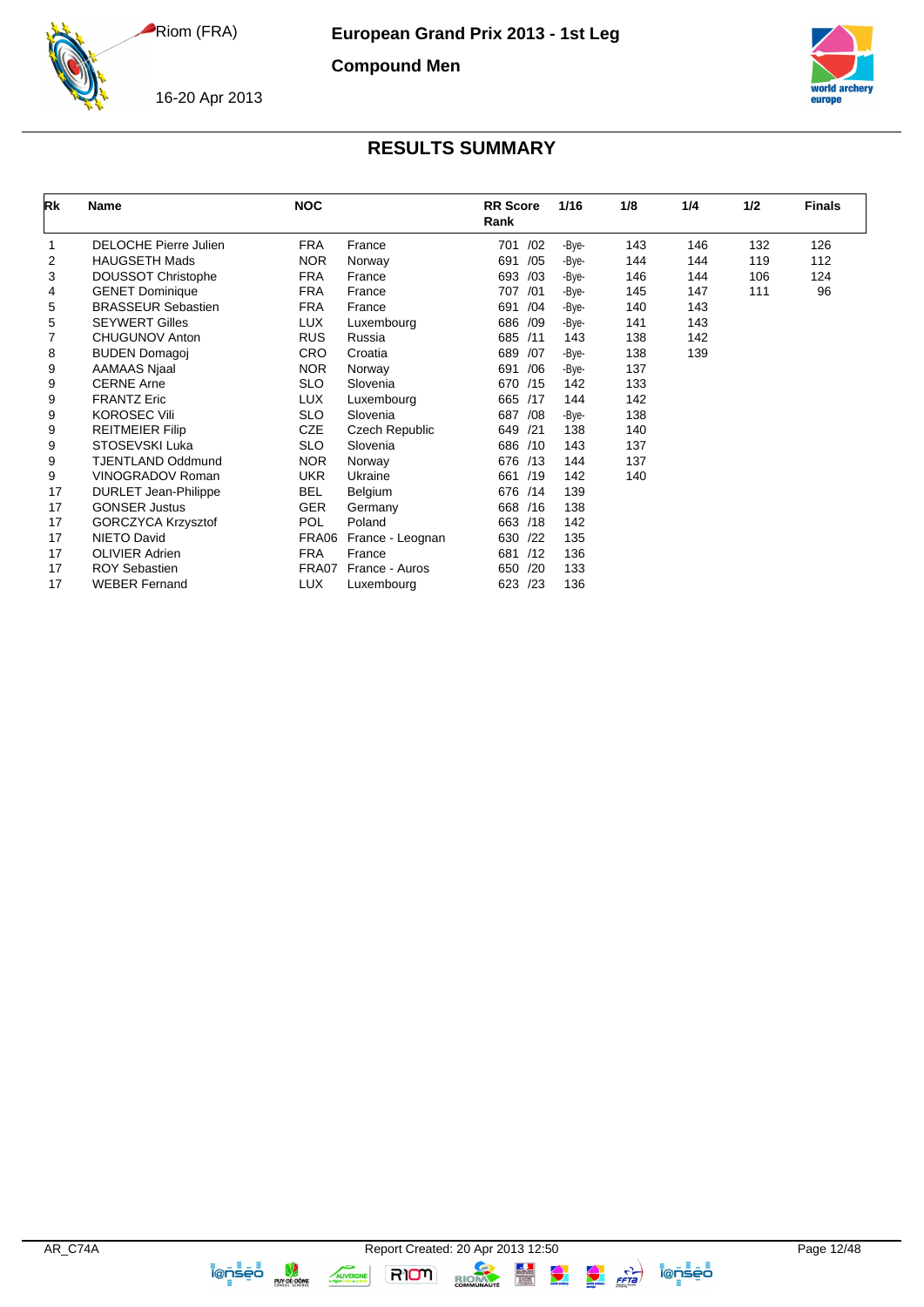**European Grand Prix 2013 - 1st Leg**

**Compound Men**



16-20 Apr 2013



## **RESULTS SUMMARY**

| Rk | <b>Name</b>                  | <b>NOC</b> |                  | <b>RR</b> Score<br>Rank | 1/16  | 1/8 | 1/4 | 1/2 | <b>Finals</b> |
|----|------------------------------|------------|------------------|-------------------------|-------|-----|-----|-----|---------------|
| 1  | <b>DELOCHE Pierre Julien</b> | <b>FRA</b> | France           | /02<br>701              | -Bye- | 143 | 146 | 132 | 126           |
| 2  | <b>HAUGSETH Mads</b>         | <b>NOR</b> | Norway           | /05<br>691              | -Bye- | 144 | 144 | 119 | 112           |
| 3  | DOUSSOT Christophe           | <b>FRA</b> | France           | 693<br>/03              | -Bye- | 146 | 144 | 106 | 124           |
| 4  | <b>GENET Dominique</b>       | <b>FRA</b> | France           | 707<br>/01              | -Bye- | 145 | 147 | 111 | 96            |
| 5  | <b>BRASSEUR Sebastien</b>    | <b>FRA</b> | France           | 691<br>/04              | -Bye- | 140 | 143 |     |               |
| 5  | <b>SEYWERT Gilles</b>        | LUX        | Luxembourg       | 686 /09                 | -Bye- | 141 | 143 |     |               |
| 7  | <b>CHUGUNOV Anton</b>        | <b>RUS</b> | Russia           | 685 /11                 | 143   | 138 | 142 |     |               |
| 8  | <b>BUDEN Domagoi</b>         | <b>CRO</b> | Croatia          | 689<br>/07              | -Bye- | 138 | 139 |     |               |
| 9  | <b>AAMAAS Njaal</b>          | <b>NOR</b> | Norway           | /06<br>691              | -Bye- | 137 |     |     |               |
| 9  | <b>CERNE Arne</b>            | <b>SLO</b> | Slovenia         | 670 /15                 | 142   | 133 |     |     |               |
| 9  | <b>FRANTZ Eric</b>           | <b>LUX</b> | Luxembourg       | 665 /17                 | 144   | 142 |     |     |               |
| 9  | <b>KOROSEC Vili</b>          | <b>SLO</b> | Slovenia         | 687 / 08                | -Bye- | 138 |     |     |               |
| 9  | <b>REITMEIER Filip</b>       | CZE        | Czech Republic   | 649 /21                 | 138   | 140 |     |     |               |
| 9  | STOSEVSKI Luka               | <b>SLO</b> | Slovenia         | 686 /10                 | 143   | 137 |     |     |               |
| 9  | <b>TJENTLAND Oddmund</b>     | <b>NOR</b> | Norway           | 676 /13                 | 144   | 137 |     |     |               |
| 9  | VINOGRADOV Roman             | <b>UKR</b> | Ukraine          | /19<br>661              | 142   | 140 |     |     |               |
| 17 | <b>DURLET Jean-Philippe</b>  | <b>BEL</b> | Belgium          | 676 /14                 | 139   |     |     |     |               |
| 17 | <b>GONSER Justus</b>         | <b>GER</b> | Germany          | 668 /16                 | 138   |     |     |     |               |
| 17 | GORCZYCA Krzysztof           | <b>POL</b> | Poland           | 663 /18                 | 142   |     |     |     |               |
| 17 | NIETO David                  | FRA06      | France - Leognan | 630 /22                 | 135   |     |     |     |               |
| 17 | <b>OLIVIER Adrien</b>        | <b>FRA</b> | France           | /12<br>681              | 136   |     |     |     |               |
| 17 | <b>ROY Sebastien</b>         | FRA07      | France - Auros   | /20<br>650              | 133   |     |     |     |               |
| 17 | <b>WEBER Fernand</b>         | LUX        | Luxembourg       | /23<br>623              | 136   |     |     |     |               |

RIOM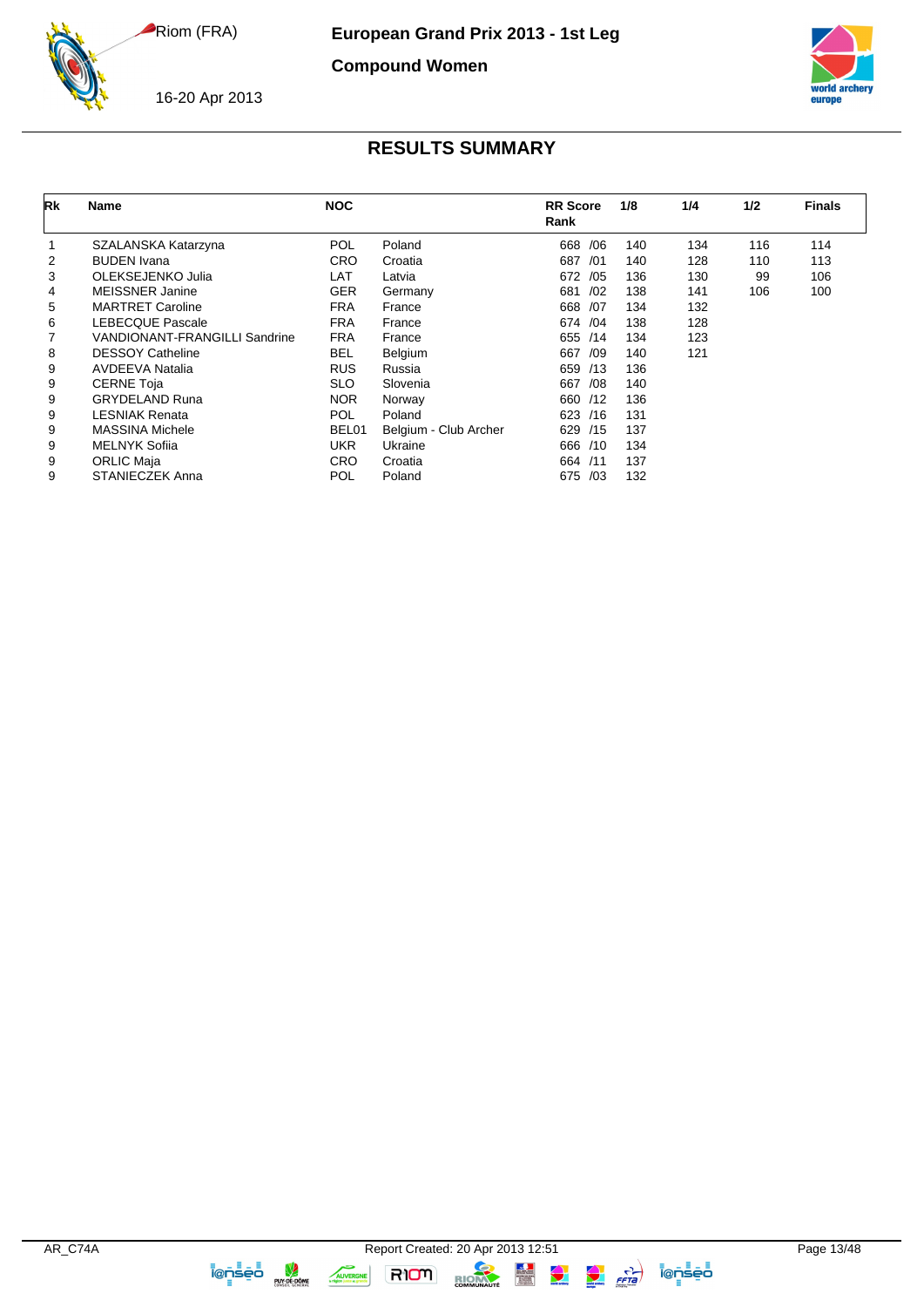**European Grand Prix 2013 - 1st Leg**

**Compound Women**



16-20 Apr 2013



# **RESULTS SUMMARY**

| Rk | Name                          | <b>NOC</b> |                       | <b>RR</b> Score<br>Rank | 1/8 | 1/4 | 1/2 | <b>Finals</b> |
|----|-------------------------------|------------|-----------------------|-------------------------|-----|-----|-----|---------------|
| 1  | SZALANSKA Katarzyna           | <b>POL</b> | Poland                | 668 / 06                | 140 | 134 | 116 | 114           |
| 2  | <b>BUDEN</b> Ivana            | CRO        | Croatia               | /01<br>687              | 140 | 128 | 110 | 113           |
| 3  | OLEKSEJENKO Julia             | LAT        | Latvia                | 672 / 05                | 136 | 130 | 99  | 106           |
| 4  | <b>MEISSNER Janine</b>        | <b>GER</b> | Germany               | /02<br>681              | 138 | 141 | 106 | 100           |
| 5  | <b>MARTRET Caroline</b>       | <b>FRA</b> | France                | /07<br>668              | 134 | 132 |     |               |
| 6  | <b>LEBECQUE Pascale</b>       | <b>FRA</b> | France                | 674 / 04                | 138 | 128 |     |               |
| 7  | VANDIONANT-FRANGILLI Sandrine | <b>FRA</b> | France                | /14<br>655              | 134 | 123 |     |               |
| 8  | <b>DESSOY Catheline</b>       | <b>BEL</b> | Belgium               | /09<br>667              | 140 | 121 |     |               |
| 9  | <b>AVDEEVA Natalia</b>        | <b>RUS</b> | Russia                | /13<br>659              | 136 |     |     |               |
| 9  | <b>CERNE Toja</b>             | <b>SLO</b> | Slovenia              | 667<br>/08              | 140 |     |     |               |
| 9  | <b>GRYDELAND Runa</b>         | <b>NOR</b> | Norway                | 660 /12                 | 136 |     |     |               |
| 9  | LESNIAK Renata                | <b>POL</b> | Poland                | 623 /16                 | 131 |     |     |               |
| 9  | <b>MASSINA Michele</b>        | BEL01      | Belgium - Club Archer | 629<br>/15              | 137 |     |     |               |
| 9  | <b>MELNYK Sofija</b>          | <b>UKR</b> | Ukraine               | /10<br>666              | 134 |     |     |               |
| 9  | <b>ORLIC Maja</b>             | <b>CRO</b> | Croatia               | /11<br>664              | 137 |     |     |               |
| 9  | STANIECZEK Anna               | <b>POL</b> | Poland                | /03<br>675              | 132 |     |     |               |

RION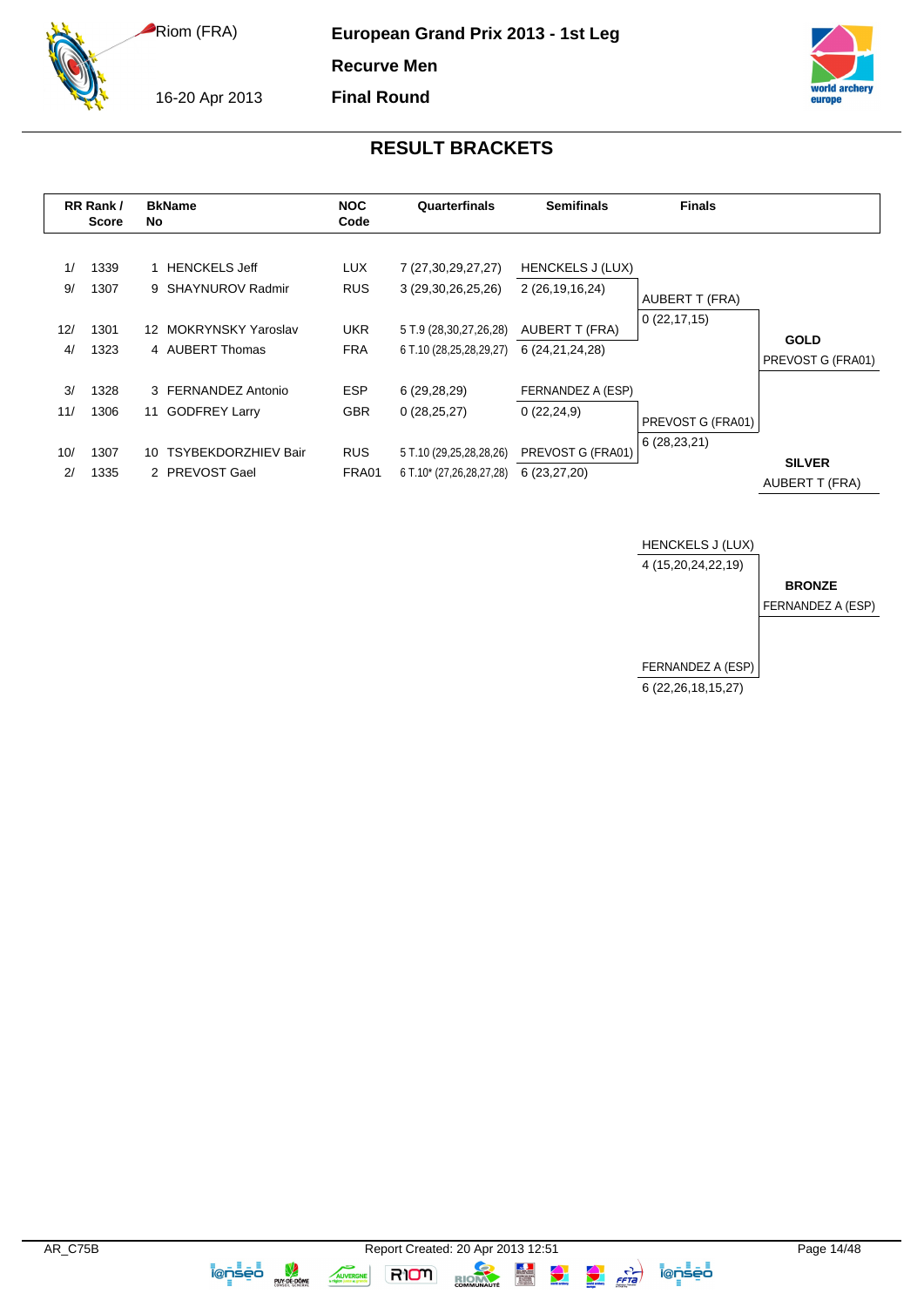16-20 Apr 2013

**European Grand Prix 2013 - 1st Leg**

**Recurve Men**

**Final Round**



# **RESULT BRACKETS**

|           | RR Rank/<br><b>Score</b> | <b>BkName</b><br>No.                              | <b>NOC</b><br>Code       | Quarterfinals                                       | <b>Semifinals</b>                          | <b>Finals</b>         |                                  |
|-----------|--------------------------|---------------------------------------------------|--------------------------|-----------------------------------------------------|--------------------------------------------|-----------------------|----------------------------------|
| 1/<br>9/  | 1339<br>1307             | <b>HENCKELS Jeff</b><br>9 SHAYNUROV Radmir        | <b>LUX</b><br><b>RUS</b> | 7 (27,30,29,27,27)<br>3 (29,30,26,25,26)            | <b>HENCKELS J (LUX)</b><br>2 (26,19,16,24) | <b>AUBERT T (FRA)</b> |                                  |
| 12/<br>4/ | 1301<br>1323             | 12 MOKRYNSKY Yaroslav<br>4 AUBERT Thomas          | UKR.<br><b>FRA</b>       | 5 T.9 (28,30,27,26,28)<br>6 T.10 (28,25,28,29,27)   | AUBERT T (FRA)<br>6 (24, 21, 24, 28)       | 0(22, 17, 15)         | <b>GOLD</b><br>PREVOST G (FRA01) |
| 3/<br>11/ | 1328<br>1306             | 3 FERNANDEZ Antonio<br><b>GODFREY Larry</b><br>11 | <b>ESP</b><br><b>GBR</b> | 6 (29,28,29)<br>0(28, 25, 27)                       | FERNANDEZ A (ESP)<br>0(22, 24, 9)          | PREVOST G (FRA01)     |                                  |
| 10/<br>21 | 1307<br>1335             | 10 TSYBEKDORZHIEV Bair<br>2 PREVOST Gael          | <b>RUS</b><br>FRA01      | 5 T.10 (29,25,28,28,26)<br>6 T.10* (27,26,28,27,28) | PREVOST G (FRA01)<br>6 (23,27,20)          | 6(28, 23, 21)         | <b>SILVER</b><br>AUBERT T (FRA)  |



RIOM

AUVERGNE

**TOTSED**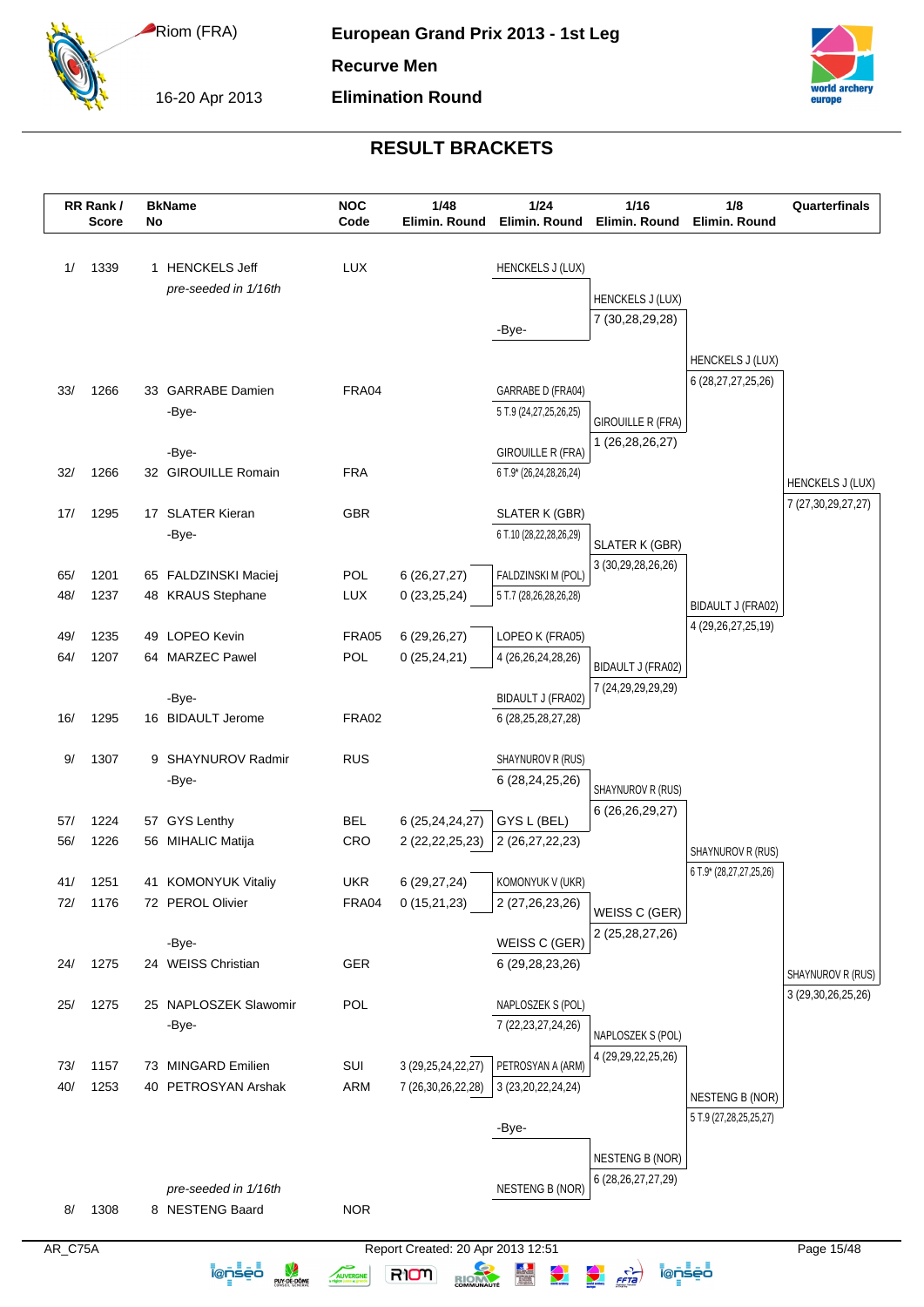16-20 Apr 2013

**European Grand Prix 2013 - 1st Leg**

**Recurve Men**

**Elimination Round**



|            | RR Rank /<br><b>Score</b> | No | <b>BkName</b>         | <b>NOC</b><br>Code | 1/48<br>Elimin. Round                        | $1/24$<br>Elimin. Round                     | 1/16<br>Elimin. Round                                                                                                                                                                                                                                                                                                                                                                                                | 1/8<br>Elimin. Round       | Quarterfinals           |
|------------|---------------------------|----|-----------------------|--------------------|----------------------------------------------|---------------------------------------------|----------------------------------------------------------------------------------------------------------------------------------------------------------------------------------------------------------------------------------------------------------------------------------------------------------------------------------------------------------------------------------------------------------------------|----------------------------|-------------------------|
| 1/         | 1339                      |    | 1 HENCKELS Jeff       | <b>LUX</b>         |                                              |                                             |                                                                                                                                                                                                                                                                                                                                                                                                                      |                            |                         |
|            |                           |    |                       |                    |                                              | <b>HENCKELS J (LUX)</b>                     |                                                                                                                                                                                                                                                                                                                                                                                                                      |                            |                         |
|            |                           |    | pre-seeded in 1/16th  |                    |                                              |                                             | <b>HENCKELS J (LUX)</b>                                                                                                                                                                                                                                                                                                                                                                                              |                            |                         |
|            |                           |    |                       |                    |                                              | -Bye-                                       | 7 (30,28,29,28)                                                                                                                                                                                                                                                                                                                                                                                                      |                            |                         |
|            |                           |    |                       |                    |                                              |                                             |                                                                                                                                                                                                                                                                                                                                                                                                                      |                            |                         |
|            |                           |    |                       |                    |                                              |                                             |                                                                                                                                                                                                                                                                                                                                                                                                                      | HENCKELS J (LUX)           |                         |
| 33/        | 1266                      |    | 33 GARRABE Damien     | FRA04              |                                              | GARRABE D (FRA04)                           |                                                                                                                                                                                                                                                                                                                                                                                                                      | 6 (28, 27, 27, 25, 26)     |                         |
|            |                           |    | -Bye-                 |                    |                                              | 5 T.9 (24,27,25,26,25)                      |                                                                                                                                                                                                                                                                                                                                                                                                                      |                            |                         |
|            |                           |    |                       |                    |                                              |                                             | <b>GIROUILLE R (FRA)</b>                                                                                                                                                                                                                                                                                                                                                                                             |                            |                         |
|            |                           |    | -Bye-                 |                    |                                              | <b>GIROUILLE R (FRA)</b>                    | 1 (26, 28, 26, 27)                                                                                                                                                                                                                                                                                                                                                                                                   |                            |                         |
| 32/        | 1266                      |    | 32 GIROUILLE Romain   | <b>FRA</b>         |                                              | 6 T.9* (26,24,28,26,24)                     |                                                                                                                                                                                                                                                                                                                                                                                                                      |                            |                         |
|            |                           |    |                       |                    |                                              |                                             |                                                                                                                                                                                                                                                                                                                                                                                                                      |                            | <b>HENCKELS J (LUX)</b> |
| 17/        | 1295                      |    | 17 SLATER Kieran      | GBR                |                                              | SLATER K (GBR)                              |                                                                                                                                                                                                                                                                                                                                                                                                                      |                            | 7 (27, 30, 29, 27, 27)  |
|            |                           |    | -Bye-                 |                    |                                              | 6 T.10 (28,22,28,26,29)                     |                                                                                                                                                                                                                                                                                                                                                                                                                      |                            |                         |
|            |                           |    |                       |                    |                                              |                                             | <b>SLATER K (GBR)</b>                                                                                                                                                                                                                                                                                                                                                                                                |                            |                         |
| 65/        | 1201                      |    | 65 FALDZINSKI Maciej  | POL                | 6(26, 27, 27)                                | FALDZINSKI M (POL)                          | 3 (30,29,28,26,26)                                                                                                                                                                                                                                                                                                                                                                                                   |                            |                         |
| 48/        | 1237                      |    | 48 KRAUS Stephane     | LUX                | 0(23,25,24)                                  | 5 T.7 (28,26,28,26,28)                      |                                                                                                                                                                                                                                                                                                                                                                                                                      |                            |                         |
|            |                           |    |                       |                    |                                              |                                             |                                                                                                                                                                                                                                                                                                                                                                                                                      | BIDAULT J (FRA02)          |                         |
| 49/        | 1235                      |    | 49 LOPEO Kevin        | FRA05              | 6 (29,26,27)                                 | LOPEO K (FRA05)                             |                                                                                                                                                                                                                                                                                                                                                                                                                      | 4 (29, 26, 27, 25, 19)     |                         |
| 64/        | 1207                      |    | 64 MARZEC Pawel       | POL                | 0(25, 24, 21)                                | 4 (26,26,24,28,26)                          | BIDAULT J (FRA02)                                                                                                                                                                                                                                                                                                                                                                                                    |                            |                         |
|            |                           |    |                       |                    |                                              |                                             | 7 (24, 29, 29, 29, 29)                                                                                                                                                                                                                                                                                                                                                                                               |                            |                         |
|            |                           |    | -Bye-                 |                    |                                              | BIDAULT J (FRA02)                           |                                                                                                                                                                                                                                                                                                                                                                                                                      |                            |                         |
| 16/        | 1295                      |    | 16 BIDAULT Jerome     | <b>FRA02</b>       |                                              | 6 (28, 25, 28, 27, 28)                      |                                                                                                                                                                                                                                                                                                                                                                                                                      |                            |                         |
| 9/         | 1307                      |    | 9 SHAYNUROV Radmir    | <b>RUS</b>         |                                              | SHAYNUROV R (RUS)                           |                                                                                                                                                                                                                                                                                                                                                                                                                      |                            |                         |
|            |                           |    | -Bye-                 |                    |                                              | 6 (28,24,25,26)                             | SHAYNUROV R (RUS)                                                                                                                                                                                                                                                                                                                                                                                                    |                            |                         |
|            |                           |    |                       |                    |                                              |                                             | 6 (26,26,29,27)                                                                                                                                                                                                                                                                                                                                                                                                      |                            |                         |
| 57/        | 1224                      |    | 57 GYS Lenthy         | <b>BEL</b>         | 6 (25,24,24,27)                              | GYS L (BEL)                                 |                                                                                                                                                                                                                                                                                                                                                                                                                      |                            |                         |
| 56/        | 1226                      |    | 56 MIHALIC Matija     | CRO                | 2 (22, 22, 25, 23)                           | 2 (26,27,22,23)                             |                                                                                                                                                                                                                                                                                                                                                                                                                      | SHAYNUROV R (RUS)          |                         |
|            |                           |    |                       |                    |                                              |                                             |                                                                                                                                                                                                                                                                                                                                                                                                                      | 6 T.9* (28,27,27,25,26)    |                         |
| 41/        | 1251                      |    | 41 KOMONYUK Vitaliy   | <b>UKR</b>         | 6 (29,27,24)                                 | KOMONYUK V (UKR)                            |                                                                                                                                                                                                                                                                                                                                                                                                                      |                            |                         |
| 72/        | 1176                      |    | 72 PEROL Olivier      | FRA04              | 0(15,21,23)                                  | 2 (27,26,23,26)                             | WEISS C (GER)                                                                                                                                                                                                                                                                                                                                                                                                        |                            |                         |
|            |                           |    |                       |                    |                                              |                                             | 2 (25, 28, 27, 26)                                                                                                                                                                                                                                                                                                                                                                                                   |                            |                         |
|            |                           |    | -Bye-                 |                    |                                              | WEISS C (GER)                               |                                                                                                                                                                                                                                                                                                                                                                                                                      |                            |                         |
| 24/        | 1275                      |    | 24 WEISS Christian    | GER                |                                              | 6 (29,28,23,26)                             |                                                                                                                                                                                                                                                                                                                                                                                                                      |                            | SHAYNUROV R (RUS)       |
|            |                           |    |                       |                    |                                              |                                             |                                                                                                                                                                                                                                                                                                                                                                                                                      |                            | 3 (29, 30, 26, 25, 26)  |
| 25/        | 1275                      |    | 25 NAPLOSZEK Slawomir | POL                |                                              | NAPLOSZEK S (POL)                           |                                                                                                                                                                                                                                                                                                                                                                                                                      |                            |                         |
|            |                           |    | -Bye-                 |                    |                                              | 7 (22, 23, 27, 24, 26)                      | NAPLOSZEK S (POL)                                                                                                                                                                                                                                                                                                                                                                                                    |                            |                         |
|            |                           |    | 73 MINGARD Emilien    |                    |                                              |                                             | 4 (29,29,22,25,26)                                                                                                                                                                                                                                                                                                                                                                                                   |                            |                         |
| 73/<br>40/ | 1157<br>1253              |    | 40 PETROSYAN Arshak   | SUI<br><b>ARM</b>  | 3 (29, 25, 24, 22, 27)<br>7 (26,30,26,22,28) | PETROSYAN A (ARM)<br>3 (23, 20, 22, 24, 24) |                                                                                                                                                                                                                                                                                                                                                                                                                      |                            |                         |
|            |                           |    |                       |                    |                                              |                                             |                                                                                                                                                                                                                                                                                                                                                                                                                      | NESTENG B (NOR)            |                         |
|            |                           |    |                       |                    |                                              |                                             |                                                                                                                                                                                                                                                                                                                                                                                                                      | 5 T.9 (27, 28, 25, 25, 27) |                         |
|            |                           |    |                       |                    |                                              | -Bye-                                       |                                                                                                                                                                                                                                                                                                                                                                                                                      |                            |                         |
|            |                           |    |                       |                    |                                              |                                             | <b>NESTENG B (NOR)</b>                                                                                                                                                                                                                                                                                                                                                                                               |                            |                         |
|            |                           |    | pre-seeded in 1/16th  |                    |                                              | <b>NESTENG B (NOR)</b>                      | 6 (28, 26, 27, 27, 29)                                                                                                                                                                                                                                                                                                                                                                                               |                            |                         |
| 8/         | 1308                      |    | 8 NESTENG Baard       | <b>NOR</b>         |                                              |                                             |                                                                                                                                                                                                                                                                                                                                                                                                                      |                            |                         |
|            |                           |    |                       |                    |                                              |                                             |                                                                                                                                                                                                                                                                                                                                                                                                                      |                            |                         |
| AR_C75A    |                           |    |                       |                    | Report Created: 20 Apr 2013 12:51            |                                             |                                                                                                                                                                                                                                                                                                                                                                                                                      |                            | Page 15/48              |
|            |                           |    | i@nseo<br>PUY-DE-DÔME | AUVERGNE           | RIOM<br><b>RIOM</b>                          |                                             | $\frac{1}{\sqrt{1-\frac{1}{2}}\sqrt{1-\frac{1}{2}}\sqrt{1-\frac{1}{2}}\sqrt{1-\frac{1}{2}}\sqrt{1-\frac{1}{2}}\sqrt{1-\frac{1}{2}}\sqrt{1-\frac{1}{2}}\sqrt{1-\frac{1}{2}}\sqrt{1-\frac{1}{2}}\sqrt{1-\frac{1}{2}}\sqrt{1-\frac{1}{2}}\sqrt{1-\frac{1}{2}}\sqrt{1-\frac{1}{2}}\sqrt{1-\frac{1}{2}}\sqrt{1-\frac{1}{2}}\sqrt{1-\frac{1}{2}}\sqrt{1-\frac{1}{2}}\sqrt{1-\frac{1}{2}}\sqrt{1-\frac{1}{2}}\sqrt{1-\frac$ | <u> ĩ@ņse</u> o            |                         |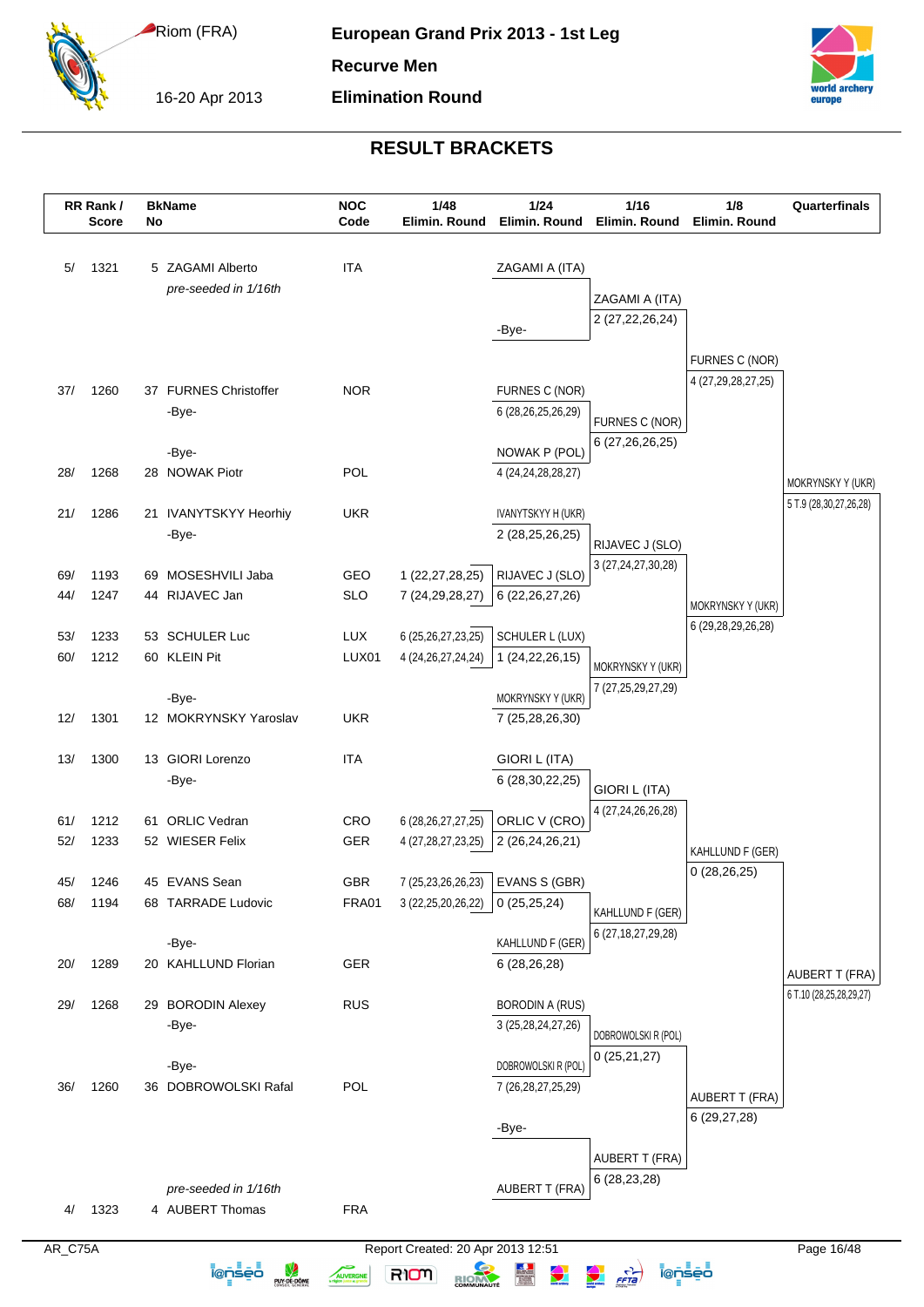16-20 Apr 2013

**Recurve Men**

**Elimination Round**



|            | RR Rank/<br><b>Score</b> | No | <b>BkName</b>                       | <b>NOC</b><br>Code | 1/48<br>Elimin. Round                        | 1/24<br>Elimin. Round                        | 1/16<br>Elimin. Round                                                                                                                                                                                                                                                                                                                                                                                                | 1/8<br>Elimin. Round                 | Quarterfinals           |
|------------|--------------------------|----|-------------------------------------|--------------------|----------------------------------------------|----------------------------------------------|----------------------------------------------------------------------------------------------------------------------------------------------------------------------------------------------------------------------------------------------------------------------------------------------------------------------------------------------------------------------------------------------------------------------|--------------------------------------|-------------------------|
| 5/         | 1321                     |    | 5 ZAGAMI Alberto                    | <b>ITA</b>         |                                              | ZAGAMI A (ITA)                               |                                                                                                                                                                                                                                                                                                                                                                                                                      |                                      |                         |
|            |                          |    | pre-seeded in 1/16th                |                    |                                              |                                              |                                                                                                                                                                                                                                                                                                                                                                                                                      |                                      |                         |
|            |                          |    |                                     |                    |                                              |                                              | ZAGAMI A (ITA)                                                                                                                                                                                                                                                                                                                                                                                                       |                                      |                         |
|            |                          |    |                                     |                    |                                              | -Bye-                                        | 2 (27, 22, 26, 24)                                                                                                                                                                                                                                                                                                                                                                                                   |                                      |                         |
|            |                          |    |                                     |                    |                                              |                                              |                                                                                                                                                                                                                                                                                                                                                                                                                      |                                      |                         |
|            |                          |    |                                     |                    |                                              |                                              |                                                                                                                                                                                                                                                                                                                                                                                                                      | FURNES C (NOR)<br>4 (27,29,28,27,25) |                         |
| 37/        | 1260                     |    | 37 FURNES Christoffer               | <b>NOR</b>         |                                              | FURNES C (NOR)                               |                                                                                                                                                                                                                                                                                                                                                                                                                      |                                      |                         |
|            |                          |    | -Bye-                               |                    |                                              | 6 (28,26,25,26,29)                           | FURNES C (NOR)                                                                                                                                                                                                                                                                                                                                                                                                       |                                      |                         |
|            |                          |    |                                     |                    |                                              |                                              | 6 (27,26,26,25)                                                                                                                                                                                                                                                                                                                                                                                                      |                                      |                         |
|            |                          |    | -Bye-                               |                    |                                              | NOWAK P (POL)                                |                                                                                                                                                                                                                                                                                                                                                                                                                      |                                      |                         |
| 28/        | 1268                     |    | 28 NOWAK Piotr                      | POL                |                                              | 4 (24, 24, 28, 28, 27)                       |                                                                                                                                                                                                                                                                                                                                                                                                                      |                                      | MOKRYNSKY Y (UKR)       |
| 21/        | 1286                     |    |                                     | <b>UKR</b>         |                                              |                                              |                                                                                                                                                                                                                                                                                                                                                                                                                      |                                      | 5 T.9 (28,30,27,26,28)  |
|            |                          |    | 21 IVANYTSKYY Heorhiy<br>-Bye-      |                    |                                              | <b>IVANYTSKYY H (UKR)</b><br>2 (28,25,26,25) |                                                                                                                                                                                                                                                                                                                                                                                                                      |                                      |                         |
|            |                          |    |                                     |                    |                                              |                                              | RIJAVEC J (SLO)                                                                                                                                                                                                                                                                                                                                                                                                      |                                      |                         |
| 69/        | 1193                     |    | 69 MOSESHVILI Jaba                  | GEO                | 1 (22,27,28,25)                              | RIJAVEC J (SLO)                              | 3 (27,24,27,30,28)                                                                                                                                                                                                                                                                                                                                                                                                   |                                      |                         |
| 44/        | 1247                     |    | 44 RIJAVEC Jan                      | <b>SLO</b>         | 7 (24,29,28,27)                              | 6 (22, 26, 27, 26)                           |                                                                                                                                                                                                                                                                                                                                                                                                                      |                                      |                         |
|            |                          |    |                                     |                    |                                              |                                              |                                                                                                                                                                                                                                                                                                                                                                                                                      | MOKRYNSKY Y (UKR)                    |                         |
| 53/        | 1233                     |    | 53 SCHULER Luc                      | <b>LUX</b>         | 6 (25,26,27,23,25)                           | SCHULER L (LUX)                              |                                                                                                                                                                                                                                                                                                                                                                                                                      | 6 (29,28,29,26,28)                   |                         |
| 60/        | 1212                     |    | 60 KLEIN Pit                        | LUX01              | 4 (24, 26, 27, 24, 24)                       | 1 (24, 22, 26, 15)                           | MOKRYNSKY Y (UKR)                                                                                                                                                                                                                                                                                                                                                                                                    |                                      |                         |
|            |                          |    |                                     |                    |                                              |                                              | 7 (27, 25, 29, 27, 29)                                                                                                                                                                                                                                                                                                                                                                                               |                                      |                         |
|            |                          |    | -Bye-                               |                    |                                              | MOKRYNSKY Y (UKR)                            |                                                                                                                                                                                                                                                                                                                                                                                                                      |                                      |                         |
| 12/        | 1301                     |    | 12 MOKRYNSKY Yaroslav               | <b>UKR</b>         |                                              | 7 (25,28,26,30)                              |                                                                                                                                                                                                                                                                                                                                                                                                                      |                                      |                         |
| 13/        | 1300                     |    | 13 GIORI Lorenzo                    | <b>ITA</b>         |                                              | GIORI L (ITA)                                |                                                                                                                                                                                                                                                                                                                                                                                                                      |                                      |                         |
|            |                          |    | -Bye-                               |                    |                                              | 6 (28,30,22,25)                              | GIORI L (ITA)                                                                                                                                                                                                                                                                                                                                                                                                        |                                      |                         |
|            |                          |    |                                     |                    |                                              |                                              | 4 (27,24,26,26,28)                                                                                                                                                                                                                                                                                                                                                                                                   |                                      |                         |
| 61/        | 1212                     |    | 61 ORLIC Vedran                     | CRO                | 6 (28, 26, 27, 27, 25)                       | ORLIC V (CRO)                                |                                                                                                                                                                                                                                                                                                                                                                                                                      |                                      |                         |
| 52/        | 1233                     |    | 52 WIESER Felix                     | GER                | 4 (27, 28, 27, 23, 25)                       | 2 (26,24,26,21)                              |                                                                                                                                                                                                                                                                                                                                                                                                                      | KAHLLUND F (GER)                     |                         |
|            |                          |    |                                     |                    |                                              |                                              |                                                                                                                                                                                                                                                                                                                                                                                                                      | 0(28, 26, 25)                        |                         |
| 45/<br>68/ | 1246<br>1194             |    | 45 EVANS Sean<br>68 TARRADE Ludovic | GBR<br>FRA01       | 7 (25,23,26,26,23)<br>3 (22, 25, 20, 26, 22) | EVANS S (GBR)<br>0(25,25,24)                 |                                                                                                                                                                                                                                                                                                                                                                                                                      |                                      |                         |
|            |                          |    |                                     |                    |                                              |                                              | KAHLLUND F (GER)                                                                                                                                                                                                                                                                                                                                                                                                     |                                      |                         |
|            |                          |    | -Bye-                               |                    |                                              | KAHLLUND F (GER)                             | 6 (27, 18, 27, 29, 28)                                                                                                                                                                                                                                                                                                                                                                                               |                                      |                         |
| 20/        | 1289                     |    | 20 KAHLLUND Florian                 | GER                |                                              | 6(28, 26, 28)                                |                                                                                                                                                                                                                                                                                                                                                                                                                      |                                      |                         |
|            |                          |    |                                     |                    |                                              |                                              |                                                                                                                                                                                                                                                                                                                                                                                                                      |                                      | <b>AUBERT T (FRA)</b>   |
| 29/        | 1268                     |    | 29 BORODIN Alexey                   | <b>RUS</b>         |                                              | <b>BORODIN A (RUS)</b>                       |                                                                                                                                                                                                                                                                                                                                                                                                                      |                                      | 6 T.10 (28,25,28,29,27) |
|            |                          |    | -Bye-                               |                    |                                              | 3 (25, 28, 24, 27, 26)                       |                                                                                                                                                                                                                                                                                                                                                                                                                      |                                      |                         |
|            |                          |    |                                     |                    |                                              |                                              | DOBROWOLSKI R (POL)                                                                                                                                                                                                                                                                                                                                                                                                  |                                      |                         |
|            |                          |    | -Bye-                               |                    |                                              | DOBROWOLSKI R (POL)                          | 0(25,21,27)                                                                                                                                                                                                                                                                                                                                                                                                          |                                      |                         |
| 36/        | 1260                     |    | 36 DOBROWOLSKI Rafal                | POL                |                                              | 7 (26, 28, 27, 25, 29)                       |                                                                                                                                                                                                                                                                                                                                                                                                                      | <b>AUBERT T (FRA)</b>                |                         |
|            |                          |    |                                     |                    |                                              |                                              |                                                                                                                                                                                                                                                                                                                                                                                                                      | 6(29, 27, 28)                        |                         |
|            |                          |    |                                     |                    |                                              | -Bye-                                        |                                                                                                                                                                                                                                                                                                                                                                                                                      |                                      |                         |
|            |                          |    |                                     |                    |                                              |                                              | <b>AUBERT T (FRA)</b>                                                                                                                                                                                                                                                                                                                                                                                                |                                      |                         |
|            |                          |    | pre-seeded in 1/16th                |                    |                                              | <b>AUBERT T (FRA)</b>                        | 6 (28, 23, 28)                                                                                                                                                                                                                                                                                                                                                                                                       |                                      |                         |
| 4/         | 1323                     |    | 4 AUBERT Thomas                     | <b>FRA</b>         |                                              |                                              |                                                                                                                                                                                                                                                                                                                                                                                                                      |                                      |                         |
|            |                          |    |                                     |                    |                                              |                                              |                                                                                                                                                                                                                                                                                                                                                                                                                      |                                      |                         |
| AR_C75A    |                          |    |                                     |                    | Report Created: 20 Apr 2013 12:51            |                                              |                                                                                                                                                                                                                                                                                                                                                                                                                      |                                      | Page 16/48              |
|            |                          |    | i@nseo<br>PUY-DE-DÔME               | AUVERGNE           | RIOM<br><b>RIOM</b>                          |                                              | $\frac{1}{\sqrt{1-\frac{1}{2}}\sqrt{1-\frac{1}{2}}\sqrt{1-\frac{1}{2}}\sqrt{1-\frac{1}{2}}\sqrt{1-\frac{1}{2}}\sqrt{1-\frac{1}{2}}\sqrt{1-\frac{1}{2}}\sqrt{1-\frac{1}{2}}\sqrt{1-\frac{1}{2}}\sqrt{1-\frac{1}{2}}\sqrt{1-\frac{1}{2}}\sqrt{1-\frac{1}{2}}\sqrt{1-\frac{1}{2}}\sqrt{1-\frac{1}{2}}\sqrt{1-\frac{1}{2}}\sqrt{1-\frac{1}{2}}\sqrt{1-\frac{1}{2}}\sqrt{1-\frac{1}{2}}\sqrt{1-\frac{1}{2}}\sqrt{1-\frac$ | ionseo                               |                         |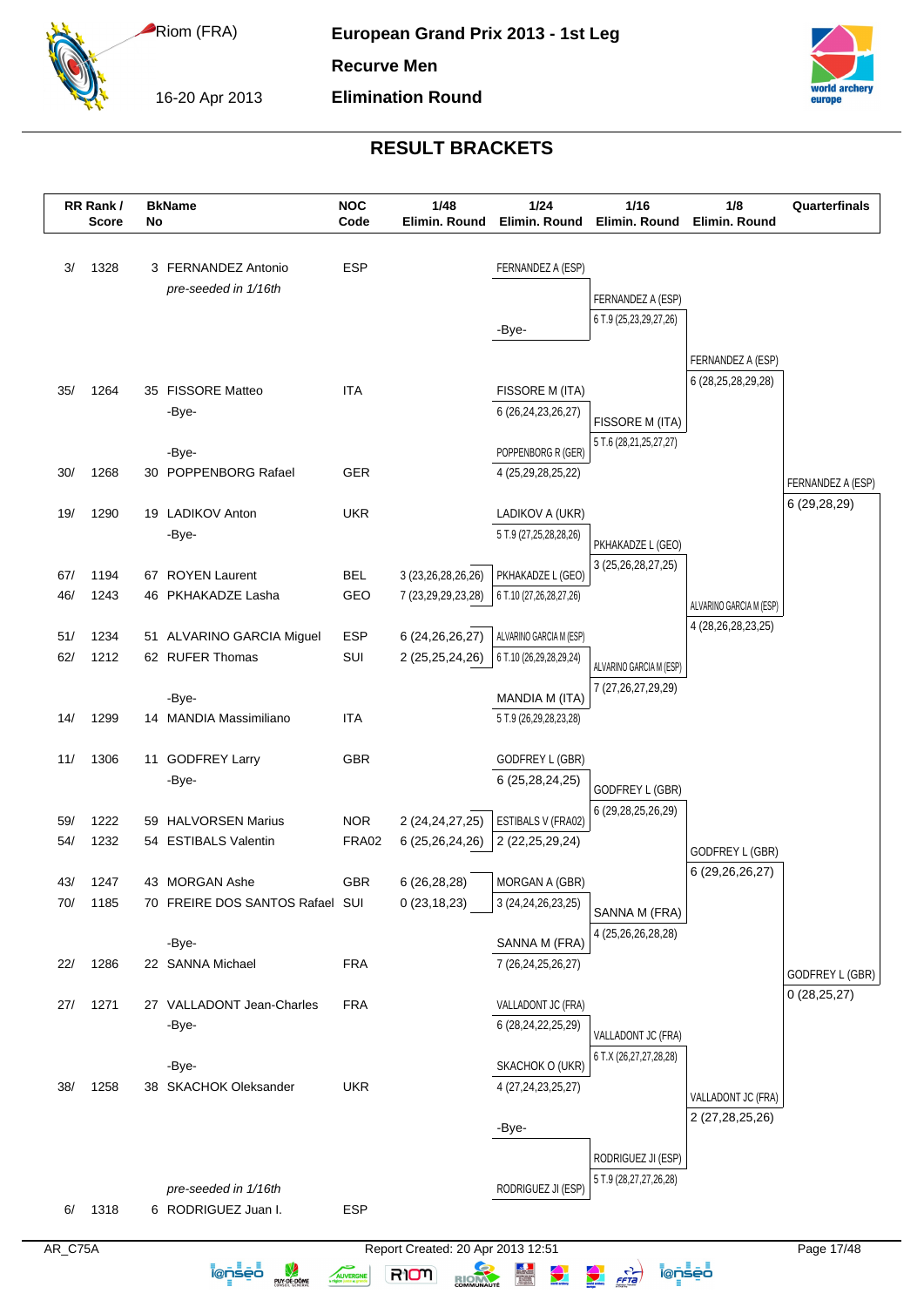16-20 Apr 2013

**European Grand Prix 2013 - 1st Leg**

**Recurve Men**

**Elimination Round**



|         | RR Rank/<br><b>Score</b> | No | <b>BkName</b>                               | <b>NOC</b><br>Code | 1/48<br>Elimin. Round             | 1/24<br>Elimin. Round                     | 1/16<br>Elimin. Round   | 1/8<br>Elimin. Round                     | Quarterfinals     |
|---------|--------------------------|----|---------------------------------------------|--------------------|-----------------------------------|-------------------------------------------|-------------------------|------------------------------------------|-------------------|
|         |                          |    |                                             |                    |                                   |                                           |                         |                                          |                   |
| 3/      | 1328                     |    | 3 FERNANDEZ Antonio                         | <b>ESP</b>         |                                   | FERNANDEZ A (ESP)                         |                         |                                          |                   |
|         |                          |    | pre-seeded in 1/16th                        |                    |                                   |                                           | FERNANDEZ A (ESP)       |                                          |                   |
|         |                          |    |                                             |                    |                                   |                                           | 6 T.9 (25,23,29,27,26)  |                                          |                   |
|         |                          |    |                                             |                    |                                   | -Bye-                                     |                         |                                          |                   |
|         |                          |    |                                             |                    |                                   |                                           |                         | FERNANDEZ A (ESP)                        |                   |
|         |                          |    |                                             |                    |                                   |                                           |                         | 6 (28, 25, 28, 29, 28)                   |                   |
| 35/     | 1264                     |    | 35 FISSORE Matteo<br>-Bye-                  | <b>ITA</b>         |                                   | FISSORE M (ITA)<br>6 (26, 24, 23, 26, 27) |                         |                                          |                   |
|         |                          |    |                                             |                    |                                   |                                           | FISSORE M (ITA)         |                                          |                   |
|         |                          |    | -Bye-                                       |                    |                                   | POPPENBORG R (GER)                        | 5 T.6 (28,21,25,27,27)  |                                          |                   |
| 30/     | 1268                     |    | 30 POPPENBORG Rafael                        | GER                |                                   | 4 (25, 29, 28, 25, 22)                    |                         |                                          |                   |
|         |                          |    |                                             |                    |                                   |                                           |                         |                                          | FERNANDEZ A (ESP) |
| 19/     | 1290                     |    | 19 LADIKOV Anton                            | <b>UKR</b>         |                                   | LADIKOV A (UKR)                           |                         |                                          | 6 (29,28,29)      |
|         |                          |    | -Bye-                                       |                    |                                   | 5 T.9 (27,25,28,28,26)                    | PKHAKADZE L (GEO)       |                                          |                   |
|         |                          |    |                                             |                    |                                   |                                           | 3 (25, 26, 28, 27, 25)  |                                          |                   |
| 67/     | 1194                     |    | 67 ROYEN Laurent                            | <b>BEL</b>         | 3 (23,26,28,26,26)                | PKHAKADZE L (GEO)                         |                         |                                          |                   |
| 46/     | 1243                     |    | 46 PKHAKADZE Lasha                          | GEO                | 7 (23, 29, 29, 23, 28)            | 6 T.10 (27,26,28,27,26)                   |                         | ALVARINO GARCIA M (ESP)                  |                   |
| 51/     | 1234                     |    | 51 ALVARINO GARCIA Miguel                   | <b>ESP</b>         | 6 (24, 26, 26, 27)                | ALVARINO GARCIA M (ESP)                   |                         | 4 (28,26,28,23,25)                       |                   |
| 62/     | 1212                     |    | 62 RUFER Thomas                             | SUI                | 2 (25,25,24,26)                   | 6 T.10 (26,29,28,29,24)                   |                         |                                          |                   |
|         |                          |    |                                             |                    |                                   |                                           | ALVARINO GARCIA M (ESP) |                                          |                   |
|         |                          |    | -Bye-                                       |                    |                                   | MANDIA M (ITA)                            | 7 (27,26,27,29,29)      |                                          |                   |
| 14/     | 1299                     |    | 14 MANDIA Massimiliano                      | <b>ITA</b>         |                                   | 5 T.9 (26,29,28,23,28)                    |                         |                                          |                   |
|         |                          |    |                                             |                    |                                   |                                           |                         |                                          |                   |
| 11/     | 1306                     |    | 11 GODFREY Larry                            | GBR                |                                   | GODFREY L (GBR)                           |                         |                                          |                   |
|         |                          |    | -Bye-                                       |                    |                                   | 6 (25,28,24,25)                           | GODFREY L (GBR)         |                                          |                   |
| 59/     | 1222                     |    | 59 HALVORSEN Marius                         | <b>NOR</b>         | 2 (24, 24, 27, 25)                | ESTIBALS V (FRA02)                        | 6 (29, 28, 25, 26, 29)  |                                          |                   |
| 54/     | 1232                     |    | 54 ESTIBALS Valentin                        | FRA02              | 6 (25,26,24,26)                   | 2 (22, 25, 29, 24)                        |                         |                                          |                   |
|         |                          |    |                                             |                    |                                   |                                           |                         | GODFREY L (GBR)                          |                   |
| 43/     | 1247                     |    | 43 MORGAN Ashe                              | <b>GBR</b>         | 6(26, 28, 28)                     | MORGAN A (GBR)                            |                         | 6 (29,26,26,27)                          |                   |
| 70/     | 1185                     |    | 70 FREIRE DOS SANTOS Rafael SUI             |                    | 0(23, 18, 23)                     | 3 (24, 24, 26, 23, 25)                    | SANNA M (FRA)           |                                          |                   |
|         |                          |    |                                             |                    |                                   |                                           | 4 (25,26,26,28,28)      |                                          |                   |
|         |                          |    | -Bye-                                       |                    |                                   | SANNA M (FRA)                             |                         |                                          |                   |
| 22/     | 1286                     |    | 22 SANNA Michael                            | <b>FRA</b>         |                                   | 7 (26, 24, 25, 26, 27)                    |                         |                                          | GODFREY L (GBR)   |
|         |                          |    |                                             |                    |                                   |                                           |                         |                                          | 0(28, 25, 27)     |
| 27/     | 1271                     |    | 27 VALLADONT Jean-Charles<br>-Bye-          | <b>FRA</b>         |                                   | VALLADONT JC (FRA)<br>6 (28,24,22,25,29)  |                         |                                          |                   |
|         |                          |    |                                             |                    |                                   |                                           | VALLADONT JC (FRA)      |                                          |                   |
|         |                          |    | -Bye-                                       |                    |                                   | SKACHOK O (UKR)                           | 6 T.X (26,27,27,28,28)  |                                          |                   |
| 38/     | 1258                     |    | 38 SKACHOK Oleksander                       | <b>UKR</b>         |                                   | 4 (27, 24, 23, 25, 27)                    |                         |                                          |                   |
|         |                          |    |                                             |                    |                                   |                                           |                         | VALLADONT JC (FRA)<br>2 (27, 28, 25, 26) |                   |
|         |                          |    |                                             |                    |                                   | -Bye-                                     |                         |                                          |                   |
|         |                          |    |                                             |                    |                                   |                                           | RODRIGUEZ JI (ESP)      |                                          |                   |
|         |                          |    |                                             |                    |                                   |                                           | 5 T.9 (28,27,27,26,28)  |                                          |                   |
| 6/      | 1318                     |    | pre-seeded in 1/16th<br>6 RODRIGUEZ Juan I. | <b>ESP</b>         |                                   | RODRIGUEZ JI (ESP)                        |                         |                                          |                   |
|         |                          |    |                                             |                    |                                   |                                           |                         |                                          |                   |
| AR_C75A |                          |    |                                             |                    | Report Created: 20 Apr 2013 12:51 |                                           |                         |                                          | Page 17/48        |
|         |                          |    | i@nseo<br><b>PUY-DE-DÔME</b>                | AUVERGNE           | RIOM<br><b>RIOM</b>               |                                           | $\epsilon$              | <u> ĩ@ņsēo</u>                           |                   |
|         |                          |    |                                             |                    |                                   |                                           |                         |                                          |                   |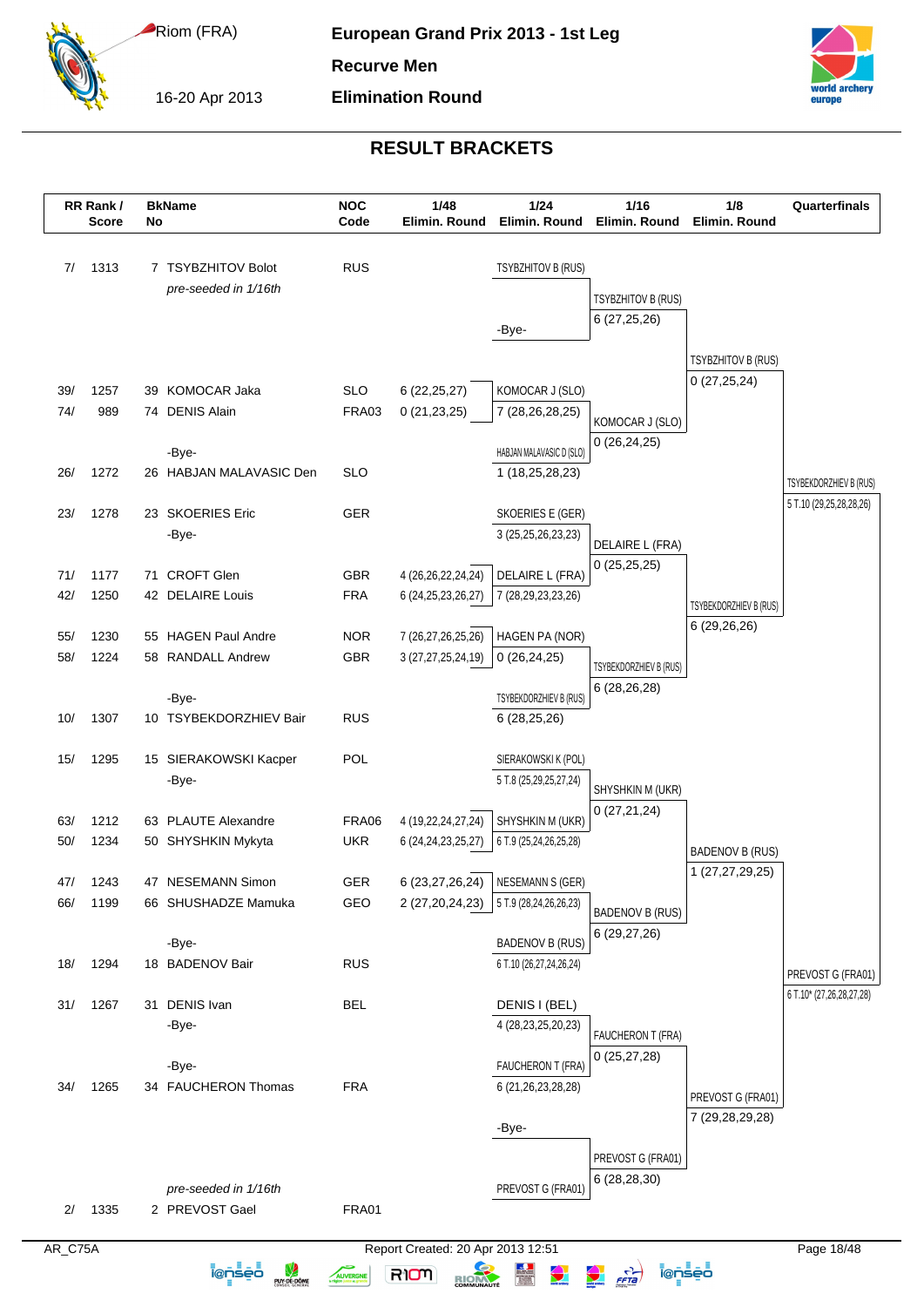16-20 Apr 2013

**European Grand Prix 2013 - 1st Leg**

**Recurve Men**

**Elimination Round**



|         | RR Rank/<br><b>Score</b> | No | <b>BkName</b>                        | <b>NOC</b><br>Code | 1/48<br>Elimin, Round             | 1/24<br>Elimin. Round                       | 1/16<br>Elimin. Round                  | 1/8<br>Elimin. Round      | Quarterfinals            |
|---------|--------------------------|----|--------------------------------------|--------------------|-----------------------------------|---------------------------------------------|----------------------------------------|---------------------------|--------------------------|
|         |                          |    |                                      |                    |                                   |                                             |                                        |                           |                          |
| 7/      | 1313                     |    | 7 TSYBZHITOV Bolot                   | <b>RUS</b>         |                                   | TSYBZHITOV B (RUS)                          |                                        |                           |                          |
|         |                          |    | pre-seeded in 1/16th                 |                    |                                   |                                             | TSYBZHITOV B (RUS)                     |                           |                          |
|         |                          |    |                                      |                    |                                   |                                             | 6(27,25,26)                            |                           |                          |
|         |                          |    |                                      |                    |                                   | -Bye-                                       |                                        |                           |                          |
|         |                          |    |                                      |                    |                                   |                                             |                                        | <b>TSYBZHITOV B (RUS)</b> |                          |
| 39/     | 1257                     |    | 39 KOMOCAR Jaka                      | <b>SLO</b>         | 6(22, 25, 27)                     | KOMOCAR J (SLO)                             |                                        | 0(27, 25, 24)             |                          |
| 74/     | 989                      |    | 74 DENIS Alain                       | FRA03              | 0(21, 23, 25)                     | 7 (28,26,28,25)                             | KOMOCAR J (SLO)                        |                           |                          |
|         |                          |    |                                      |                    |                                   |                                             | 0(26, 24, 25)                          |                           |                          |
| 26/     | 1272                     |    | -Bye-<br>26 HABJAN MALAVASIC Den     | SLO                |                                   | HABJAN MALAVASIC D (SLO)<br>1 (18,25,28,23) |                                        |                           |                          |
|         |                          |    |                                      |                    |                                   |                                             |                                        |                           | TSYBEKDORZHIEV B (RUS)   |
| 23/     | 1278                     |    | 23 SKOERIES Eric                     | GER                |                                   | SKOERIES E (GER)                            |                                        |                           | 5 T.10 (29,25,28,28,26)  |
|         |                          |    | -Bye-                                |                    |                                   | 3 (25, 25, 26, 23, 23)                      | DELAIRE L (FRA)                        |                           |                          |
|         |                          |    |                                      |                    |                                   |                                             | 0(25,25,25)                            |                           |                          |
| 71/     | 1177                     |    | 71 CROFT Glen                        | GBR                | 4 (26,26,22,24,24)                | DELAIRE L (FRA)                             |                                        |                           |                          |
| 42/     | 1250                     |    | 42 DELAIRE Louis                     | <b>FRA</b>         | 6 (24, 25, 23, 26, 27)            | 7 (28,29,23,23,26)                          |                                        | TSYBEKDORZHIEV B (RUS)    |                          |
| 55/     | 1230                     |    | 55 HAGEN Paul Andre                  | <b>NOR</b>         | 7 (26,27,26,25,26)                | HAGEN PA (NOR)                              |                                        | 6 (29,26,26)              |                          |
| 58/     | 1224                     |    | 58 RANDALL Andrew                    | GBR                | 3 (27,27,25,24,19)                | 0(26, 24, 25)                               |                                        |                           |                          |
|         |                          |    |                                      |                    |                                   |                                             | TSYBEKDORZHIEV B (RUS)<br>6 (28,26,28) |                           |                          |
|         |                          |    | -Bye-                                |                    |                                   | TSYBEKDORZHIEV B (RUS)                      |                                        |                           |                          |
| 10/     | 1307                     |    | 10 TSYBEKDORZHIEV Bair               | <b>RUS</b>         |                                   | 6 (28,25,26)                                |                                        |                           |                          |
| 15/     | 1295                     |    | 15 SIERAKOWSKI Kacper                | POL                |                                   | SIERAKOWSKI K (POL)                         |                                        |                           |                          |
|         |                          |    | -Bye-                                |                    |                                   | 5 T.8 (25,29,25,27,24)                      |                                        |                           |                          |
|         |                          |    |                                      |                    |                                   |                                             | SHYSHKIN M (UKR)<br>0(27,21,24)        |                           |                          |
| 63/     | 1212                     |    | 63 PLAUTE Alexandre                  | <b>FRA06</b>       | 4 (19,22,24,27,24)                | SHYSHKIN M (UKR)                            |                                        |                           |                          |
| 50/     | 1234                     |    | 50 SHYSHKIN Mykyta                   | UKR                | 6 (24, 24, 23, 25, 27)            | 6 T.9 (25,24,26,25,28)                      |                                        | <b>BADENOV B (RUS)</b>    |                          |
| 47/     | 1243                     |    | 47 NESEMANN Simon                    | GER                | 6 (23,27,26,24)                   | NESEMANN S (GER)                            |                                        | 1 (27,27,29,25)           |                          |
| 66/     | 1199                     |    | 66 SHUSHADZE Mamuka                  | GEO                | 2 (27,20,24,23)                   | 5 T.9 (28,24,26,26,23)                      |                                        |                           |                          |
|         |                          |    |                                      |                    |                                   |                                             | <b>BADENOV B (RUS)</b>                 |                           |                          |
|         |                          |    | -Bye-                                |                    |                                   | <b>BADENOV B (RUS)</b>                      | 6 (29,27,26)                           |                           |                          |
| 18/     | 1294                     |    | 18 BADENOV Bair                      | <b>RUS</b>         |                                   | 6 T.10 (26,27,24,26,24)                     |                                        |                           | PREVOST G (FRA01)        |
|         |                          |    |                                      |                    |                                   |                                             |                                        |                           | 6 T.10* (27,26,28,27,28) |
| 31/     | 1267                     |    | 31 DENIS Ivan<br>-Bye-               | <b>BEL</b>         |                                   | DENIS I (BEL)<br>4 (28, 23, 25, 20, 23)     |                                        |                           |                          |
|         |                          |    |                                      |                    |                                   |                                             | FAUCHERON T (FRA)                      |                           |                          |
|         |                          |    | -Bye-                                |                    |                                   | FAUCHERON T (FRA)                           | 0(25, 27, 28)                          |                           |                          |
| 34/     | 1265                     |    | 34 FAUCHERON Thomas                  | <b>FRA</b>         |                                   | 6 (21, 26, 23, 28, 28)                      |                                        | PREVOST G (FRA01)         |                          |
|         |                          |    |                                      |                    |                                   |                                             |                                        | 7 (29,28,29,28)           |                          |
|         |                          |    |                                      |                    |                                   | -Bye-                                       |                                        |                           |                          |
|         |                          |    |                                      |                    |                                   |                                             | PREVOST G (FRA01)                      |                           |                          |
|         |                          |    | pre-seeded in 1/16th                 |                    |                                   | PREVOST G (FRA01)                           | 6(28, 28, 30)                          |                           |                          |
| 2/      | 1335                     |    | 2 PREVOST Gael                       | <b>FRA01</b>       |                                   |                                             |                                        |                           |                          |
|         |                          |    |                                      |                    |                                   |                                             |                                        |                           |                          |
| AR_C75A |                          |    |                                      |                    | Report Created: 20 Apr 2013 12:51 |                                             |                                        |                           | Page 18/48               |
|         |                          |    | <u> Īensēo</u><br><b>PUY-DE-DÔME</b> | AUVERGNE           | RIOM<br>RIOM                      |                                             | $\frac{1}{ffta}$                       | <u> ĩ@ņse</u> o           |                          |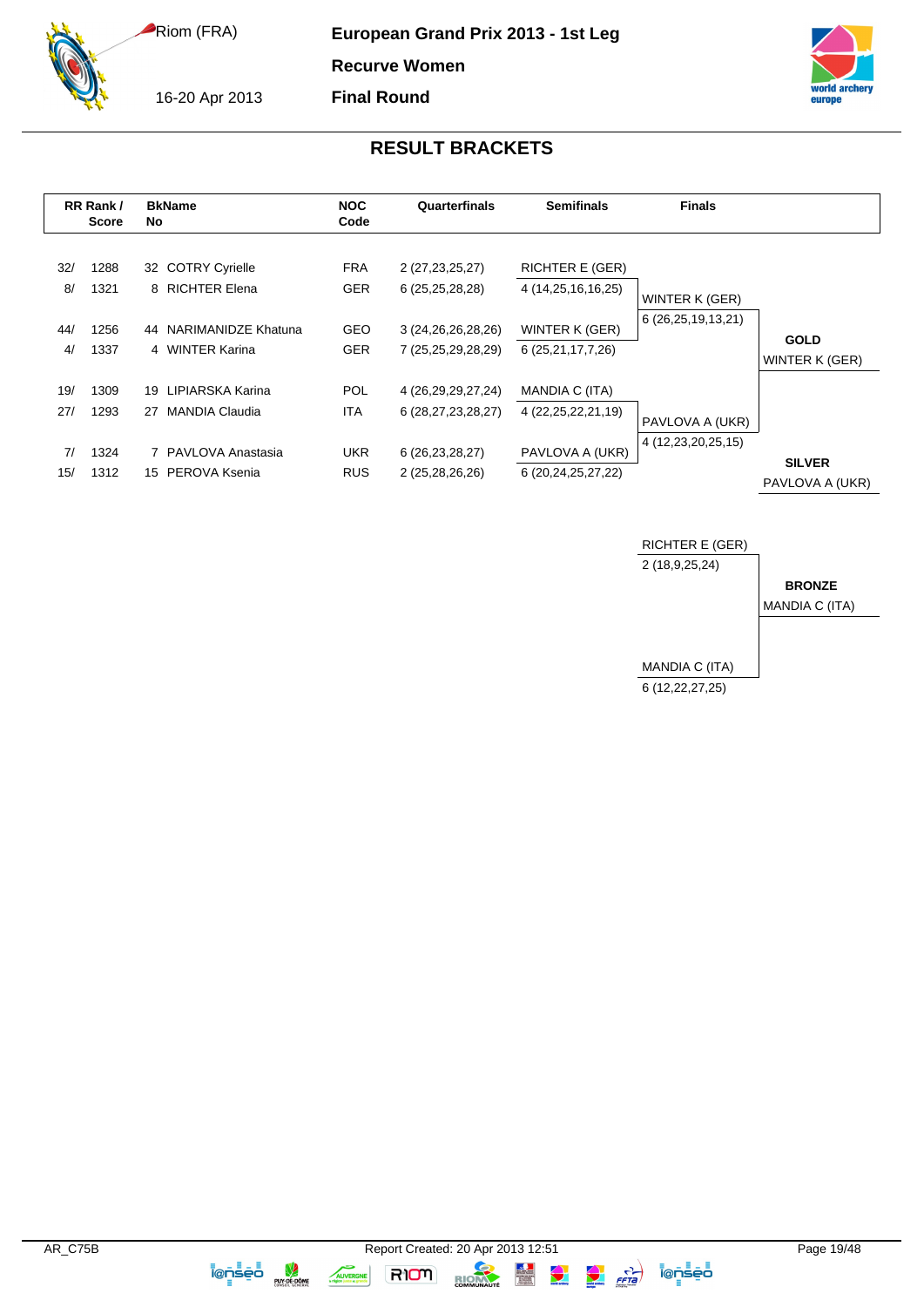16-20 Apr 2013

**European Grand Prix 2013 - 1st Leg**

**Recurve Women**

**Final Round**



## **RESULT BRACKETS**

|                         | RR Rank /<br><b>Score</b>    | <b>BkName</b><br>No                                                                          | <b>NOC</b><br>Code                                   | Quarterfinals                                                                             | <b>Semifinals</b>                                                                   | <b>Finals</b>                         |                                  |
|-------------------------|------------------------------|----------------------------------------------------------------------------------------------|------------------------------------------------------|-------------------------------------------------------------------------------------------|-------------------------------------------------------------------------------------|---------------------------------------|----------------------------------|
| 32/<br>8/<br>44/<br>4/  | 1288<br>1321<br>1256<br>1337 | 32 COTRY Cyrielle<br>8 RICHTER Elena<br>NARIMANIDZE Khatuna<br>44<br>4 WINTER Karina         | <b>FRA</b><br><b>GER</b><br><b>GEO</b><br><b>GER</b> | 2 (27, 23, 25, 27)<br>6 (25,25,28,28)<br>3 (24, 26, 26, 28, 26)<br>7 (25,25,29,28,29)     | <b>RICHTER E (GER)</b><br>4 (14,25,16,16,25)<br>WINTER K (GER)<br>6 (25,21,17,7,26) | WINTER K (GER)<br>6 (26,25,19,13,21)  | <b>GOLD</b><br>WINTER K (GER)    |
| 19/<br>27/<br>7/<br>15/ | 1309<br>1293<br>1324<br>1312 | LIPIARSKA Karina<br>19<br>MANDIA Claudia<br>27<br>7 PAVLOVA Anastasia<br>PEROVA Ksenia<br>15 | <b>POL</b><br><b>ITA</b><br><b>UKR</b><br><b>RUS</b> | 4 (26, 29, 29, 27, 24)<br>6 (28, 27, 23, 28, 27)<br>6 (26, 23, 28, 27)<br>2 (25,28,26,26) | MANDIA C (ITA)<br>4 (22, 25, 22, 21, 19)<br>PAVLOVA A (UKR)<br>6 (20,24,25,27,22)   | PAVLOVA A (UKR)<br>4 (12,23,20,25,15) | <b>SILVER</b><br>PAVLOVA A (UKR) |



**TOTSED** 

**RIOM** 

RIOM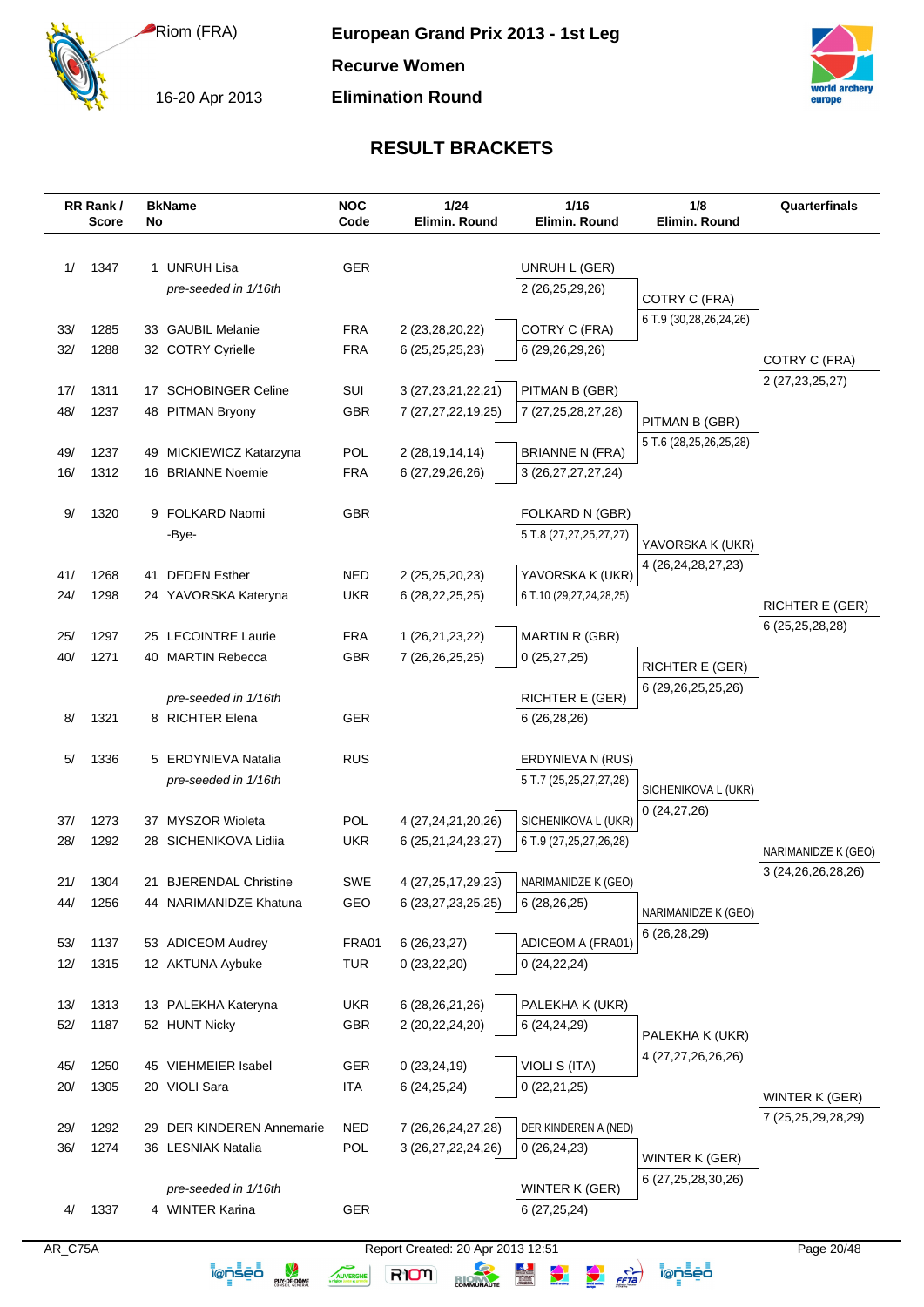16-20 Apr 2013

**European Grand Prix 2013 - 1st Leg**

**Recurve Women**





# **RESULT BRACKETS**

|         | RR Rank/     |    | <b>BkName</b>             | <b>NOC</b> | 1/24                              | 1/16                       | 1/8                    | Quarterfinals          |
|---------|--------------|----|---------------------------|------------|-----------------------------------|----------------------------|------------------------|------------------------|
|         | <b>Score</b> | No |                           | Code       | Elimin. Round                     | Elimin. Round              | Elimin. Round          |                        |
| 1/      | 1347         |    | 1 UNRUH Lisa              | <b>GER</b> |                                   | UNRUH L (GER)              |                        |                        |
|         |              |    | pre-seeded in 1/16th      |            |                                   | 2 (26,25,29,26)            |                        |                        |
|         |              |    |                           |            |                                   |                            | COTRY C (FRA)          |                        |
| 33/     | 1285         |    | 33 GAUBIL Melanie         | <b>FRA</b> | 2 (23,28,20,22)                   | COTRY C (FRA)              | 6 T.9 (30,28,26,24,26) |                        |
| 32/     | 1288         |    | 32 COTRY Cyrielle         | <b>FRA</b> | 6 (25, 25, 25, 23)                | 6 (29,26,29,26)            |                        |                        |
|         |              |    |                           |            |                                   |                            |                        | COTRY C (FRA)          |
| 17/     | 1311         |    | 17 SCHOBINGER Celine      | SUI        | 3 (27, 23, 21, 22, 21)            | PITMAN B (GBR)             |                        | 2 (27, 23, 25, 27)     |
| 48/     | 1237         |    | 48 PITMAN Bryony          | <b>GBR</b> | 7 (27, 27, 22, 19, 25)            | 7 (27,25,28,27,28)         | PITMAN B (GBR)         |                        |
|         |              |    |                           |            |                                   |                            | 5 T.6 (28,25,26,25,28) |                        |
| 49/     | 1237         |    | 49 MICKIEWICZ Katarzyna   | <b>POL</b> | 2 (28, 19, 14, 14)                | <b>BRIANNE N (FRA)</b>     |                        |                        |
| 16/     | 1312         |    | 16 BRIANNE Noemie         | <b>FRA</b> | 6 (27,29,26,26)                   | 3 (26, 27, 27, 27, 24)     |                        |                        |
| 9/      | 1320         |    | 9 FOLKARD Naomi           | <b>GBR</b> |                                   | FOLKARD N (GBR)            |                        |                        |
|         |              |    | -Bye-                     |            |                                   | 5 T.8 (27,27,25,27,27)     |                        |                        |
|         |              |    |                           |            |                                   |                            | YAVORSKA K (UKR)       |                        |
| 41/     | 1268         |    | 41 DEDEN Esther           | <b>NED</b> | 2 (25,25,20,23)                   | YAVORSKA K (UKR)           | 4 (26, 24, 28, 27, 23) |                        |
| 24/     | 1298         |    | 24 YAVORSKA Kateryna      | <b>UKR</b> | 6 (28, 22, 25, 25)                | 6 T.10 (29,27,24,28,25)    |                        | RICHTER E (GER)        |
|         |              |    |                           |            |                                   |                            |                        | 6 (25,25,28,28)        |
| 25/     | 1297         |    | 25 LECOINTRE Laurie       | <b>FRA</b> | 1 (26,21,23,22)                   | <b>MARTIN R (GBR)</b>      |                        |                        |
| 40/     | 1271         |    | 40 MARTIN Rebecca         | <b>GBR</b> | 7 (26,26,25,25)                   | 0(25, 27, 25)              | RICHTER E (GER)        |                        |
|         |              |    | pre-seeded in 1/16th      |            |                                   | RICHTER E (GER)            | 6 (29, 26, 25, 25, 26) |                        |
| 8/      | 1321         |    | 8 RICHTER Elena           | <b>GER</b> |                                   | 6(26, 28, 26)              |                        |                        |
|         |              |    |                           |            |                                   |                            |                        |                        |
| 5/      | 1336         |    | 5 ERDYNIEVA Natalia       | <b>RUS</b> |                                   | ERDYNIEVA N (RUS)          |                        |                        |
|         |              |    | pre-seeded in 1/16th      |            |                                   | 5 T.7 (25,25,27,27,28)     | SICHENIKOVA L (UKR)    |                        |
|         |              |    |                           |            |                                   |                            | 0(24, 27, 26)          |                        |
| 37/     | 1273         |    | 37 MYSZOR Wioleta         | <b>POL</b> | 4 (27, 24, 21, 20, 26)            | SICHENIKOVA L (UKR)        |                        |                        |
| 28/     | 1292         |    | 28 SICHENIKOVA Lidiia     | <b>UKR</b> | 6 (25,21,24,23,27)                | 6 T.9 (27, 25, 27, 26, 28) |                        | NARIMANIDZE K (GEO)    |
| 21/     | 1304         |    | 21 BJERENDAL Christine    | <b>SWE</b> | 4 (27, 25, 17, 29, 23)            | NARIMANIDZE K (GEO)        |                        | 3 (24, 26, 26, 28, 26) |
| 44/     | 1256         |    | 44 NARIMANIDZE Khatuna    | GEO        | 6 (23, 27, 23, 25, 25)            | 6 (28,26,25)               |                        |                        |
|         |              |    |                           |            |                                   |                            | NARIMANIDZE K (GEO)    |                        |
| 53/     | 1137         |    | 53 ADICEOM Audrey         | FRA01      | 6(26, 23, 27)                     | ADICEOM A (FRA01)          | 6 (26,28,29)           |                        |
| 12/     | 1315         |    | 12 AKTUNA Aybuke          | <b>TUR</b> | 0(23, 22, 20)                     | 0(24, 22, 24)              |                        |                        |
|         |              |    |                           |            |                                   |                            |                        |                        |
| 13/     | 1313         |    | 13 PALEKHA Kateryna       | <b>UKR</b> | 6 (28, 26, 21, 26)                | PALEKHA K (UKR)            |                        |                        |
| 52/     | 1187         |    | 52 HUNT Nicky             | GBR        | 2 (20,22,24,20)                   | 6 (24,24,29)               | PALEKHA K (UKR)        |                        |
| 45/     | 1250         |    | 45 VIEHMEIER Isabel       | GER        | 0(23, 24, 19)                     | VIOLI S (ITA)              | 4 (27,27,26,26,26)     |                        |
| 20/     | 1305         |    | 20 VIOLI Sara             | <b>ITA</b> | 6(24, 25, 24)                     | 0(22,21,25)                |                        |                        |
|         |              |    |                           |            |                                   |                            |                        | WINTER K (GER)         |
| 29/     | 1292         |    | 29 DER KINDEREN Annemarie | <b>NED</b> | 7 (26, 26, 24, 27, 28)            | DER KINDEREN A (NED)       |                        | 7 (25,25,29,28,29)     |
| 36/     | 1274         |    | 36 LESNIAK Natalia        | POL        | 3 (26,27,22,24,26)                | 0(26, 24, 23)              | WINTER K (GER)         |                        |
|         |              |    |                           |            |                                   |                            | 6 (27, 25, 28, 30, 26) |                        |
|         |              |    | pre-seeded in 1/16th      |            |                                   | WINTER K (GER)             |                        |                        |
| 4/      | 1337         |    | 4 WINTER Karina           | <b>GER</b> |                                   | 6(27, 25, 24)              |                        |                        |
| AR_C75A |              |    |                           |            | Report Created: 20 Apr 2013 12:51 |                            |                        | Page 20/48             |

ieniei W Avenue R1001 RIOM BOOM I C de legio ieniei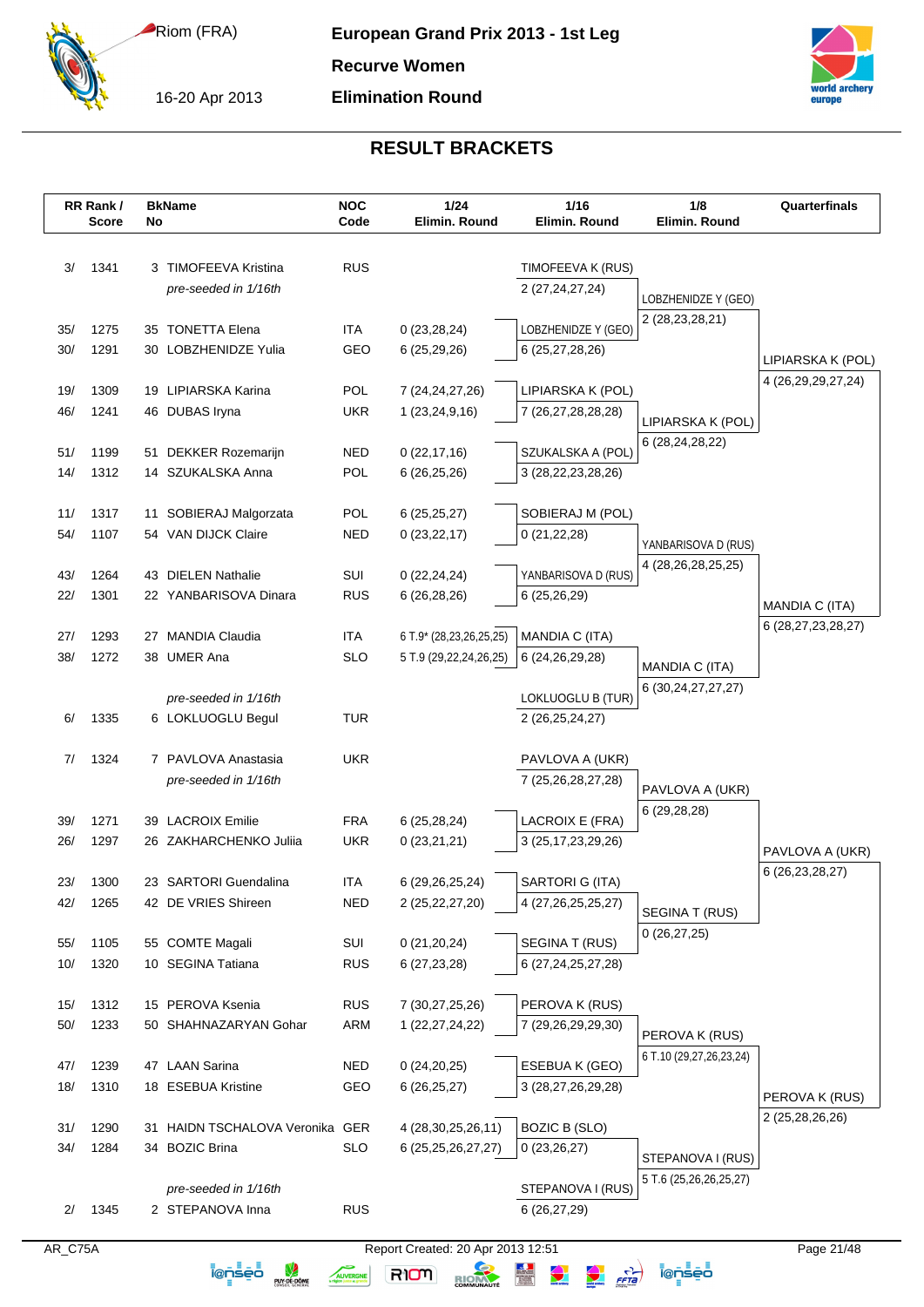16-20 Apr 2013

**ionsed** 

**Recurve Women**





# **RESULT BRACKETS**

|            | RR Rank/<br>Score | <b>BkName</b><br>No                          | <b>NOC</b><br>Code | 1/24<br>Elimin. Round             | 1/16<br>Elimin. Round                | 1/8<br>Elimin. Round                        | Quarterfinals          |
|------------|-------------------|----------------------------------------------|--------------------|-----------------------------------|--------------------------------------|---------------------------------------------|------------------------|
|            |                   |                                              |                    |                                   |                                      |                                             |                        |
| 3/         | 1341              | 3 TIMOFEEVA Kristina                         | <b>RUS</b>         |                                   | TIMOFEEVA K (RUS)                    |                                             |                        |
|            |                   | pre-seeded in 1/16th                         |                    |                                   | 2 (27,24,27,24)                      |                                             |                        |
|            |                   |                                              |                    |                                   |                                      | LOBZHENIDZE Y (GEO)                         |                        |
| 35/        | 1275              | 35 TONETTA Elena                             | ITA                | 0(23, 28, 24)                     | LOBZHENIDZE Y (GEO)                  | 2 (28, 23, 28, 21)                          |                        |
| 30/        | 1291              | 30 LOBZHENIDZE Yulia                         | GEO                | 6(25, 29, 26)                     | 6 (25,27,28,26)                      |                                             | LIPIARSKA K (POL)      |
|            |                   |                                              |                    |                                   |                                      |                                             | 4 (26, 29, 29, 27, 24) |
| 19/        | 1309              | 19 LIPIARSKA Karina                          | POL                | 7 (24, 24, 27, 26)                | LIPIARSKA K (POL)                    |                                             |                        |
| 46/        | 1241              | 46 DUBAS Iryna                               | <b>UKR</b>         | 1(23, 24, 9, 16)                  | 7 (26,27,28,28,28)                   | LIPIARSKA K (POL)                           |                        |
| 51/        | 1199              | <b>DEKKER Rozemarijn</b><br>51               | <b>NED</b>         | 0(22, 17, 16)                     | SZUKALSKA A (POL)                    | 6 (28, 24, 28, 22)                          |                        |
| 14/        | 1312              | 14 SZUKALSKA Anna                            | POL                | 6(26, 25, 26)                     | 3 (28,22,23,28,26)                   |                                             |                        |
|            |                   |                                              |                    |                                   |                                      |                                             |                        |
| 11/        | 1317              | 11 SOBIERAJ Malgorzata                       | <b>POL</b>         | 6(25, 25, 27)                     | SOBIERAJ M (POL)                     |                                             |                        |
| 54/        | 1107              | 54 VAN DIJCK Claire                          | NED                | 0(23, 22, 17)                     | 0(21, 22, 28)                        | YANBARISOVA D (RUS)                         |                        |
|            |                   |                                              | SUI                |                                   | YANBARISOVA D (RUS)                  | 4 (28, 26, 28, 25, 25)                      |                        |
| 43/<br>22/ | 1264<br>1301      | 43 DIELEN Nathalie<br>22 YANBARISOVA Dinara  | <b>RUS</b>         | 0(22, 24, 24)<br>6(26, 28, 26)    | 6 (25,26,29)                         |                                             |                        |
|            |                   |                                              |                    |                                   |                                      |                                             | MANDIA C (ITA)         |
| 27/        | 1293              | 27 MANDIA Claudia                            | ITA                | 6 T.9* (28,23,26,25,25)           | MANDIA C (ITA)                       |                                             | 6 (28,27,23,28,27)     |
| 38/        | 1272              | <b>UMER Ana</b><br>38                        | <b>SLO</b>         | 5 T.9 (29,22,24,26,25)            | 6 (24, 26, 29, 28)                   | MANDIA C (ITA)                              |                        |
|            |                   |                                              |                    |                                   |                                      | 6 (30, 24, 27, 27, 27)                      |                        |
|            |                   | pre-seeded in 1/16th                         |                    |                                   | LOKLUOGLU B (TUR)                    |                                             |                        |
| 6/         | 1335              | 6 LOKLUOGLU Begul                            | TUR                |                                   | 2 (26,25,24,27)                      |                                             |                        |
| 7/         | 1324              | 7 PAVLOVA Anastasia                          | <b>UKR</b>         |                                   | PAVLOVA A (UKR)                      |                                             |                        |
|            |                   | pre-seeded in 1/16th                         |                    |                                   | 7 (25, 26, 28, 27, 28)               |                                             |                        |
|            |                   |                                              |                    |                                   |                                      | PAVLOVA A (UKR)                             |                        |
| 39/        | 1271              | 39 LACROIX Emilie                            | <b>FRA</b>         | 6(25, 28, 24)                     | LACROIX E (FRA)                      | 6 (29,28,28)                                |                        |
| 26/        | 1297              | 26 ZAKHARCHENKO Julija                       | <b>UKR</b>         | 0(23,21,21)                       | 3 (25, 17, 23, 29, 26)               |                                             | PAVLOVA A (UKR)        |
|            |                   |                                              |                    |                                   |                                      |                                             | 6 (26, 23, 28, 27)     |
| 23/<br>42/ | 1300              | 23 SARTORI Guendalina<br>42 DE VRIES Shireen | <b>ITA</b>         | 6 (29, 26, 25, 24)                | SARTORI G (ITA)                      |                                             |                        |
|            | 1265              |                                              | <b>NED</b>         | 2 (25, 22, 27, 20)                | 4 (27, 26, 25, 25, 27)               | SEGINA T (RUS)                              |                        |
| 55/        | 1105              | 55 COMTE Magali                              | SUI                | 0(21, 20, 24)                     | SEGINA T (RUS)                       | 0(26, 27, 25)                               |                        |
| 10/        | 1320              | 10 SEGINA Tatiana                            | <b>RUS</b>         | 6(27, 23, 28)                     | 6 (27, 24, 25, 27, 28)               |                                             |                        |
|            |                   |                                              |                    |                                   |                                      |                                             |                        |
| 15/        | 1312              | 15 PEROVA Ksenia                             | <b>RUS</b>         | 7 (30,27,25,26)                   | PEROVA K (RUS)                       |                                             |                        |
| 50/        | 1233              | 50 SHAHNAZARYAN Gohar                        | ARM                | 1 (22, 27, 24, 22)                | 7 (29,26,29,29,30)                   | PEROVA K (RUS)                              |                        |
|            |                   |                                              |                    |                                   |                                      | 6 T.10 (29,27,26,23,24)                     |                        |
| 47/<br>18/ | 1239<br>1310      | 47 LAAN Sarina<br>18 ESEBUA Kristine         | <b>NED</b><br>GEO  | 0(24,20,25)<br>6(26, 25, 27)      | ESEBUA K (GEO)<br>3 (28,27,26,29,28) |                                             |                        |
|            |                   |                                              |                    |                                   |                                      |                                             | PEROVA K (RUS)         |
| 31/        | 1290              | 31 HAIDN TSCHALOVA Veronika GER              |                    | 4 (28, 30, 25, 26, 11)            | <b>BOZIC B (SLO)</b>                 |                                             | 2 (25,28,26,26)        |
| 34/        | 1284              | 34 BOZIC Brina                               | <b>SLO</b>         | 6 (25, 25, 26, 27, 27)            | 0(23,26,27)                          |                                             |                        |
|            |                   |                                              |                    |                                   |                                      | STEPANOVA I (RUS)<br>5 T.6 (25,26,26,25,27) |                        |
|            |                   | pre-seeded in 1/16th                         |                    |                                   | STEPANOVA I (RUS)                    |                                             |                        |
| 2/         | 1345              | 2 STEPANOVA Inna                             | <b>RUS</b>         |                                   | 6(26, 27, 29)                        |                                             |                        |
| AR_C75A    |                   |                                              |                    | Report Created: 20 Apr 2013 12:51 |                                      |                                             | Page 21/48             |

RIOM BIOM BIOMA E C P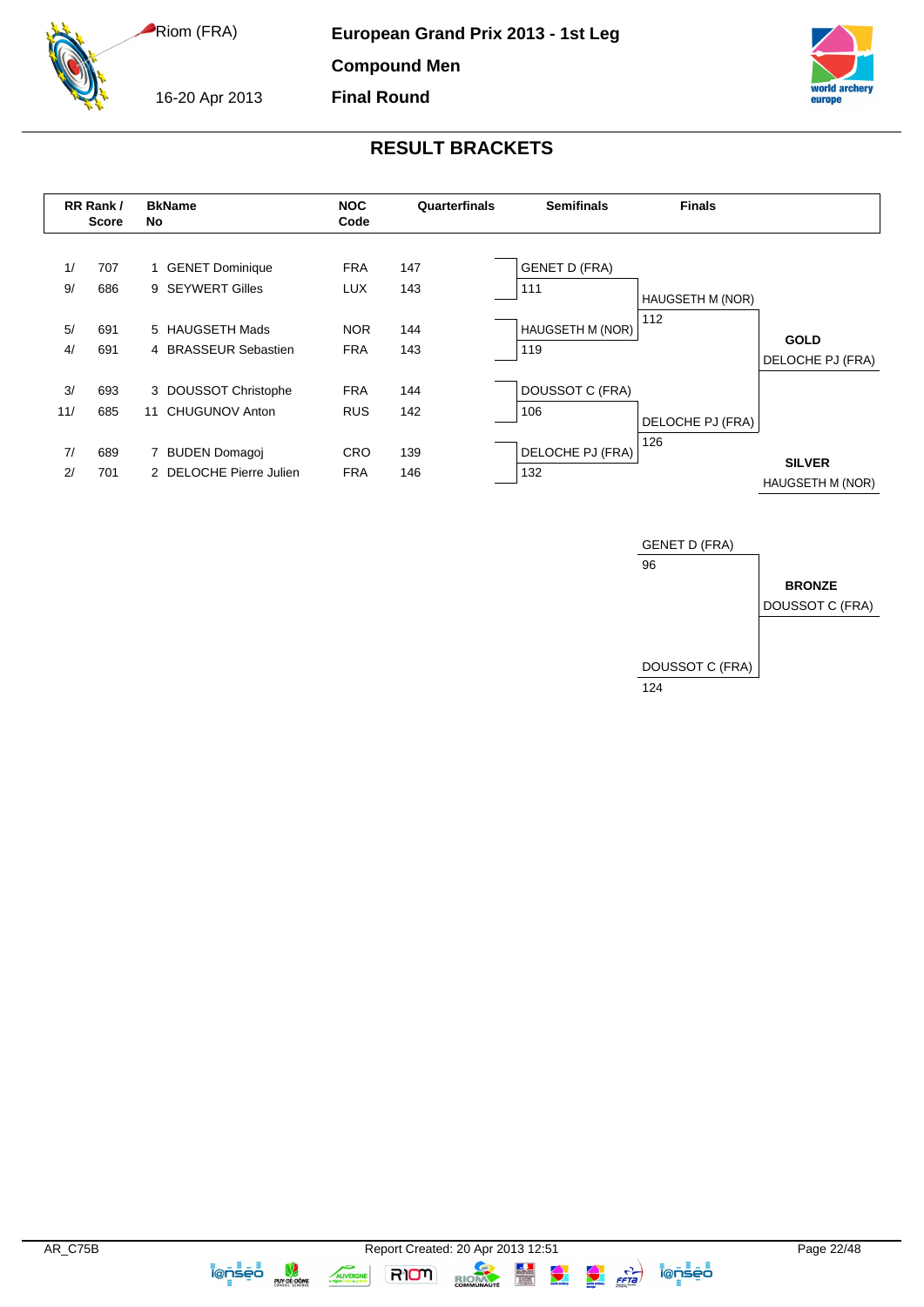**European Grand Prix 2013 - 1st Leg**

**Compound Men Final Round**



16-20 Apr 2013



## **RESULT BRACKETS**





**TODE OF STRAIGHT** 

RION

AUVERGNE

 $\frac{1}{\sqrt{2}}$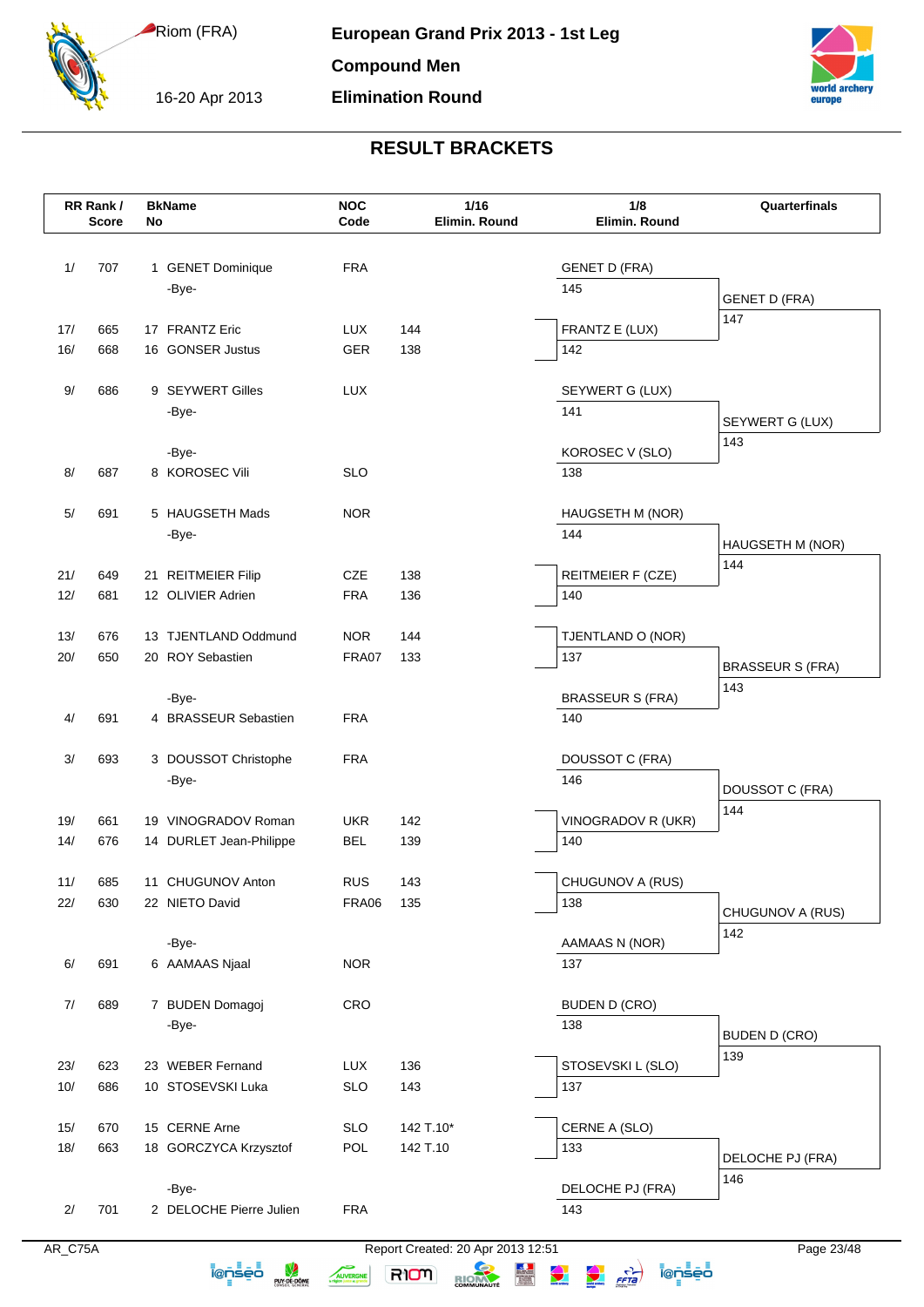16-20 Apr 2013

**Compound Men**

**Elimination Round**



# **RESULT BRACKETS**

|            | RR Rank /<br><b>Score</b> | No | <b>BkName</b>                 | <b>NOC</b><br>Code | 1/16<br>Elimin. Round             | 1/8<br>Elimin. Round    | Quarterfinals               |
|------------|---------------------------|----|-------------------------------|--------------------|-----------------------------------|-------------------------|-----------------------------|
|            |                           |    |                               |                    |                                   |                         |                             |
| 1/         | 707                       |    | 1 GENET Dominique             | <b>FRA</b>         |                                   | <b>GENET D (FRA)</b>    |                             |
|            |                           |    | -Bye-                         |                    |                                   | 145                     | <b>GENET D (FRA)</b>        |
|            |                           |    | 17 FRANTZ Eric                | <b>LUX</b>         | 144                               |                         | 147                         |
| 17/<br>16/ | 665<br>668                |    | 16 GONSER Justus              | <b>GER</b>         | 138                               | FRANTZ E (LUX)<br>142   |                             |
|            |                           |    |                               |                    |                                   |                         |                             |
| 9/         | 686                       |    | 9 SEYWERT Gilles              | <b>LUX</b>         |                                   | SEYWERT G (LUX)         |                             |
|            |                           |    | -Bye-                         |                    |                                   | 141                     | SEYWERT G (LUX)             |
|            |                           |    | -Bye-                         |                    |                                   | KOROSEC V (SLO)         | 143                         |
| 8/         | 687                       |    | 8 KOROSEC Vili                | <b>SLO</b>         |                                   | 138                     |                             |
|            |                           |    |                               |                    |                                   |                         |                             |
| $5/$       | 691                       |    | 5 HAUGSETH Mads               | <b>NOR</b>         |                                   | HAUGSETH M (NOR)        |                             |
|            |                           |    | -Bye-                         |                    |                                   | 144                     | HAUGSETH M (NOR)            |
| 21/        | 649                       |    | 21 REITMEIER Filip            | CZE                | 138                               | REITMEIER F (CZE)       | 144                         |
| 12/        | 681                       |    | 12 OLIVIER Adrien             | <b>FRA</b>         | 136                               | 140                     |                             |
|            |                           |    |                               |                    |                                   |                         |                             |
| 13/        | 676                       |    | 13 TJENTLAND Oddmund          | <b>NOR</b>         | 144                               | TJENTLAND O (NOR)       |                             |
| 20/        | 650                       |    | 20 ROY Sebastien              | FRA07              | 133                               | 137                     | <b>BRASSEUR S (FRA)</b>     |
|            |                           |    | -Bye-                         |                    |                                   | <b>BRASSEUR S (FRA)</b> | 143                         |
| 4/         | 691                       |    | 4 BRASSEUR Sebastien          | <b>FRA</b>         |                                   | 140                     |                             |
|            |                           |    |                               |                    |                                   |                         |                             |
| 3/         | 693                       |    | 3 DOUSSOT Christophe<br>-Bye- | <b>FRA</b>         |                                   | DOUSSOT C (FRA)<br>146  |                             |
|            |                           |    |                               |                    |                                   |                         | <b>DOUSSOT C (FRA)</b>      |
| 19/        | 661                       |    | 19 VINOGRADOV Roman           | <b>UKR</b>         | 142                               | VINOGRADOV R (UKR)      | 144                         |
| 14/        | 676                       |    | 14 DURLET Jean-Philippe       | <b>BEL</b>         | 139                               | 140                     |                             |
| 11/        | 685                       |    | 11 CHUGUNOV Anton             | <b>RUS</b>         | 143                               | CHUGUNOV A (RUS)        |                             |
| 22/        | 630                       |    | 22 NIETO David                | FRA06              | 135                               | 138                     |                             |
|            |                           |    |                               |                    |                                   |                         | CHUGUNOV A (RUS)<br>142     |
|            |                           |    | -Bye-                         |                    |                                   | AAMAAS N (NOR)          |                             |
| 6/         | 691                       |    | 6 AAMAAS Njaal                | <b>NOR</b>         |                                   | 137                     |                             |
| 7/         | 689                       |    | 7 BUDEN Domagoj               | CRO                |                                   | <b>BUDEN D (CRO)</b>    |                             |
|            |                           |    | -Bye-                         |                    |                                   | 138                     |                             |
|            |                           |    |                               |                    |                                   |                         | <b>BUDEN D (CRO)</b><br>139 |
| 23/        | 623                       |    | 23 WEBER Fernand              | <b>LUX</b>         | 136                               | STOSEVSKI L (SLO)       |                             |
| 10/        | 686                       |    | 10 STOSEVSKI Luka             | <b>SLO</b>         | 143                               | 137                     |                             |
| 15/        | 670                       |    | 15 CERNE Arne                 | <b>SLO</b>         | 142 T.10*                         | CERNE A (SLO)           |                             |
| 18/        | 663                       |    | 18 GORCZYCA Krzysztof         | POL                | 142 T.10                          | 133                     | DELOCHE PJ (FRA)            |
|            |                           |    |                               |                    |                                   |                         | 146                         |
|            |                           |    | -Bye-                         |                    |                                   | DELOCHE PJ (FRA)        |                             |
| 2/         | 701                       |    | 2 DELOCHE Pierre Julien       | <b>FRA</b>         |                                   | 143                     |                             |
| AR_C75A    |                           |    |                               |                    | Report Created: 20 Apr 2013 12:51 |                         | Page 23/48                  |

RIOM BIOM BIOMAN E C CH Jerra Tenseo

**TODSED**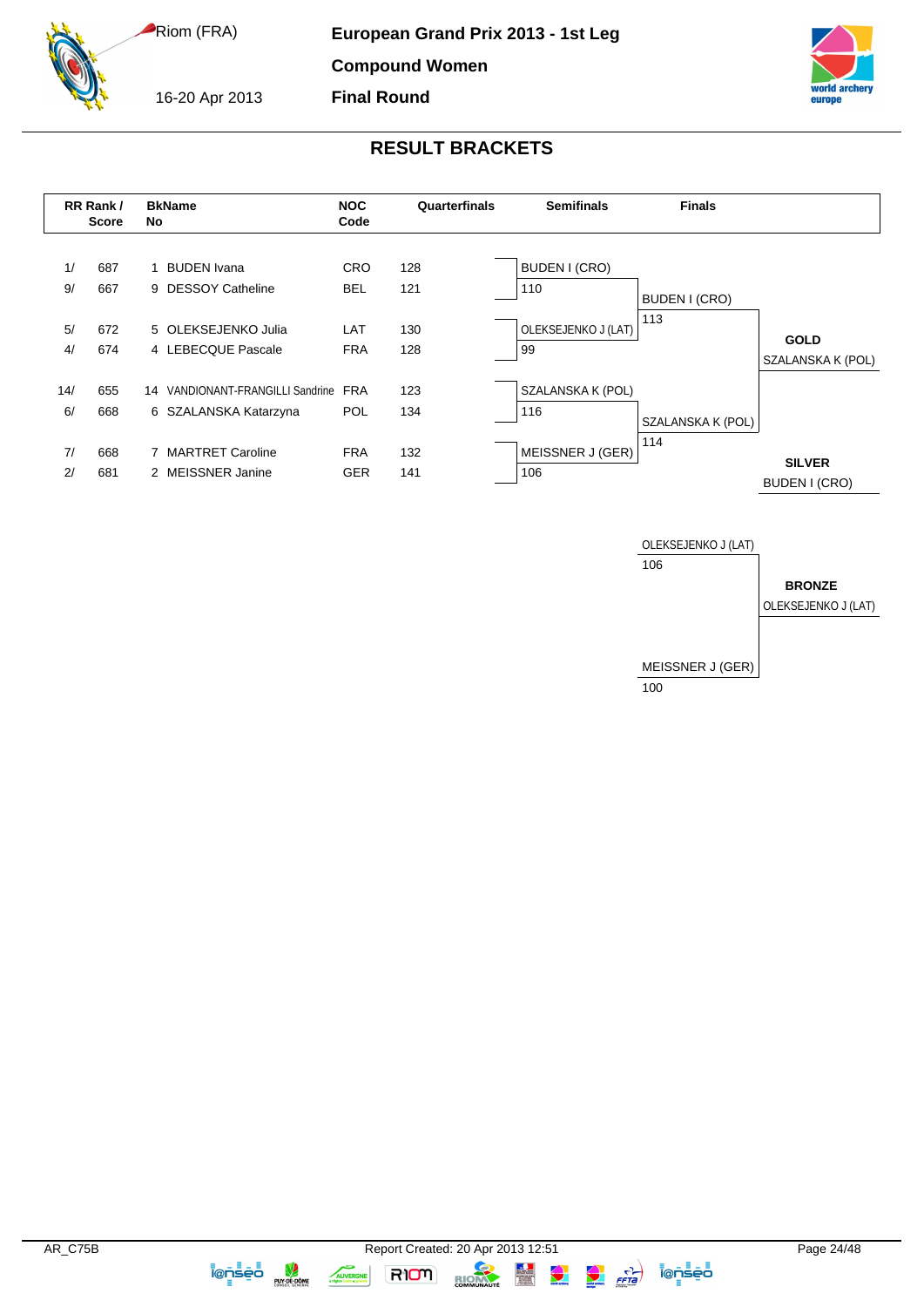16-20 Apr 2013

**European Grand Prix 2013 - 1st Leg**

**Compound Women**

**Final Round**



## **RESULT BRACKETS**





**TODE OF STRAIGHT** 

AUVERGNE

**RIOM** 

RION

 $\frac{1}{1}$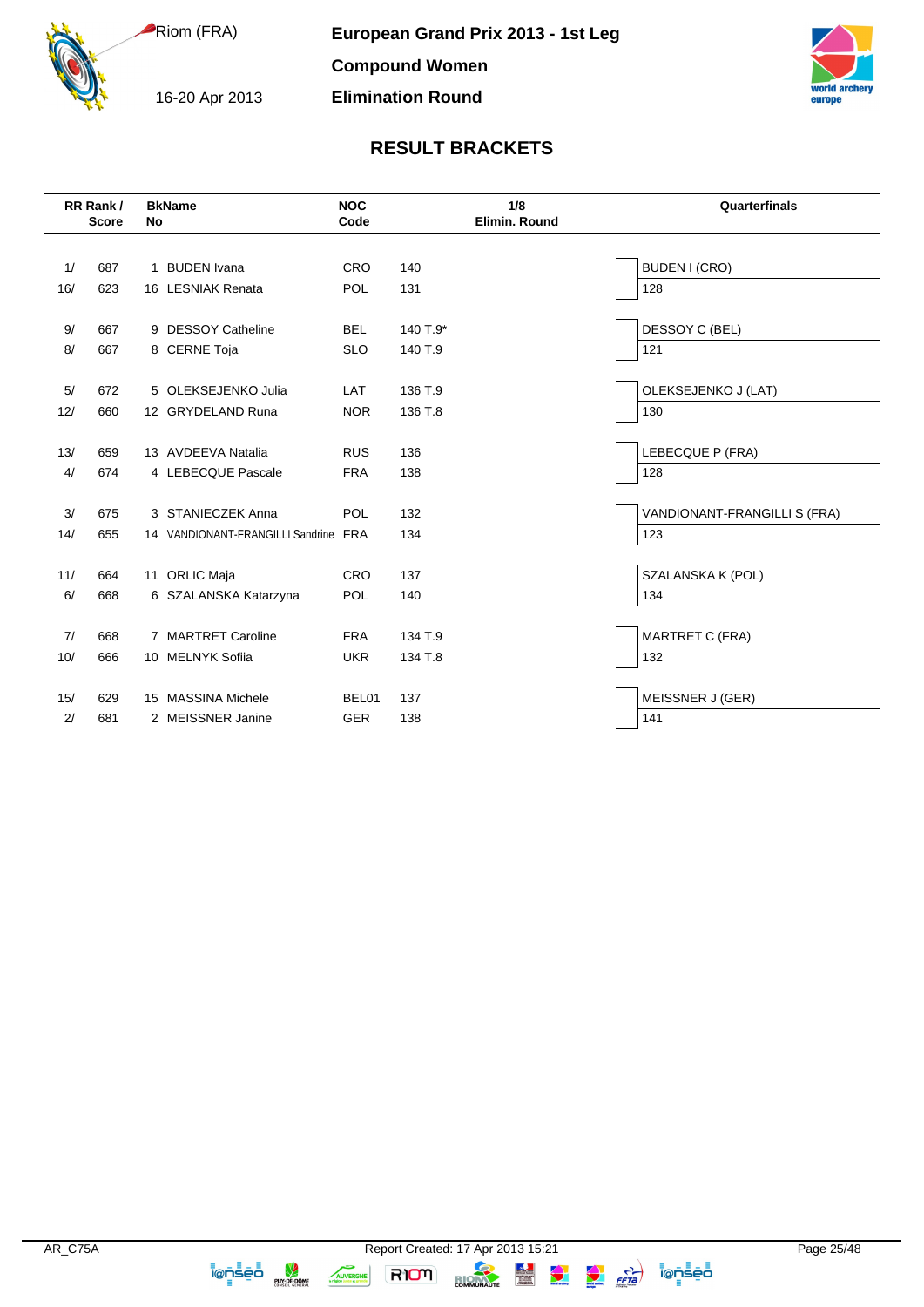16-20 Apr 2013

**Compound Women**

## **Elimination Round**



## **RESULT BRACKETS**

|     | RR Rank/<br><b>Score</b> | <b>BkName</b><br>No                  | <b>NOC</b><br>Code |          | 1/8<br><b>Elimin, Round</b> | Quarterfinals                |
|-----|--------------------------|--------------------------------------|--------------------|----------|-----------------------------|------------------------------|
|     |                          |                                      |                    |          |                             |                              |
| 1/  | 687                      | 1 BUDEN Ivana                        | CRO                | 140      |                             | BUDEN I (CRO)                |
| 16/ | 623                      | 16 LESNIAK Renata                    | <b>POL</b>         | 131      |                             | 128                          |
|     |                          |                                      |                    |          |                             |                              |
| 9/  | 667                      | 9 DESSOY Catheline                   | <b>BEL</b>         | 140 T.9* |                             | DESSOY C (BEL)               |
| 8/  | 667                      | 8 CERNE Toja                         | <b>SLO</b>         | 140 T.9  |                             | 121                          |
|     |                          |                                      |                    |          |                             |                              |
| 5/  | 672                      | 5 OLEKSEJENKO Julia                  | LAT                | 136 T.9  |                             | OLEKSEJENKO J (LAT)          |
| 12/ | 660                      | 12 GRYDELAND Runa                    | <b>NOR</b>         | 136 T.8  |                             | 130                          |
|     |                          |                                      |                    |          |                             |                              |
| 13/ | 659                      | 13 AVDEEVA Natalia                   | <b>RUS</b>         | 136      |                             | LEBECQUE P (FRA)             |
| 4/  | 674                      | 4 LEBECQUE Pascale                   | <b>FRA</b>         | 138      |                             | 128                          |
|     |                          |                                      |                    |          |                             |                              |
| 3/  | 675                      | 3 STANIECZEK Anna                    | POL                | 132      |                             | VANDIONANT-FRANGILLI S (FRA) |
| 14/ | 655                      | 14 VANDIONANT-FRANGILLI Sandrine FRA |                    | 134      |                             | 123                          |
|     |                          |                                      |                    |          |                             |                              |
| 11/ | 664                      | 11 ORLIC Maja                        | <b>CRO</b>         | 137      |                             | SZALANSKA K (POL)            |
| 6/  | 668                      | 6 SZALANSKA Katarzyna                | <b>POL</b>         | 140      |                             | 134                          |
|     |                          |                                      |                    |          |                             |                              |
| 7/  | 668                      | 7 MARTRET Caroline                   | <b>FRA</b>         | 134 T.9  |                             | <b>MARTRET C (FRA)</b>       |
| 10/ | 666                      | 10 MELNYK Sofiia                     | <b>UKR</b>         | 134 T.8  |                             | 132                          |
|     |                          |                                      |                    |          |                             |                              |
| 15/ | 629                      | 15 MASSINA Michele                   | BEL01              | 137      |                             | MEISSNER J (GER)             |
| 2/  | 681                      | 2 MEISSNER Janine                    | <b>GER</b>         | 138      |                             | 141                          |

RIOM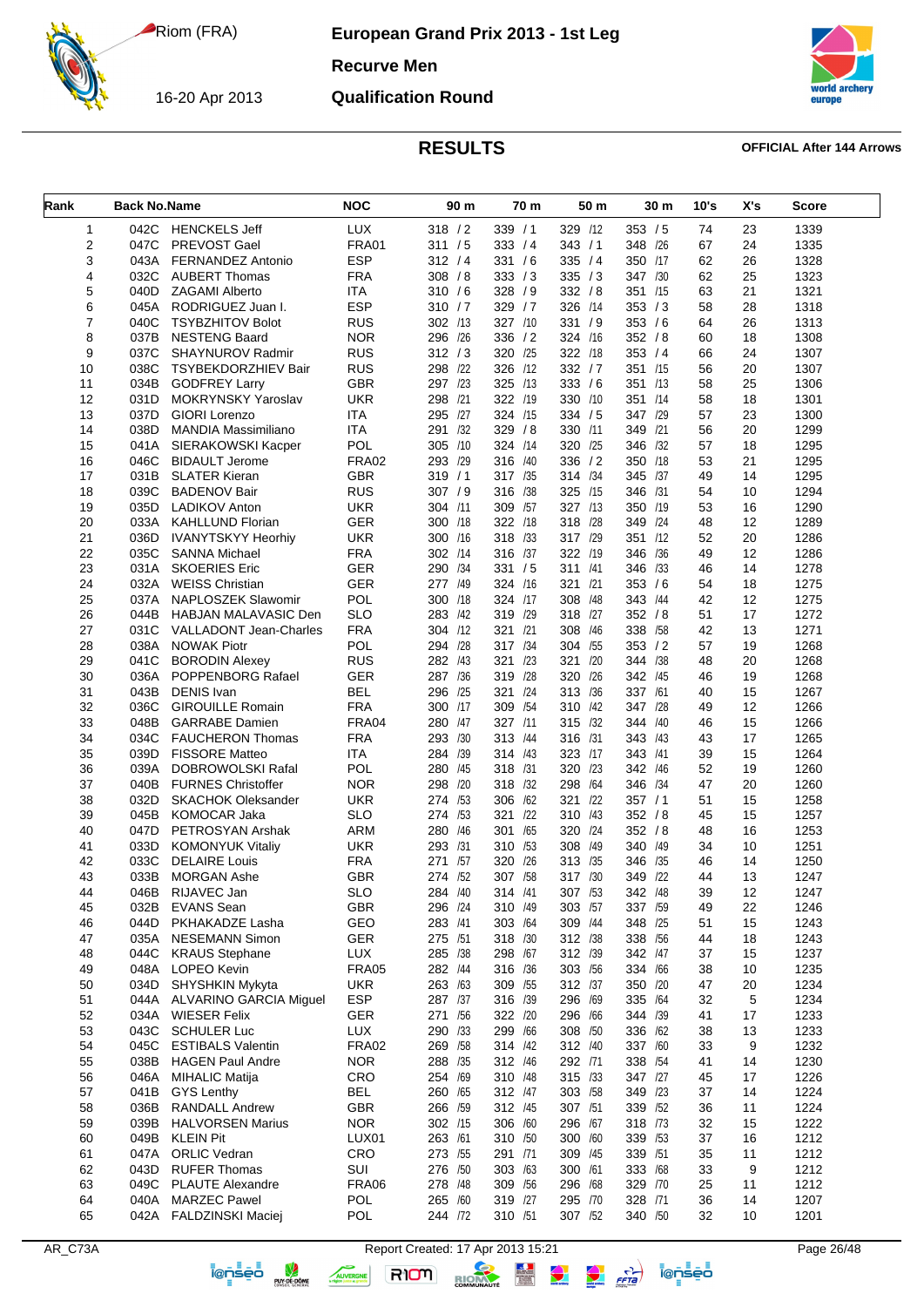## **European Grand Prix 2013 - 1st Leg**

**Recurve Men**



16-20 Apr 2013 **Qualification Round**



## **RESULTS OFFICIAL After 144 Arrows**

| Rank           | <b>Back No.Name</b> |                                   | <b>NOC</b>        | 90 m               | 70 m               | 50 m               | 30 m               | 10's     | X's      | Score        |
|----------------|---------------------|-----------------------------------|-------------------|--------------------|--------------------|--------------------|--------------------|----------|----------|--------------|
| 1              | 042C                | <b>HENCKELS Jeff</b>              | <b>LUX</b>        | 318 / 2            | 339/1              | 329 /12            | 353 / 5            | 74       | 23       | 1339         |
| $\overline{2}$ | 047C                | PREVOST Gael                      | FRA01             | 311 / 5            | 333 / 4            | 343 / 1            | 348<br>/26         | 67       | 24       | 1335         |
| 3              | 043A                | <b>FERNANDEZ Antonio</b>          | <b>ESP</b>        | 312 / 4            | 331 / 6            | 335<br>/4          | 350<br>/17         | 62       | 26       | 1328         |
| 4              | 032C                | <b>AUBERT Thomas</b>              | <b>FRA</b>        | 308 / 8            | 333 / 3            | 335 / 3            | 347 /30            | 62       | 25       | 1323         |
| 5              | 040D                | <b>ZAGAMI Alberto</b>             | ITA               | 310/6              | 328 / 9            | 332 / 8            | 351 /15            | 63       | 21       | 1321         |
| 6              | 045A                | RODRIGUEZ Juan I.                 | <b>ESP</b>        | 310 / 7            | 329/7              | 326<br>/14         | 353 / 3            | 58       | 28       | 1318         |
| $\overline{7}$ | 040C                | <b>TSYBZHITOV Bolot</b>           | <b>RUS</b>        | 302 /13            | 327 /10            | 331 / 9            | 353 / 6            | 64       | 26       | 1313         |
| 8              | 037B                | <b>NESTENG Baard</b>              | <b>NOR</b>        | 296 /26            | 336 / 2            | 324 /16            | 352 / 8            | 60       | 18       | 1308         |
| 9              | 037C                | <b>SHAYNUROV Radmir</b>           | <b>RUS</b>        | 312 / 3            | 320 /25            | 322<br>/18         | 353 / 4            | 66       | 24       | 1307         |
| 10             | 038C                | <b>TSYBEKDORZHIEV Bair</b>        | <b>RUS</b>        | 298 /22            | 326<br>/12         | 332 / 7            | 351 /15            | 56       | 20       | 1307         |
| 11             | 034B                | <b>GODFREY Larry</b>              | <b>GBR</b>        | 297 /23            | 325 /13            | 333 / 6            | 351 /13            | 58       | 25       | 1306         |
| 12             | 031D                | MOKRYNSKY Yaroslav                | <b>UKR</b>        | /21<br>298         | 322 /19            | 330 /10            | 351 /14            | 58       | 18       | 1301         |
| 13             | 037D                | <b>GIORI</b> Lorenzo              | <b>ITA</b>        | 295<br>/27         | 324 /15            | 334 / 5            | 347 /29            | 57       | 23       | 1300         |
| 14             | 038D                | <b>MANDIA Massimiliano</b>        | ITA               | /32<br>291         | 329<br>/8          | 330<br>/11         | 349<br>/21         | 56       | 20       | 1299         |
| 15             | 041A                | SIERAKOWSKI Kacper                | <b>POL</b>        | 305 /10            | 324 /14            | 320<br>/25         | 346<br>/32         | 57       | 18       | 1295         |
| 16             | 046C                | <b>BIDAULT Jerome</b>             | FRA02             | 293<br>/29         | 316<br>/40         | 336<br>/2          | 350 /18            | 53       | 21       | 1295         |
| 17             | 031B                | <b>SLATER Kieran</b>              | <b>GBR</b>        | 319/1              | /35<br>317         | 314 /34            | 345 /37            | 49       | 14       | 1295         |
| 18             | 039C                | <b>BADENOV Bair</b>               | <b>RUS</b>        | 307 / 9            | /38<br>316         | 325<br>/15         | 346<br>/31         | 54       | 10       | 1294         |
| 19             | 035D                | <b>LADIKOV Anton</b>              | <b>UKR</b>        | 304 /11            | /57<br>309         | 327 /13            | /19<br>350         | 53       | 16       | 1290         |
| 20             | 033A                | <b>KAHLLUND Florian</b>           | <b>GER</b>        | 300 /18            | 322 /18            | 318<br>/28         | 349<br>/24         | 48       | 12       | 1289         |
| 21             | 036D                | <b>IVANYTSKYY Heorhiy</b>         | <b>UKR</b>        | 300 /16            | 318<br>/33         | 317 /29            | 351<br>/12         | 52       | 20       | 1286         |
| 22             | 035C                | <b>SANNA Michael</b>              | <b>FRA</b>        | 302 /14            | 316 /37            | 322<br>/19         | /36<br>346         | 49       | 12       | 1286         |
| 23             | 031A                | <b>SKOERIES Eric</b>              | <b>GER</b>        | 290 /34            | 331<br>/5          | 311<br>/41         | 346<br>/33         | 46       | 14       | 1278         |
| 24             | 032A                | <b>WEISS Christian</b>            | <b>GER</b>        | 277 /49            | 324 /16            | 321<br>/21         | 353<br>/6          | 54       | 18       | 1275         |
| 25             | 037A                | NAPLOSZEK Slawomir                | <b>POL</b>        | 300 /18            | 324 /17            | /48<br>308         | 343<br>/44         | 42       | 12       | 1275         |
| 26             | 044B                | HABJAN MALAVASIC Den              | <b>SLO</b>        | 283<br>/42         | 319<br>/29         | 318<br>/27         | 352 / 8            | 51       | 17       | 1272         |
| 27             | 031C                | <b>VALLADONT Jean-Charles</b>     | <b>FRA</b>        | 304 /12            | 321<br>/21         | 308<br>/46         | 338<br>/58         | 42       | 13       | 1271         |
| 28             | 038A                | <b>NOWAK Piotr</b>                | <b>POL</b>        | 294 /28            | 317 /34            | /55<br>304         | 353 / 2            | 57       | 19       | 1268         |
| 29             | 041C                | <b>BORODIN Alexey</b>             | <b>RUS</b>        | 282 /43            | 321<br>/23         | 321<br>/20         | 344<br>/38         | 48       | 20       | 1268         |
| 30             | 036A                | <b>POPPENBORG Rafael</b>          | <b>GER</b>        | 287 /36            | 319<br>/28         | 320<br>/26         | 342 /45            | 46       | 19       | 1268         |
| 31             | 043B                | <b>DENIS</b> Ivan                 | <b>BEL</b>        | 296 /25            | 321<br>/24         | 313<br>/36         | 337 /61            | 40       | 15       | 1267         |
| 32             | 036C                | <b>GIROUILLE Romain</b>           | <b>FRA</b>        | 300 /17            | 309<br>/54         | /42<br>310         | 347<br>/28         | 49       | 12       | 1266         |
| 33             | 048B                | <b>GARRABE Damien</b>             | FRA04             | 280 /47            | 327<br>/11         | 315 / 32           | 344<br>/40         | 46       | 15       | 1266         |
| 34             | 034C                | <b>FAUCHERON Thomas</b>           | <b>FRA</b>        | 293 /30            | 313 /44            | 316<br>/31         | 343 /43            | 43       | 17       | 1265         |
| 35             | 039D                | <b>FISSORE Matteo</b>             | ITA               | 284 /39            | 314<br>/43         | 323<br>/17         | 343<br>/41         | 39       | 15       | 1264         |
| 36             | 039A                | DOBROWOLSKI Rafal                 | POL               | 280 /45            | 318 /31            | /23<br>320         | 342 /46            | 52       | 19       | 1260         |
| 37             | 040B                | <b>FURNES Christoffer</b>         | <b>NOR</b>        | 298<br>/20         | 318<br>/32         | 298<br>/64         | 346 /34            | 47       | 20       | 1260         |
| 38             | 032D                | <b>SKACHOK Oleksander</b>         | <b>UKR</b>        | /53<br>274         | /62<br>306         | /22<br>321         | 357/1              | 51       | 15       | 1258         |
| 39             | 045B                | <b>KOMOCAR Jaka</b>               | <b>SLO</b>        | 274 /53            | 321<br>/22         | 310 /43            | 352 / 8            | 45       | 15       | 1257         |
| 40             | 047D                | PETROSYAN Arshak                  | <b>ARM</b>        | 280<br>/46         | 301<br>/65         | 320<br>/24         | 352 / 8            | 48       | 16       | 1253         |
| 41             | 033D                | <b>KOMONYUK Vitaliy</b>           | <b>UKR</b>        | 293 /31            | /53<br>310         | 308<br>/49         | 340<br>/49         | 34       | 10       | 1251         |
| 42             | 033C                | <b>DELAIRE Louis</b>              | <b>FRA</b>        | /57<br>271         | 320<br>/26         | /35<br>313         | /35<br>346         | 46       | 14       | 1250         |
| 43             | 033B                | <b>MORGAN Ashe</b>                | <b>GBR</b>        | 274 /52            | /58<br>307         | 317 /30            | 349 /22            | 44       | 13       | 1247         |
| 44             | 046B                | RIJAVEC Jan                       | <b>SLO</b>        | 284 /40            | 314 /41            | 307 /53            | 342 /48            | 39       | 12       | 1247         |
| 45             | 032B                | <b>EVANS</b> Sean                 | <b>GBR</b>        | 296 /24            | 310 /49            | 303 /57            | 337 /59            | 49       | 22       | 1246         |
| 46<br>47       | 044D<br>035A        | PKHAKADZE Lasha<br>NESEMANN Simon | GEO<br><b>GER</b> | 283 /41<br>275 /51 | 303 /64<br>318 /30 | 309 /44<br>312 /38 | 348 /25<br>338 /56 | 51<br>44 | 15<br>18 | 1243<br>1243 |
|                | 044C                | <b>KRAUS Stephane</b>             | <b>LUX</b>        | 285 /38            | 298 /67            | 312 /39            | 342 /47            | 37       | 15       | 1237         |
| 48<br>49       | 048A                | <b>LOPEO Kevin</b>                | FRA05             | 282 /44            | 316 /36            | 303 /56            | 334 /66            | 38       | 10       | 1235         |
| 50             | 034D                | SHYSHKIN Mykyta                   | <b>UKR</b>        | 263 /63            | 309 /55            | 312 /37            | 350 /20            | 47       | 20       | 1234         |
| 51             | 044A                | ALVARINO GARCIA Miguel            | <b>ESP</b>        | 287 /37            | 316 /39            | 296 /69            | 335 /64            | 32       | 5        | 1234         |
| 52             | 034A                | <b>WIESER Felix</b>               | <b>GER</b>        | 271 /56            | 322 /20            | 296 /66            | 344 /39            | 41       | 17       | 1233         |
| 53             | 043C                | <b>SCHULER Luc</b>                | <b>LUX</b>        | 290 /33            | 299 /66            | 308 /50            | 336 /62            | 38       | 13       | 1233         |
| 54             | 045C                | <b>ESTIBALS Valentin</b>          | FRA02             | 269 /58            | 314 /42            | 312 /40            | 337 /60            | 33       | 9        | 1232         |
| 55             | 038B                | <b>HAGEN Paul Andre</b>           | <b>NOR</b>        | 288 /35            | 312 /46            | 292 /71            | 338 /54            | 41       | 14       | 1230         |
| 56             | 046A                | <b>MIHALIC Matija</b>             | CRO               | 254 /69            | 310 /48            | 315 /33            | 347 /27            | 45       | 17       | 1226         |
| 57             | 041B                | <b>GYS Lenthy</b>                 | <b>BEL</b>        | 260 /65            | 312 /47            | 303 /58            | 349 /23            | 37       | 14       | 1224         |
| 58             | 036B                | <b>RANDALL Andrew</b>             | <b>GBR</b>        | 266 /59            | 312 /45            | 307 /51            | 339 /52            | 36       | 11       | 1224         |
| 59             | 039B                | <b>HALVORSEN Marius</b>           | <b>NOR</b>        | 302 /15            | 306 /60            | 296 /67            | 318 /73            | 32       | 15       | 1222         |
| 60             | 049B                | <b>KLEIN Pit</b>                  | LUX01             | 263 /61            | 310 /50            | 300 /60            | 339 /53            | 37       | 16       | 1212         |
| 61             | 047A                | <b>ORLIC Vedran</b>               | CRO               | 273 /55            | 291 /71            | 309 /45            | 339 /51            | 35       | 11       | 1212         |
| 62             | 043D                | <b>RUFER Thomas</b>               | SUI               | 276 /50            | 303 /63            | 300 /61            | 333 /68            | 33       | 9        | 1212         |
| 63             | 049C                | <b>PLAUTE Alexandre</b>           | FRA06             | 278 /48            | 309 /56            | 296 /68            | 329 /70            | 25       | 11       | 1212         |
| 64             | 040A                | <b>MARZEC Pawel</b>               | POL               | 265 /60            | 319 /27            | 295 /70            | 328 /71            | 36       | 14       | 1207         |
| 65             | 042A                | <b>FALDZINSKI Maciej</b>          | POL               | 244 /72            | 310 /51            | 307 /52            | 340 /50            | 32       | 10       | 1201         |
|                |                     |                                   |                   |                    |                    |                    |                    |          |          |              |

RIOM

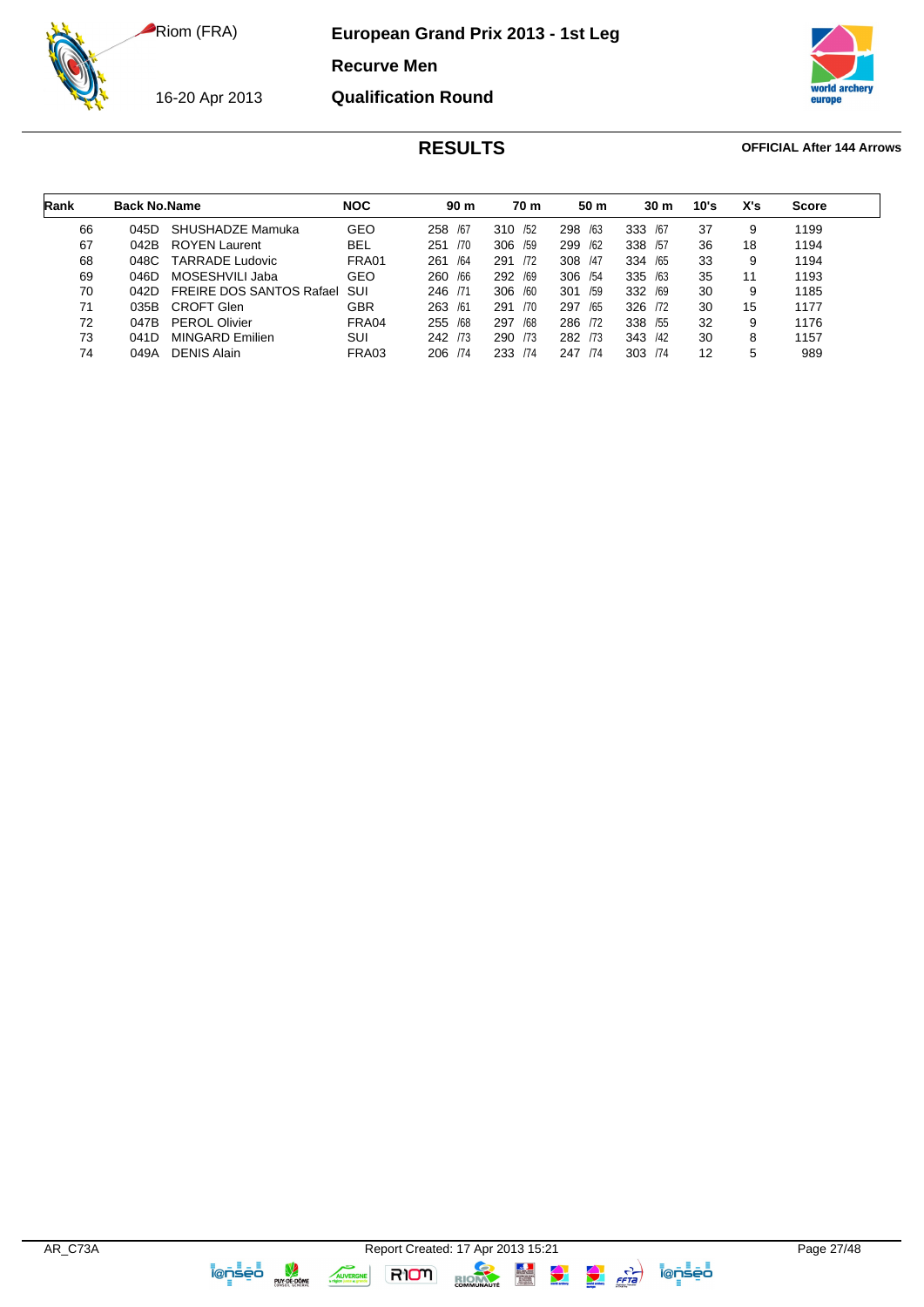**European Grand Prix 2013 - 1st Leg**

**Recurve Men**



16-20 Apr 2013

**Qualification Round**



## **RESULTS OFFICIAL After 144 Arrows**

| Rank | <b>Back No.Name</b> |                                 | <b>NOC</b> | 90 <sub>m</sub> | 70 m       | 50 <sub>m</sub> | 30 m       | 10's | X's | <b>Score</b> |  |
|------|---------------------|---------------------------------|------------|-----------------|------------|-----------------|------------|------|-----|--------------|--|
| 66   | 045D                | SHUSHADZE Mamuka                | <b>GEO</b> | /67<br>258      | /52<br>310 | /63<br>298      | 333<br>/67 | 37   | 9   | 1199         |  |
| 67   | 042B                | <b>ROYEN Laurent</b>            | BEL        | /70<br>251      | /59<br>306 | /62<br>299      | 338 /57    | 36   | 18  | 1194         |  |
| 68   | 048C                | TARRADE Ludovic                 | FRA01      | /64<br>261      | /72<br>291 | /47<br>308      | 334<br>/65 | 33   | 9   | 1194         |  |
| 69   | 046D                | MOSESHVILI Jaba                 | GEO        | /66<br>260      | /69<br>292 | 306<br>/54      | 335<br>/63 | 35   | 11  | 1193         |  |
| 70   | 042D                | <b>FREIRE DOS SANTOS Rafael</b> | SUI        | 246 /71         | /60<br>306 | /59<br>301      | 332<br>/69 | 30   | 9   | 1185         |  |
| 71   | 035B                | <b>CROFT Glen</b>               | <b>GBR</b> | 263 /61         | /70<br>291 | 297<br>/65      | 326 72     | 30   | 15  | 1177         |  |
| 72   | 047B                | <b>PEROL Olivier</b>            | FRA04      | 255 /68         | 297<br>/68 | 286<br>/72      | 338 /55    | 32   | 9   | 1176         |  |
| 73   | 041D                | MINGARD Emilien                 | SUI        | 242 73          | /73<br>290 | 282 /73         | 343<br>/42 | 30   | 8   | 1157         |  |
| 74   | 049A                | <b>DENIS Alain</b>              | FRA03      | 206<br>/74      | /74<br>233 | 247<br>/74      | 303<br>/74 | 12   | 5   | 989          |  |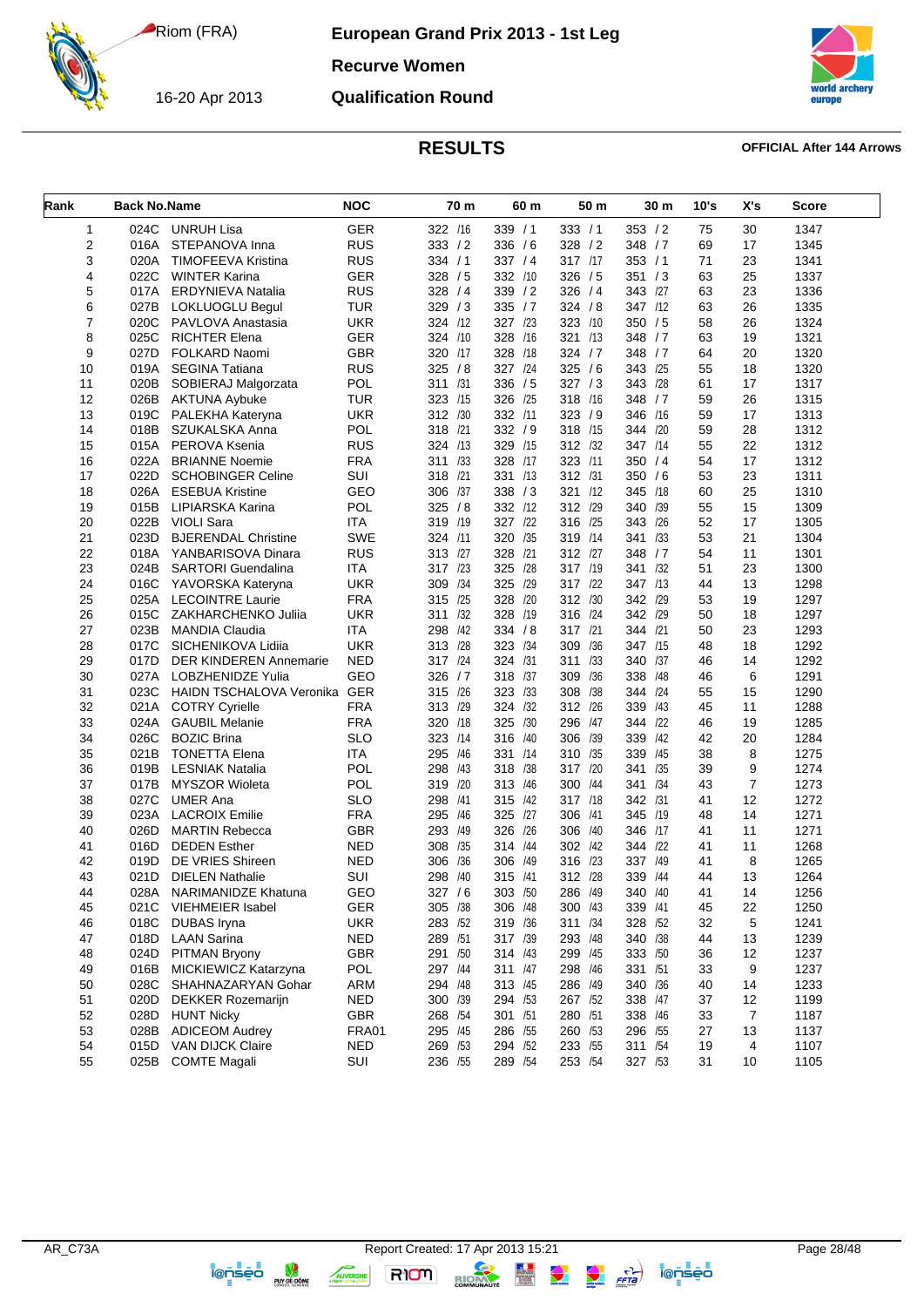**European Grand Prix 2013 - 1st Leg**

**Recurve Women**

**Qualification Round**



16-20 Apr 2013



## **RESULTS OFFICIAL After 144 Arrows**

| Rank | <b>Back No.Name</b> |                                                 | <b>NOC</b>        |                    | 70 m | 60 m    | 50 m       |     | 30 m       | 10's | X's            | <b>Score</b> |  |
|------|---------------------|-------------------------------------------------|-------------------|--------------------|------|---------|------------|-----|------------|------|----------------|--------------|--|
| 1    | 024C                | <b>UNRUH Lisa</b>                               | <b>GER</b>        | 322 /16            |      | 339 / 1 | 333 / 1    |     | 353 / 2    | 75   | 30             | 1347         |  |
| 2    | 016A                | STEPANOVA Inna                                  | <b>RUS</b>        | 333 / 2            |      | 336 / 6 | 328 / 2    |     | 348 / 7    | 69   | 17             | 1345         |  |
| 3    | 020A                | <b>TIMOFEEVA Kristina</b>                       | <b>RUS</b>        | 334 / 1            |      | 337 / 4 | 317 /17    |     | 353/1      | 71   | 23             | 1341         |  |
| 4    | 022C                | <b>WINTER Karina</b>                            | GER               | 328 / 5            |      | 332 /10 | 326 / 5    |     | 351 / 3    | 63   | 25             | 1337         |  |
| 5    | 017A                | <b>ERDYNIEVA Natalia</b>                        | <b>RUS</b>        | 328 / 4            |      | 339 / 2 | 326/4      |     | 343 /27    | 63   | 23             | 1336         |  |
| 6    | 027B                | <b>LOKLUOGLU Begul</b>                          | <b>TUR</b>        | 329 / 3            |      | 335 / 7 | 324 / 8    |     | 347 /12    | 63   | 26             | 1335         |  |
| 7    | 020C                | PAVLOVA Anastasia                               | <b>UKR</b>        | 324 /12            |      | 327 /23 | 323 /10    |     | 350 / 5    | 58   | 26             | 1324         |  |
| 8    | 025C                | <b>RICHTER Elena</b>                            | <b>GER</b>        | 324 /10            |      | 328 /16 | 321 /13    |     | 348 / 7    | 63   | 19             | 1321         |  |
| 9    | 027D                | <b>FOLKARD Naomi</b>                            | <b>GBR</b>        | 320 /17            |      | 328 /18 | 324 / 7    |     | 348 / 7    | 64   | 20             | 1320         |  |
| 10   | 019A                | <b>SEGINA Tatiana</b>                           | <b>RUS</b>        | 325/8              |      | 327 /24 | 325/6      |     | 343 /25    | 55   | 18             | 1320         |  |
| 11   | 020B                | SOBIERAJ Malgorzata                             | POL               | 311 /31            |      | 336 / 5 | 327 / 3    |     | 343 /28    | 61   | 17             | 1317         |  |
| 12   | 026B                | <b>AKTUNA Aybuke</b>                            | <b>TUR</b>        | 323 /15            |      | 326 /25 | 318 /16    |     | 348 / 7    | 59   | 26             | 1315         |  |
| 13   | 019C                | PALEKHA Kateryna                                | <b>UKR</b>        | 312 /30            |      | 332 /11 | 323 / 9    |     | 346 /16    | 59   | 17             | 1313         |  |
| 14   | 018B                | SZUKALSKA Anna                                  | <b>POL</b>        | 318 /21            |      | 332 / 9 | 318 /15    |     | 344 /20    | 59   | 28             | 1312         |  |
| 15   | 015A                | PEROVA Ksenia                                   | <b>RUS</b>        | 324 /13            |      | 329 /15 | 312 /32    |     | 347 /14    | 55   | 22             | 1312         |  |
| 16   | 022A                | <b>BRIANNE Noemie</b>                           | <b>FRA</b>        | 311 / 33           |      | 328 /17 | 323 /11    |     | 350 / 4    | 54   | 17             | 1312         |  |
| 17   | 022D                | <b>SCHOBINGER Celine</b>                        | SUI               | 318 /21            |      | 331 /13 | 312 /31    |     | 350 / 6    | 53   | 23             | 1311         |  |
| 18   | 026A                | <b>ESEBUA Kristine</b>                          | GEO               | 306 /37            |      | 338 / 3 | 321 /12    | 345 | /18        | 60   | 25             | 1310         |  |
| 19   | 015B                | LIPIARSKA Karina                                | POL               | 325 / 8            |      | 332 /12 | 312 /29    |     | /39<br>340 | 55   | 15             | 1309         |  |
|      |                     |                                                 |                   |                    |      | 327 /22 |            |     |            |      | 17             |              |  |
| 20   | 022B                | <b>VIOLI Sara</b><br><b>BJERENDAL Christine</b> | ITA<br><b>SWE</b> | 319 /19<br>324 /11 |      |         | 316 /25    | 343 | /26        | 52   |                | 1305         |  |
| 21   | 023D                |                                                 |                   |                    |      | 320 /35 | 319 /14    | 341 | /33        | 53   | 21             | 1304         |  |
| 22   | 018A                | YANBARISOVA Dinara                              | <b>RUS</b>        | 313 /27            |      | 328 /21 | 312 /27    |     | 348 / 7    | 54   | 11             | 1301         |  |
| 23   | 024B                | <b>SARTORI</b> Guendalina                       | ITA               | 317 /23            |      | 325 /28 | 317 /19    |     | 341 /32    | 51   | 23             | 1300         |  |
| 24   | 016C                | YAVORSKA Kateryna                               | <b>UKR</b>        | 309 /34            |      | 325 /29 | 317 /22    |     | 347 /13    | 44   | 13             | 1298         |  |
| 25   | 025A                | <b>LECOINTRE Laurie</b>                         | <b>FRA</b>        | 315 /25            |      | 328 /20 | 312 /30    |     | 342 /29    | 53   | 19             | 1297         |  |
| 26   | 015C                | ZAKHARCHENKO Julija                             | <b>UKR</b>        | 311 / 32           |      | 328 /19 | 316 /24    |     | 342 /29    | 50   | 18             | 1297         |  |
| 27   | 023B                | <b>MANDIA Claudia</b>                           | ITA               | 298 /42            |      | 334 / 8 | 317 /21    |     | 344 /21    | 50   | 23             | 1293         |  |
| 28   | 017C                | SICHENIKOVA Lidiia                              | <b>UKR</b>        | 313 /28            |      | 323 /34 | 309<br>/36 |     | 347 /15    | 48   | 18             | 1292         |  |
| 29   | 017D                | <b>DER KINDEREN Annemarie</b>                   | <b>NED</b>        | 317 /24            |      | 324 /31 | 311 / 33   | 340 | /37        | 46   | 14             | 1292         |  |
| 30   | 027A                | <b>LOBZHENIDZE Yulia</b>                        | GEO               | 326 / 7            |      | 318 /37 | 309<br>/36 | 338 | /48        | 46   | 6              | 1291         |  |
| 31   | 023C                | HAIDN TSCHALOVA Veronika GER                    |                   | 315 /26            |      | 323 /33 | 308<br>/38 |     | 344 /24    | 55   | 15             | 1290         |  |
| 32   | 021A                | <b>COTRY Cyrielle</b>                           | <b>FRA</b>        | 313 /29            |      | 324 /32 | 312 /26    | 339 | /43        | 45   | 11             | 1288         |  |
| 33   | 024A                | <b>GAUBIL Melanie</b>                           | <b>FRA</b>        | 320 /18            |      | 325 /30 | 296<br>/47 |     | 344 /22    | 46   | 19             | 1285         |  |
| 34   | 026C                | <b>BOZIC Brina</b>                              | <b>SLO</b>        | 323 /14            |      | 316 /40 | 306 /39    |     | 339 /42    | 42   | 20             | 1284         |  |
| 35   | 021B                | <b>TONETTA Elena</b>                            | ITA               | 295 /46            |      | 331 /14 | 310 /35    | 339 | /45        | 38   | 8              | 1275         |  |
| 36   | 019B                | <b>LESNIAK Natalia</b>                          | <b>POL</b>        | 298                | /43  | 318 /38 | 317 /20    | 341 | /35        | 39   | 9              | 1274         |  |
| 37   | 017B                | <b>MYSZOR Wioleta</b>                           | <b>POL</b>        | 319 /20            |      | 313 /46 | 300 /44    | 341 | /34        | 43   | $\overline{7}$ | 1273         |  |
| 38   | 027C                | <b>UMER Ana</b>                                 | <b>SLO</b>        | 298 /41            |      | 315 /42 | 317 /18    |     | 342 /31    | 41   | 12             | 1272         |  |
| 39   | 023A                | <b>LACROIX Emilie</b>                           | <b>FRA</b>        | 295                | /46  | 325 /27 | /41<br>306 |     | 345 /19    | 48   | 14             | 1271         |  |
| 40   | 026D                | <b>MARTIN Rebecca</b>                           | <b>GBR</b>        | 293 /49            |      | 326 /26 | 306<br>/40 |     | 346 /17    | 41   | 11             | 1271         |  |
| 41   | 016D                | <b>DEDEN</b> Esther                             | <b>NED</b>        | 308                | /35  | 314 /44 | 302 /42    |     | 344 /22    | 41   | 11             | 1268         |  |
| 42   | 019D                | DE VRIES Shireen                                | <b>NED</b>        | 306                | /36  | 306 /49 | 316<br>/23 | 337 | /49        | 41   | 8              | 1265         |  |
| 43   | 021D                | <b>DIELEN Nathalie</b>                          | SUI               | 298                | /40  | 315 /41 | 312 /28    | 339 | /44        | 44   | 13             | 1264         |  |
| 44   | 028A                | NARIMANIDZE Khatuna                             | GEO               | 327/6              |      | 303 /50 | 286 /49    |     | 340 /40    | 41   | 14             | 1256         |  |
| 45   | 021C                | <b>VIEHMEIER Isabel</b>                         | GER               | 305 /38            |      | 306 /48 | 300 /43    |     | 339 /41    | 45   | 22             | 1250         |  |
| 46   | 018C                | <b>DUBAS</b> Iryna                              | <b>UKR</b>        | 283 /52            |      | 319 /36 | 311 /34    |     | 328 /52    | 32   | 5              | 1241         |  |
| 47   | 018D                | <b>LAAN Sarina</b>                              | <b>NED</b>        | 289 /51            |      | 317 /39 | 293 /48    |     | 340 /38    | 44   | 13             | 1239         |  |
| 48   | 024D                | <b>PITMAN Bryony</b>                            | <b>GBR</b>        | 291 /50            |      | 314 /43 | 299 /45    |     | 333 /50    | 36   | 12             | 1237         |  |
| 49   | 016B                | MICKIEWICZ Katarzyna                            | POL               | 297 /44            |      | 311 /47 | 298 /46    |     | 331 /51    | 33   | 9              | 1237         |  |
| 50   | 028C                | SHAHNAZARYAN Gohar                              | <b>ARM</b>        | 294 /48            |      | 313 /45 | 286 /49    |     | 340 / 36   | 40   | 14             | 1233         |  |
| 51   | 020D                | <b>DEKKER Rozemarijn</b>                        | <b>NED</b>        | 300 /39            |      | 294 /53 | 267 /52    |     | 338 /47    | 37   | 12             | 1199         |  |
| 52   | 028D                | <b>HUNT Nicky</b>                               | <b>GBR</b>        | 268 /54            |      | 301 /51 | 280 /51    |     | 338 /46    | 33   | $\overline{7}$ | 1187         |  |
| 53   | 028B                | <b>ADICEOM Audrey</b>                           | FRA01             | 295 /45            |      | 286 /55 | 260 /53    |     | 296 /55    | 27   | 13             | 1137         |  |
| 54   | 015D                | VAN DIJCK Claire                                | <b>NED</b>        | 269 /53            |      | 294 /52 | 233 /55    |     | 311 /54    | 19   | 4              | 1107         |  |
| 55   | 025B                | <b>COMTE Magali</b>                             | SUI               | 236 /55            |      | 289 /54 | 253 /54    |     | 327 /53    | 31   | 10             | 1105         |  |
|      |                     |                                                 |                   |                    |      |         |            |     |            |      |                |              |  |

**RIOM** 

RIOM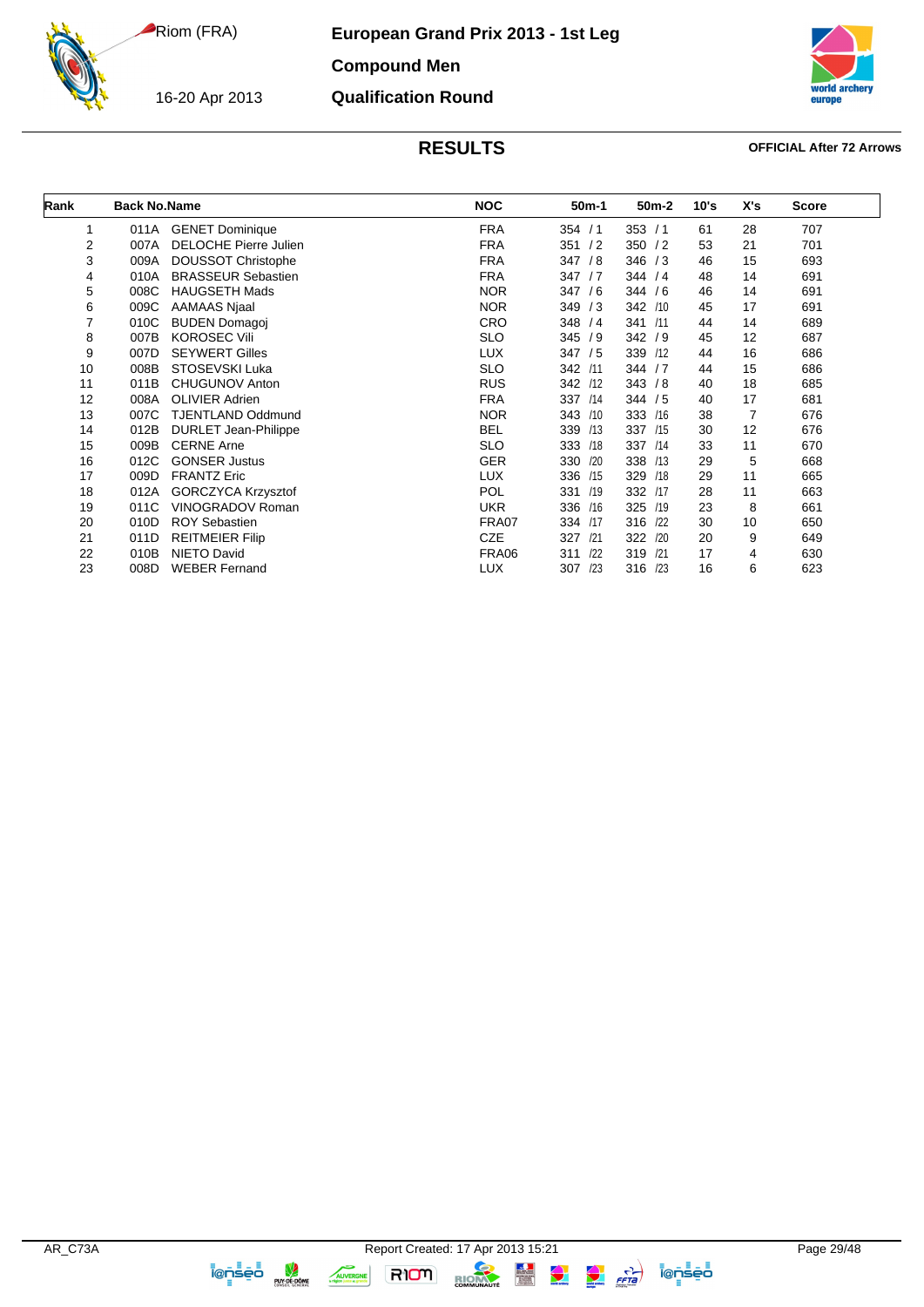16-20 Apr 2013

**European Grand Prix 2013 - 1st Leg**

## **Compound Men**





## **RESULTS OFFICIAL After 72 Arrows**

| Rank | <b>Back No.Name</b> |                             | <b>NOC</b> | 50m-1      | 50 <sub>m</sub> -2 | 10's | X's            | <b>Score</b> |
|------|---------------------|-----------------------------|------------|------------|--------------------|------|----------------|--------------|
| 1    | 011A                | <b>GENET Dominique</b>      | <b>FRA</b> | 354 / 1    | 353 / 1            | 61   | 28             | 707          |
| 2    | 007A                | DELOCHE Pierre Julien       | <b>FRA</b> | 351<br>/2  | 350 / 2            | 53   | 21             | 701          |
| 3    | 009A                | <b>DOUSSOT Christophe</b>   | <b>FRA</b> | 347<br>/8  | 346 / 3            | 46   | 15             | 693          |
| 4    | 010A                | <b>BRASSEUR Sebastien</b>   | <b>FRA</b> | 347/7      | 344 / 4            | 48   | 14             | 691          |
| 5    | 008C                | <b>HAUGSETH Mads</b>        | <b>NOR</b> | 347/6      | 344 / 6            | 46   | 14             | 691          |
| 6    | 009C                | <b>AAMAAS Njaal</b>         | <b>NOR</b> | 349/3      | 342 /10            | 45   | 17             | 691          |
| 7    | 010C                | <b>BUDEN Domagoj</b>        | <b>CRO</b> | 348 / 4    | 341 /11            | 44   | 14             | 689          |
| 8    | 007B                | <b>KOROSEC Vili</b>         | <b>SLO</b> | 345/9      | 342 / 9            | 45   | 12             | 687          |
| 9    | 007D                | <b>SEYWERT Gilles</b>       | <b>LUX</b> | 347 / 5    | 339<br>/12         | 44   | 16             | 686          |
| 10   | 008B                | STOSEVSKI Luka              | <b>SLO</b> | 342 /11    | 344 / 7            | 44   | 15             | 686          |
| 11   | 011B                | <b>CHUGUNOV Anton</b>       | <b>RUS</b> | 342 /12    | 343 / 8            | 40   | 18             | 685          |
| 12   | 008A                | <b>OLIVIER Adrien</b>       | <b>FRA</b> | 337 /14    | 344 / 5            | 40   | 17             | 681          |
| 13   | 007C                | <b>TJENTLAND Oddmund</b>    | <b>NOR</b> | 343 /10    | 333 /16            | 38   | $\overline{7}$ | 676          |
| 14   | 012B                | <b>DURLET Jean-Philippe</b> | <b>BEL</b> | 339 /13    | 337 /15            | 30   | 12             | 676          |
| 15   | 009B                | <b>CERNE Arne</b>           | <b>SLO</b> | 333 /18    | 337 /14            | 33   | 11             | 670          |
| 16   | 012C                | <b>GONSER Justus</b>        | <b>GER</b> | 330<br>/20 | 338<br>/13         | 29   | 5              | 668          |
| 17   | 009D                | <b>FRANTZ Eric</b>          | <b>LUX</b> | 336<br>/15 | 329<br>/18         | 29   | 11             | 665          |
| 18   | 012A                | <b>GORCZYCA Krzysztof</b>   | <b>POL</b> | 331<br>/19 | 332<br>/17         | 28   | 11             | 663          |
| 19   | 011C                | VINOGRADOV Roman            | <b>UKR</b> | 336 /16    | 325<br>/19         | 23   | 8              | 661          |
| 20   | 010D                | ROY Sebastien               | FRA07      | 334 /17    | 316<br>/22         | 30   | 10             | 650          |
| 21   | 011D                | <b>REITMEIER Filip</b>      | <b>CZE</b> | 327<br>/21 | 322<br>/20         | 20   | 9              | 649          |
| 22   | 010B                | <b>NIETO David</b>          | FRA06      | /22<br>311 | 319<br>/21         | 17   | 4              | 630          |
| 23   | 008D                | <b>WEBER Fernand</b>        | <b>LUX</b> | /23<br>307 | 316<br>/23         | 16   | 6              | 623          |

RIOM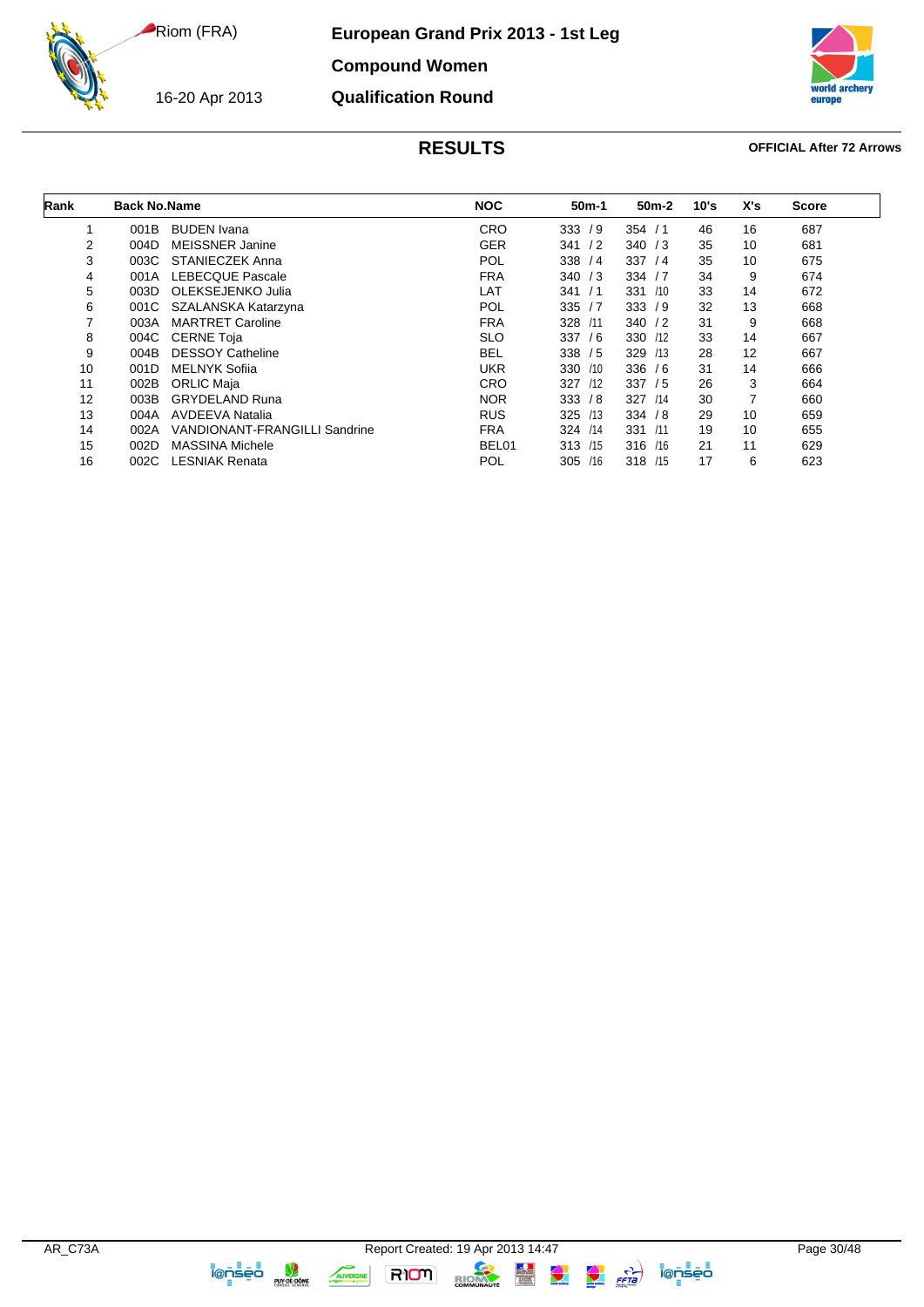16-20 Apr 2013

**European Grand Prix 2013 - 1st Leg**

## **Compound Women**

**Qualification Round**



## **RESULTS OFFICIAL After 72 Arrows**

| Rank | <b>Back No.Name</b> |                                      | <b>NOC</b> | 50 <sub>m</sub> -1 | 50 <sub>m</sub> -2 | 10's | X's | <b>Score</b> |  |
|------|---------------------|--------------------------------------|------------|--------------------|--------------------|------|-----|--------------|--|
|      | 001B                | <b>BUDEN</b> Ivana                   | <b>CRO</b> | 333<br>/9          | 354 / 1            | 46   | 16  | 687          |  |
| 2    | 004D                | <b>MEISSNER</b> Janine               | <b>GER</b> | 341<br>/2          | 340/3              | 35   | 10  | 681          |  |
| 3    | 003C                | STANIECZEK Anna                      | POL        | 338 / 4            | 337<br>/4          | 35   | 10  | 675          |  |
| 4    | 001A                | <b>LEBECQUE Pascale</b>              | <b>FRA</b> | 340 / 3            | 334 / 7            | 34   | 9   | 674          |  |
| 5    | 003D                | OLEKSEJENKO Julia                    | LAT        | 341<br>/1          | 331<br>/10         | 33   | 14  | 672          |  |
| 6    | 001C                | SZALANSKA Katarzyna                  | POL        | 335 / 7            | 333<br><i>1</i> 9  | 32   | 13  | 668          |  |
| 7    | 003A                | <b>MARTRET Caroline</b>              | <b>FRA</b> | 328<br>/11         | 340/2              | 31   | 9   | 668          |  |
| 8    | 004C                | <b>CERNE Toja</b>                    | <b>SLO</b> | 337/6              | 330<br>112         | 33   | 14  | 667          |  |
| 9    | 004B                | <b>DESSOY Catheline</b>              | <b>BEL</b> | 338 / 5            | 329<br>/13         | 28   | 12  | 667          |  |
| 10   | 001D                | <b>MELNYK Sofiia</b>                 | UKR        | 330<br>/10         | 336 / 6            | 31   | 14  | 666          |  |
| 11   | 002B                | <b>ORLIC Maja</b>                    | CRO        | 327<br>/12         | 337<br>/5          | 26   | 3   | 664          |  |
| 12   | 003B                | <b>GRYDELAND Runa</b>                | <b>NOR</b> | 333 / 8            | 327 /14            | 30   | 7   | 660          |  |
| 13   | 004A                | <b>AVDEEVA Natalia</b>               | <b>RUS</b> | 325<br>/13         | 334 / 8            | 29   | 10  | 659          |  |
| 14   | 002A                | <b>VANDIONANT-FRANGILLI Sandrine</b> | <b>FRA</b> | 324<br>/14         | 331<br>/11         | 19   | 10  | 655          |  |
| 15   | 002D                | <b>MASSINA Michele</b>               | BEL01      | 313 /15            | 316 /16            | 21   | 11  | 629          |  |
| 16   | 002C                | <b>LESNIAK Renata</b>                | POL        | 305<br>/16         | 318 /15            | 17   | 6   | 623          |  |

**RIOM** 

RIOM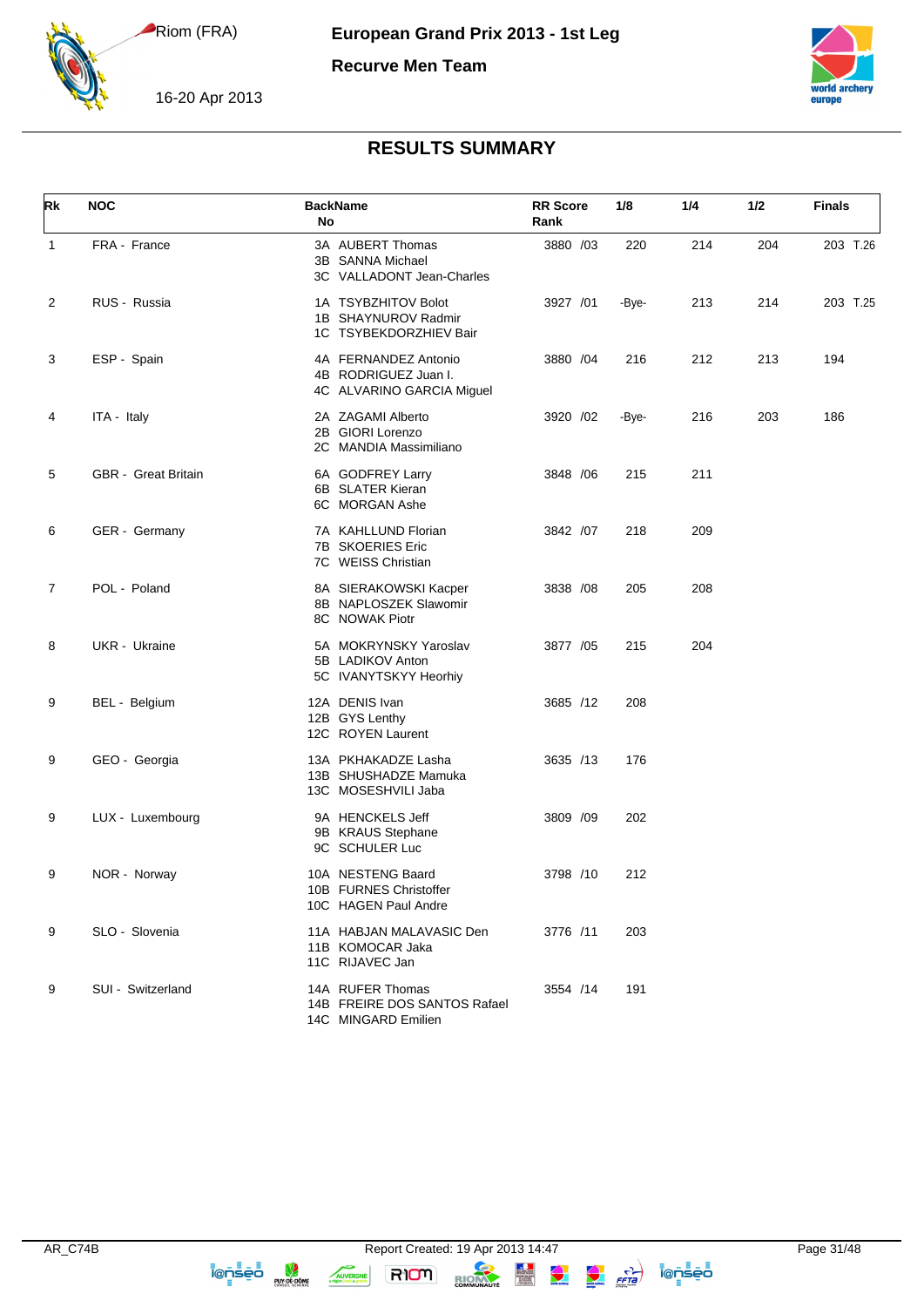



16-20 Apr 2013



## **RESULTS SUMMARY**

| Rk             | <b>NOC</b>                 | <b>BackName</b><br>No                                                     | <b>RR</b> Score<br>Rank | 1/8   | 1/4 | 1/2 | <b>Finals</b> |
|----------------|----------------------------|---------------------------------------------------------------------------|-------------------------|-------|-----|-----|---------------|
| 1              | FRA - France               | 3A AUBERT Thomas<br>3B SANNA Michael<br>3C VALLADONT Jean-Charles         | 3880 /03                | 220   | 214 | 204 | 203 T.26      |
| 2              | RUS - Russia               | 1A TSYBZHITOV Bolot<br>1B SHAYNUROV Radmir<br>1C TSYBEKDORZHIEV Bair      | 3927 /01                | -Bye- | 213 | 214 | 203 T.25      |
| 3              | ESP - Spain                | 4A FERNANDEZ Antonio<br>4B RODRIGUEZ Juan I.<br>4C ALVARINO GARCIA Miguel | 3880 / 04               | 216   | 212 | 213 | 194           |
| 4              | ITA - Italy                | 2A ZAGAMI Alberto<br>2B GIORI Lorenzo<br>2C MANDIA Massimiliano           | 3920 / 02               | -Bye- | 216 | 203 | 186           |
| 5              | <b>GBR</b> - Great Britain | 6A GODFREY Larry<br>6B SLATER Kieran<br>6C MORGAN Ashe                    | 3848 / 06               | 215   | 211 |     |               |
| 6              | GER - Germany              | 7A KAHLLUND Florian<br>7B SKOERIES Eric<br>7C WEISS Christian             | 3842 /07                | 218   | 209 |     |               |
| $\overline{7}$ | POL - Poland               | 8A SIERAKOWSKI Kacper<br>8B NAPLOSZEK Slawomir<br>8C NOWAK Piotr          | 3838 /08                | 205   | 208 |     |               |
| 8              | UKR - Ukraine              | 5A MOKRYNSKY Yaroslav<br>5B LADIKOV Anton<br>5C IVANYTSKYY Heorhiy        | 3877 / 05               | 215   | 204 |     |               |
| 9              | BEL - Belgium              | 12A DENIS Ivan<br>12B GYS Lenthy<br>12C ROYEN Laurent                     | 3685 /12                | 208   |     |     |               |
| 9              | GEO - Georgia              | 13A PKHAKADZE Lasha<br>13B SHUSHADZE Mamuka<br>13C MOSESHVILI Jaba        | 3635 /13                | 176   |     |     |               |
| 9              | LUX - Luxembourg           | 9A HENCKELS Jeff<br>9B KRAUS Stephane<br>9C SCHULER Luc                   | 3809 /09                | 202   |     |     |               |
| 9              | NOR - Norway               | 10A NESTENG Baard<br>10B FURNES Christoffer<br>10C HAGEN Paul Andre       | 3798 /10                | 212   |     |     |               |
| 9              | SLO - Slovenia             | 11A HABJAN MALAVASIC Den<br>11B KOMOCAR Jaka<br>11C RIJAVEC Jan           | 3776 /11                | 203   |     |     |               |
| 9              | SUI - Switzerland          | 14A RUFER Thomas<br>14B FREIRE DOS SANTOS Rafael<br>14C MINGARD Emilien   | 3554 /14                | 191   |     |     |               |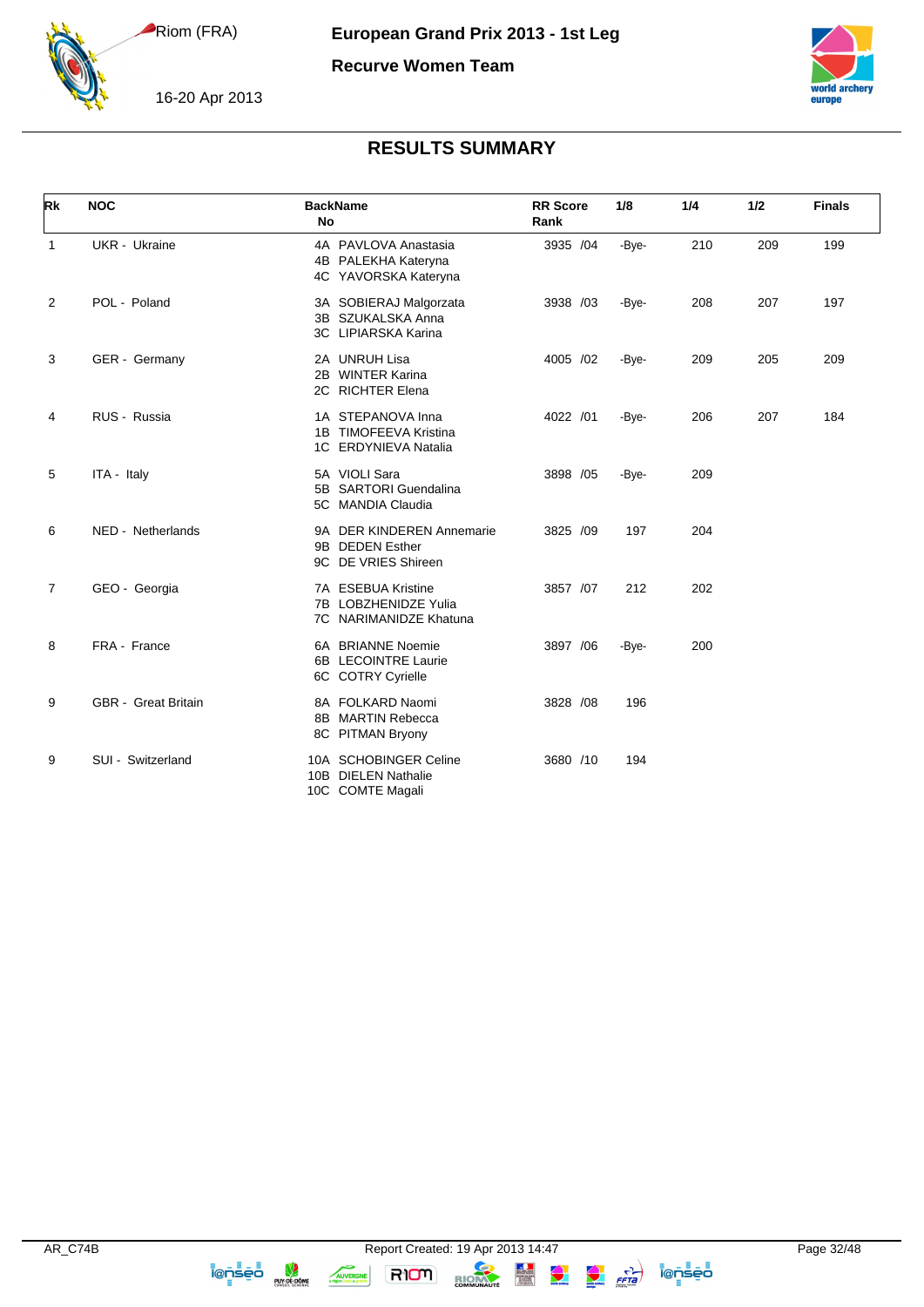



16-20 Apr 2013



# **RESULTS SUMMARY**

| Rk             | <b>NOC</b>                 | <b>BackName</b><br><b>No</b>                                         | <b>RR</b> Score<br>Rank | 1/8   | 1/4 | 1/2 | <b>Finals</b> |
|----------------|----------------------------|----------------------------------------------------------------------|-------------------------|-------|-----|-----|---------------|
| 1              | <b>UKR</b> - Ukraine       | 4A PAVLOVA Anastasia<br>4B PALEKHA Kateryna<br>4C YAVORSKA Kateryna  | 3935 /04                | -Bye- | 210 | 209 | 199           |
| 2              | POL - Poland               | 3A SOBIERAJ Malgorzata<br>3B SZUKALSKA Anna<br>3C LIPIARSKA Karina   | 3938 /03                | -Bye- | 208 | 207 | 197           |
| 3              | GER - Germany              | 2A UNRUH Lisa<br>2B WINTER Karina<br>2C RICHTER Elena                | 4005 /02                | -Bye- | 209 | 205 | 209           |
| 4              | RUS - Russia               | 1A STEPANOVA Inna<br>1B TIMOFEEVA Kristina<br>1C ERDYNIEVA Natalia   | 4022 /01                | -Bye- | 206 | 207 | 184           |
| 5              | ITA - Italy                | 5A VIOLI Sara<br>5B SARTORI Guendalina<br>5C MANDIA Claudia          | 3898 / 05               | -Bye- | 209 |     |               |
| 6              | NED - Netherlands          | 9A DER KINDEREN Annemarie<br>9B DEDEN Esther<br>9C DE VRIES Shireen  | 3825 /09                | 197   | 204 |     |               |
| $\overline{7}$ | GEO - Georgia              | 7A ESEBUA Kristine<br>7B LOBZHENIDZE Yulia<br>7C NARIMANIDZE Khatuna | 3857 /07                | 212   | 202 |     |               |
| 8              | FRA - France               | 6A BRIANNE Noemie<br>6B LECOINTRE Laurie<br>6C COTRY Cyrielle        | 3897 / 06               | -Bye- | 200 |     |               |
| 9              | <b>GBR</b> - Great Britain | 8A FOLKARD Naomi<br>8B MARTIN Rebecca<br>8C PITMAN Bryony            | 3828 / 08               | 196   |     |     |               |
| 9              | SUI - Switzerland          | 10A SCHOBINGER Celine<br>10B DIELEN Nathalie<br>10C COMTE Magali     | 3680 /10                | 194   |     |     |               |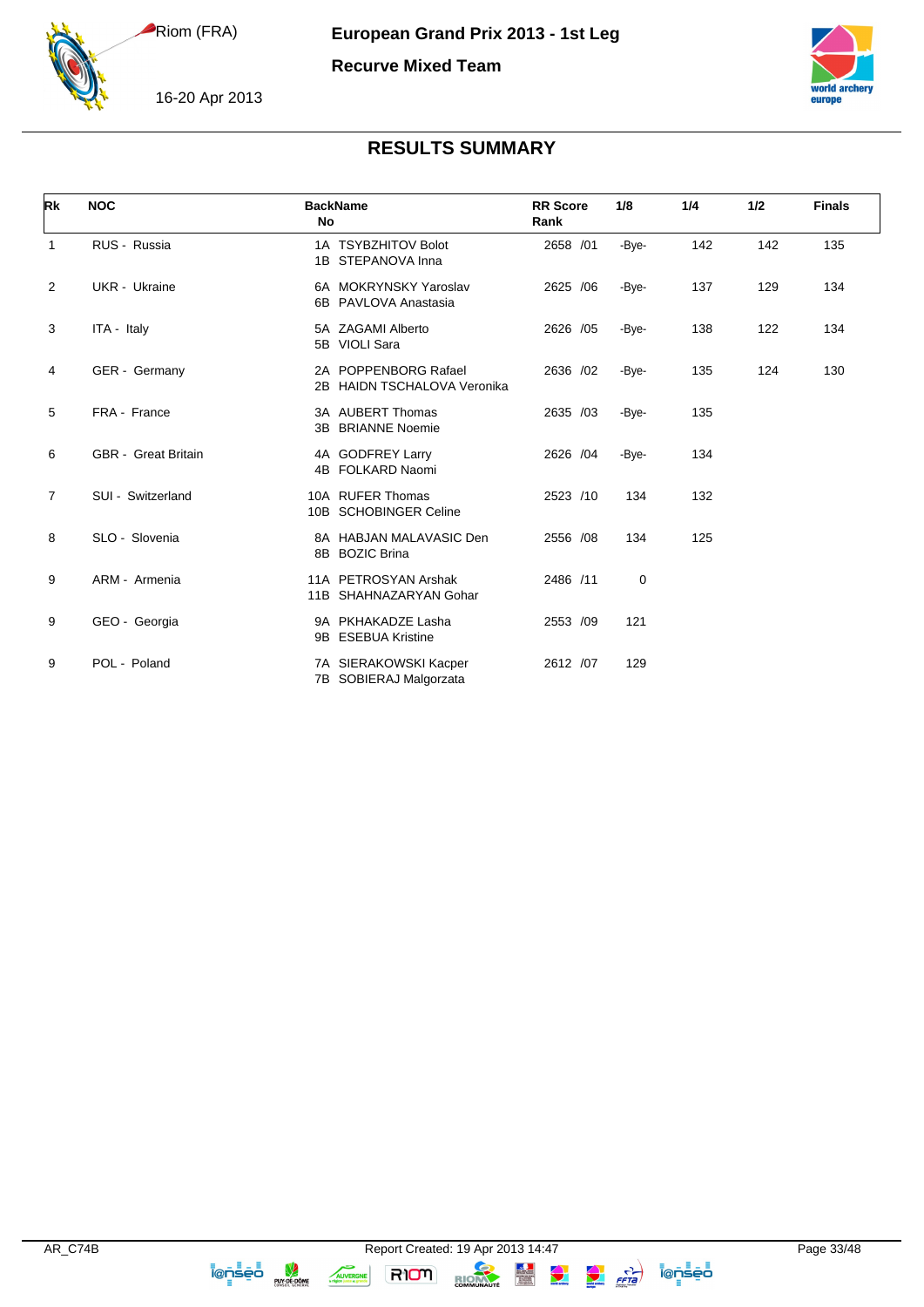**Recurve Mixed Team**



16-20 Apr 2013



# **RESULTS SUMMARY**

| Rk             | <b>NOC</b>                 | <b>BackName</b><br>No                               | <b>RR</b> Score<br>Rank | 1/8   | 1/4 | 1/2 | <b>Finals</b> |
|----------------|----------------------------|-----------------------------------------------------|-------------------------|-------|-----|-----|---------------|
| $\mathbf{1}$   | RUS - Russia               | 1A TSYBZHITOV Bolot<br>1B STEPANOVA Inna            | 2658 /01                | -Bye- | 142 | 142 | 135           |
| 2              | UKR - Ukraine              | 6A MOKRYNSKY Yaroslav<br>6B PAVLOVA Anastasia       | 2625 /06                | -Bye- | 137 | 129 | 134           |
| 3              | ITA - Italy                | 5A ZAGAMI Alberto<br>5B VIOLI Sara                  | 2626 /05                | -Bye- | 138 | 122 | 134           |
| 4              | GER - Germany              | 2A POPPENBORG Rafael<br>2B HAIDN TSCHALOVA Veronika | 2636 /02                | -Bye- | 135 | 124 | 130           |
| 5              | FRA - France               | 3A AUBERT Thomas<br><b>3B BRIANNE Noemie</b>        | 2635 /03                | -Bye- | 135 |     |               |
| 6              | <b>GBR</b> - Great Britain | 4A GODFREY Larry<br>4B FOLKARD Naomi                | 2626 /04                | -Bye- | 134 |     |               |
| $\overline{7}$ | SUI - Switzerland          | 10A RUFER Thomas<br>10B SCHOBINGER Celine           | 2523 /10                | 134   | 132 |     |               |
| 8              | SLO - Slovenia             | 8A HABJAN MALAVASIC Den<br>8B BOZIC Brina           | 2556 /08                | 134   | 125 |     |               |
| 9              | ARM - Armenia              | 11A PETROSYAN Arshak<br>11B SHAHNAZARYAN Gohar      | 2486 /11                | 0     |     |     |               |
| 9              | GEO - Georgia              | 9A PKHAKADZE Lasha<br>9B ESEBUA Kristine            | 2553 /09                | 121   |     |     |               |
| 9              | POL - Poland               | 7A SIERAKOWSKI Kacper<br>7B SOBIERAJ Malgorzata     | 2612 /07                | 129   |     |     |               |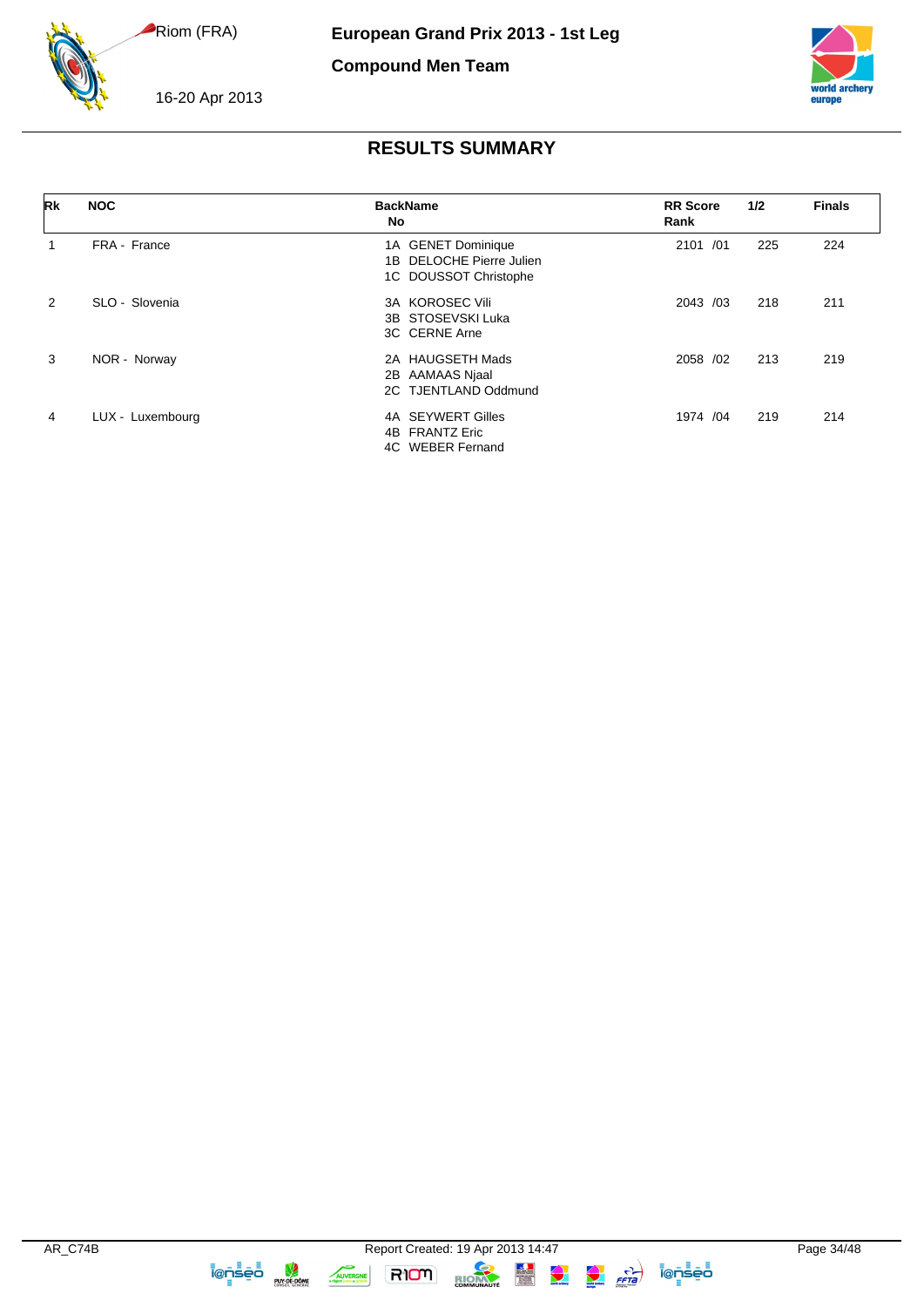**Compound Men Team**



16-20 Apr 2013



## **RESULTS SUMMARY**

| Rk             | <b>NOC</b>       | <b>BackName</b><br>No                                                                 | <b>RR</b> Score<br>Rank | 1/2 | <b>Finals</b> |
|----------------|------------------|---------------------------------------------------------------------------------------|-------------------------|-----|---------------|
|                | FRA - France     | <b>GENET Dominique</b><br>1A<br>DELOCHE Pierre Julien<br>1B.<br>1C DOUSSOT Christophe | 2101<br>/01             | 225 | 224           |
| $\overline{2}$ | SLO - Slovenia   | <b>KOROSEC Vili</b><br>3A<br>3B STOSEVSKI Luka<br>3C CERNE Arne                       | 2043 /03                | 218 | 211           |
| 3              | NOR - Norway     | <b>HAUGSETH Mads</b><br>2A<br>2B AAMAAS Njaal<br>2C TJENTLAND Oddmund                 | 2058 /02                | 213 | 219           |
| 4              | LUX - Luxembourg | <b>SEYWERT Gilles</b><br>4A<br><b>FRANTZ Eric</b><br>4B<br>4C WEBER Fernand           | 1974 /04                | 219 | 214           |

RIOM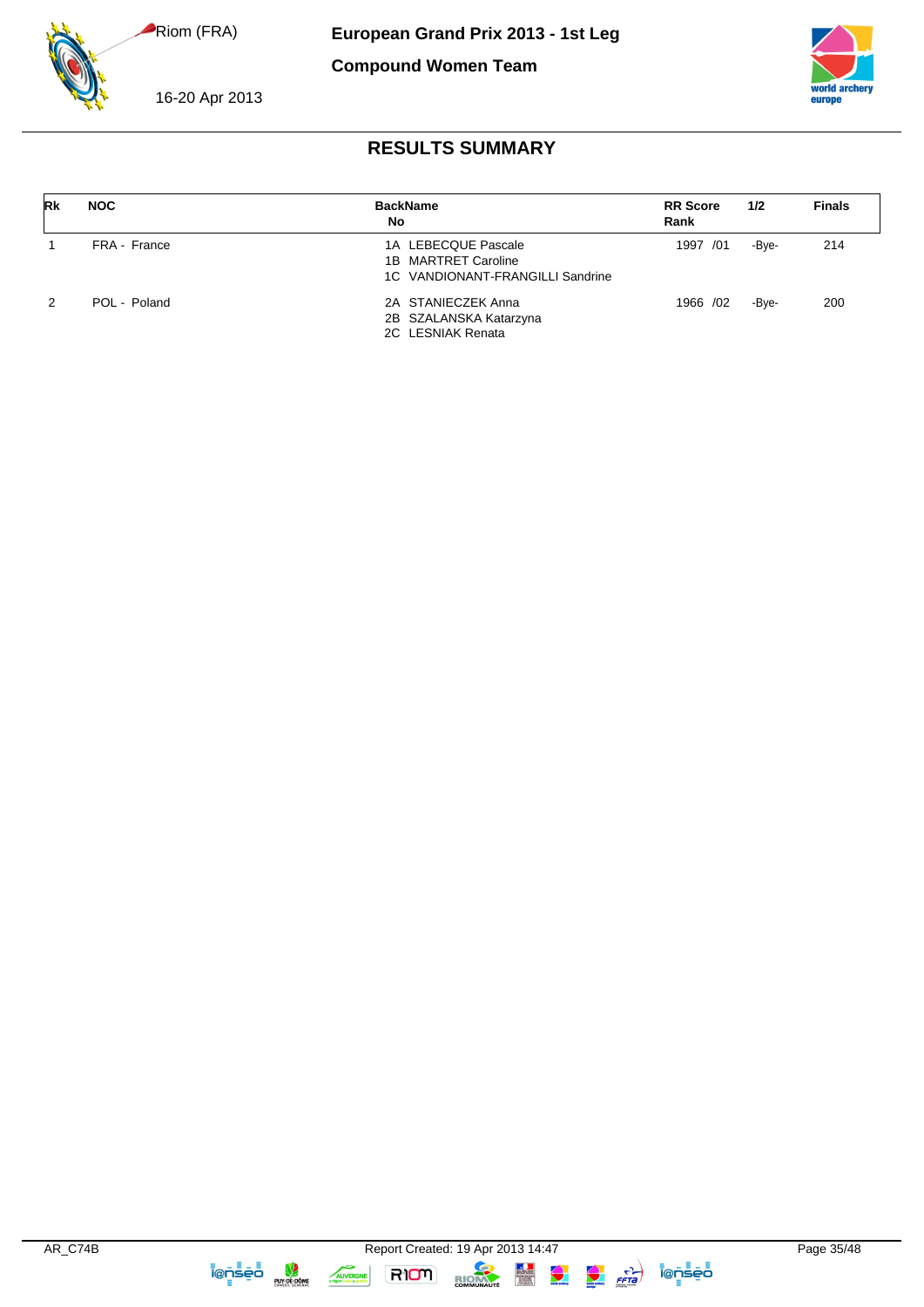**European Grand Prix 2013 - 1st Leg**

**Compound Women Team**



16-20 Apr 2013



## **RESULTS SUMMARY**

| Rk            | <b>NOC</b>   | <b>BackName</b><br>No                                                          | <b>RR</b> Score<br>Rank | 1/2   | <b>Finals</b> |
|---------------|--------------|--------------------------------------------------------------------------------|-------------------------|-------|---------------|
|               | FRA - France | 1A LEBECQUE Pascale<br>1B MARTRET Caroline<br>1C VANDIONANT-FRANGILLI Sandrine | 1997 /01                | -Bve- | 214           |
| $\mathcal{P}$ | POL - Poland | 2A STANIECZEK Anna<br>2B SZALANSKA Katarzyna<br>2C LESNIAK Renata              | 1966 /02                | -Bve- | 200           |



RIOM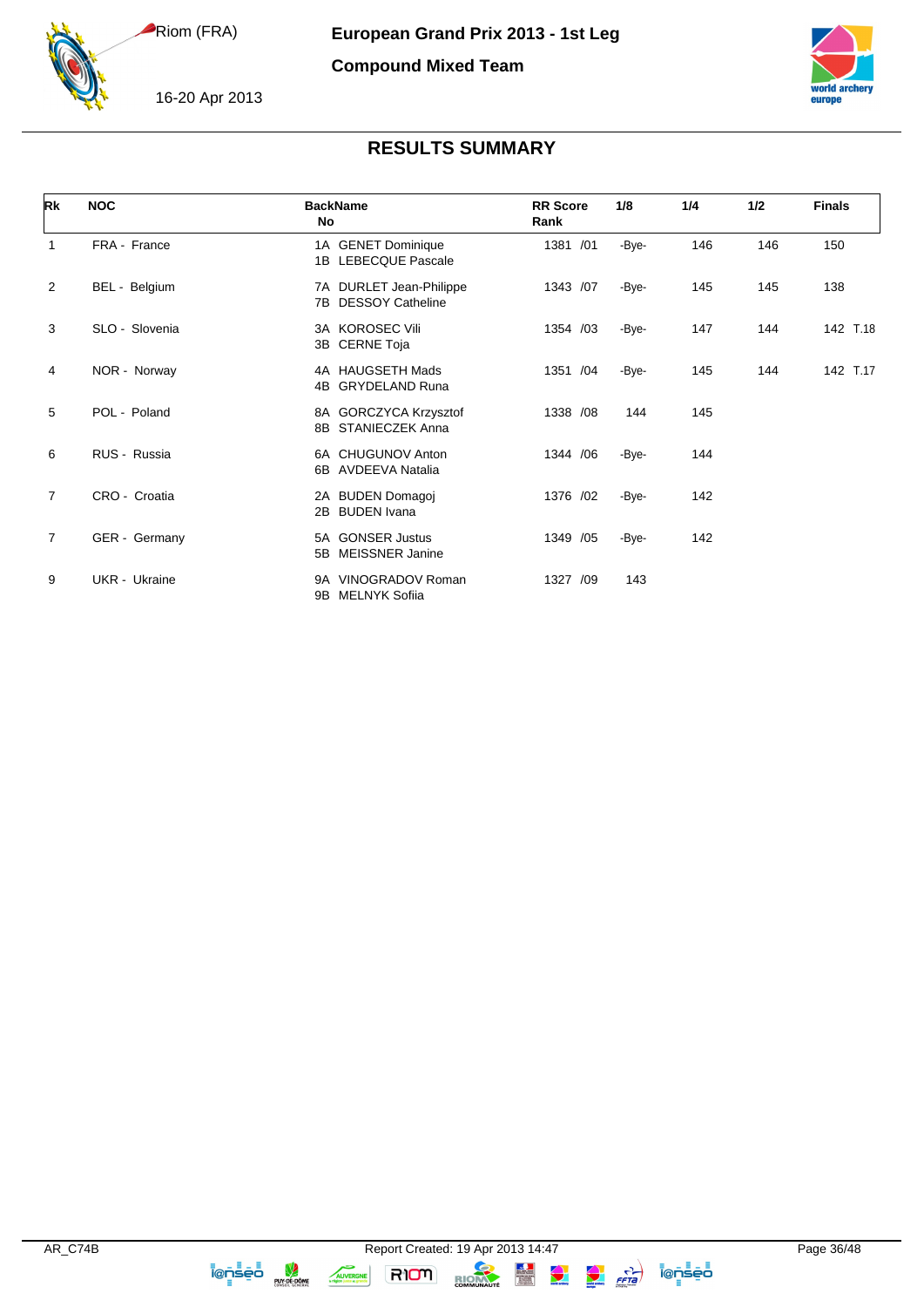



16-20 Apr 2013



## **RESULTS SUMMARY**

| Rk             | <b>NOC</b>     | <b>BackName</b><br>No                                      | <b>RR</b> Score<br>Rank | 1/8   | 1/4 | 1/2 | <b>Finals</b> |
|----------------|----------------|------------------------------------------------------------|-------------------------|-------|-----|-----|---------------|
| 1              | FRA - France   | 1A GENET Dominique<br>1B LEBECQUE Pascale                  | 1381 /01                | -Bye- | 146 | 146 | 150           |
| 2              | BEL - Belgium  | 7A DURLET Jean-Philippe<br><b>DESSOY Catheline</b><br>7B   | 1343 /07                | -Bye- | 145 | 145 | 138           |
| 3              | SLO - Slovenia | <b>3A KOROSEC Vili</b><br><b>CERNE Toja</b><br>3B          | 1354 /03                | -Bye- | 147 | 144 | 142 T.18      |
| 4              | NOR - Norway   | 4A HAUGSETH Mads<br><b>GRYDELAND Runa</b><br>4B            | 1351 /04                | -Bye- | 145 | 144 | 142 T.17      |
| 5              | POL - Poland   | 8A GORCZYCA Krzysztof<br>8B STANIECZEK Anna                | 1338 /08                | 144   | 145 |     |               |
| 6              | RUS - Russia   | 6A CHUGUNOV Anton<br>AVDEEVA Natalia<br>6B                 | 1344 / 06               | -Bye- | 144 |     |               |
| $\overline{7}$ | CRO - Croatia  | 2A BUDEN Domagoj<br><b>BUDEN</b> Ivana<br>2B               | 1376 /02                | -Bye- | 142 |     |               |
| $\overline{7}$ | GER - Germany  | <b>GONSER Justus</b><br>5A<br><b>MEISSNER Janine</b><br>5Β | 1349 / 05               | -Bye- | 142 |     |               |
| 9              | UKR - Ukraine  | VINOGRADOV Roman<br>9Α<br><b>MELNYK Sofiia</b><br>9B       | 1327 /09                | 143   |     |     |               |

RIOM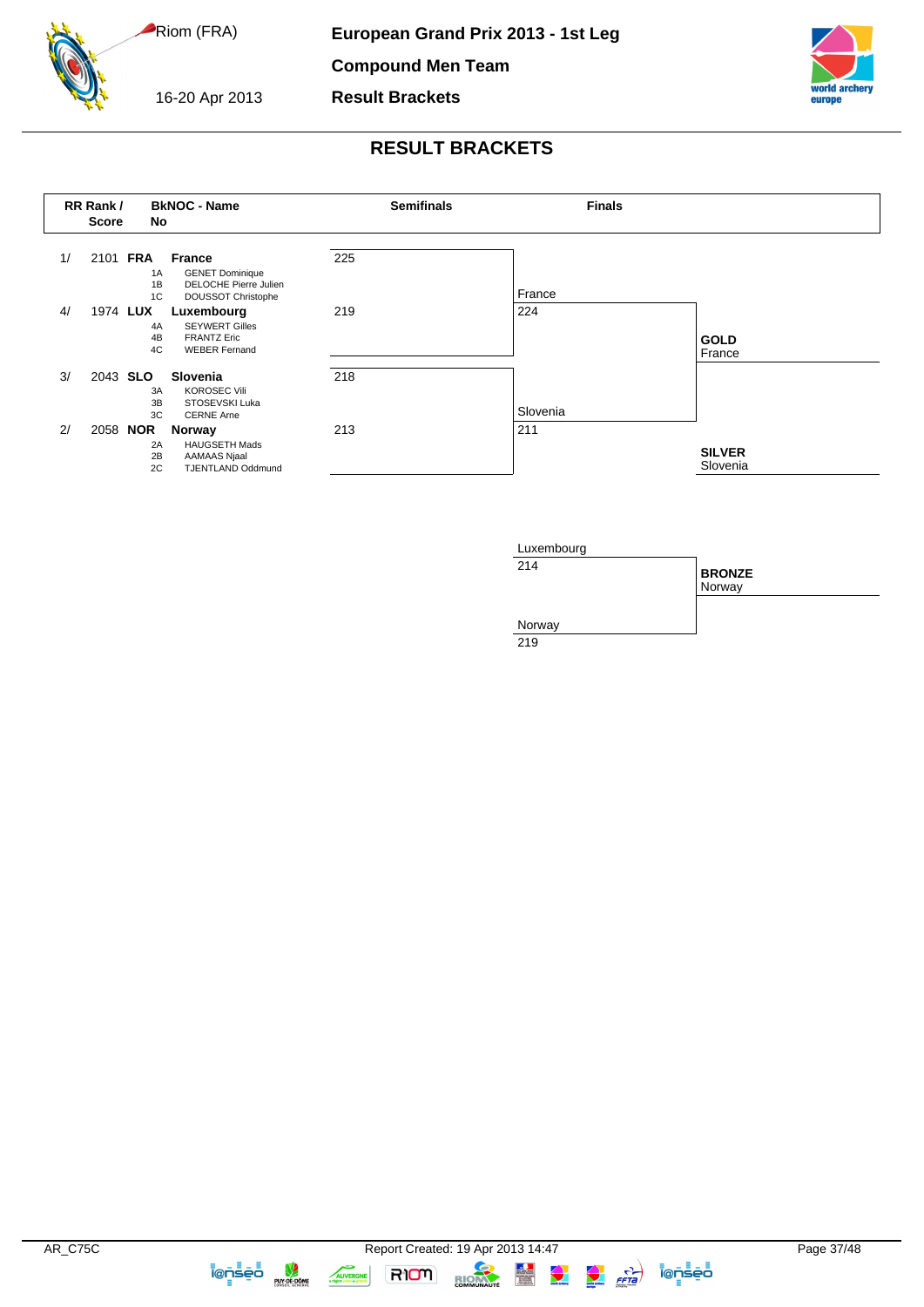16-20 Apr 2013

**European Grand Prix 2013 - 1st Leg**

**Compound Men Team**

**Result Brackets**



## **RESULT BRACKETS**







**RIOM** 

RION

AUVERGNE

 $\frac{1}{\sqrt{2}}$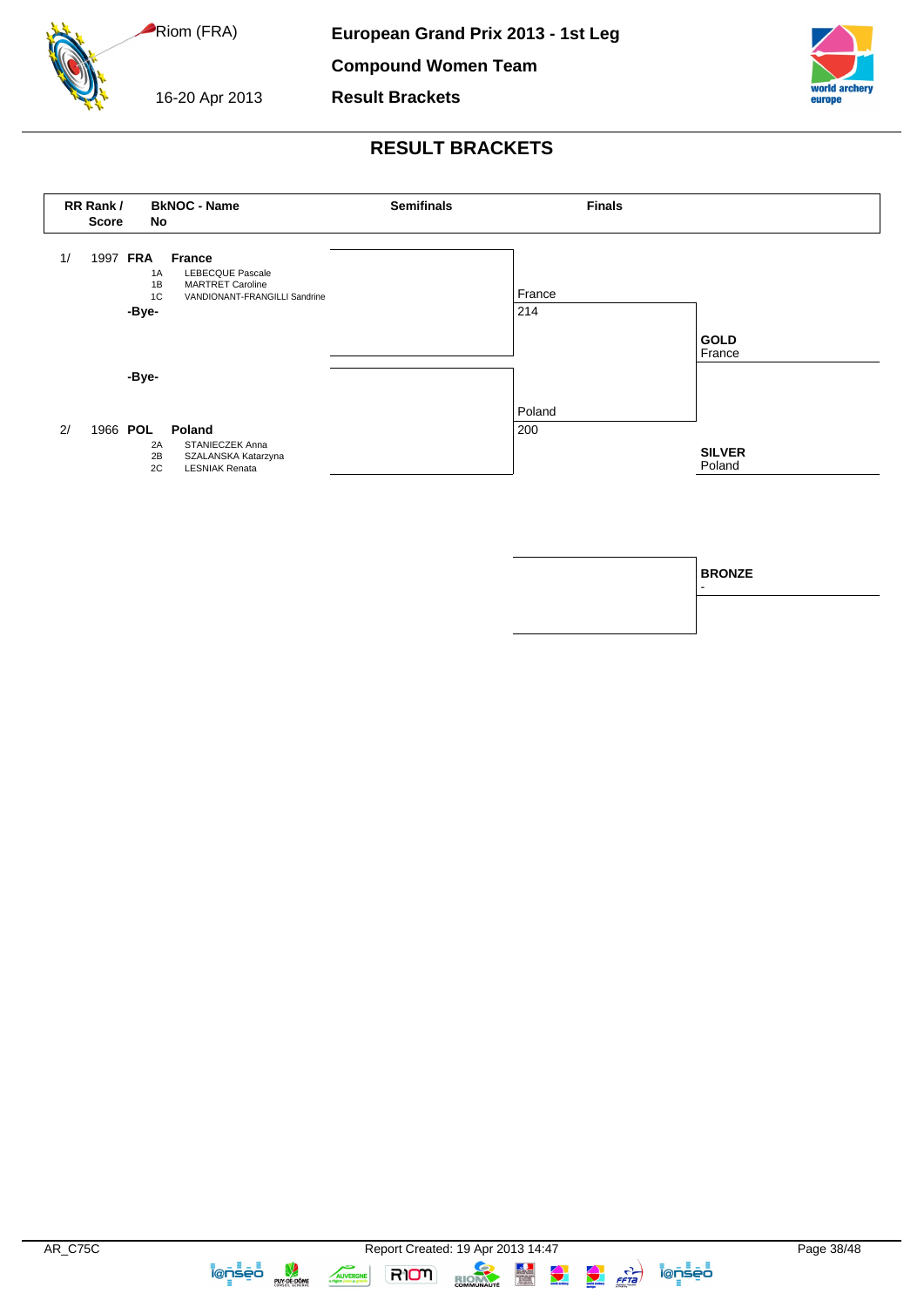16-20 Apr 2013

**European Grand Prix 2013 - 1st Leg**

**Compound Women Team**

**Result Brackets**



## **RESULT BRACKETS**





AUVERGNE

 $\frac{1}{\sqrt{2}}$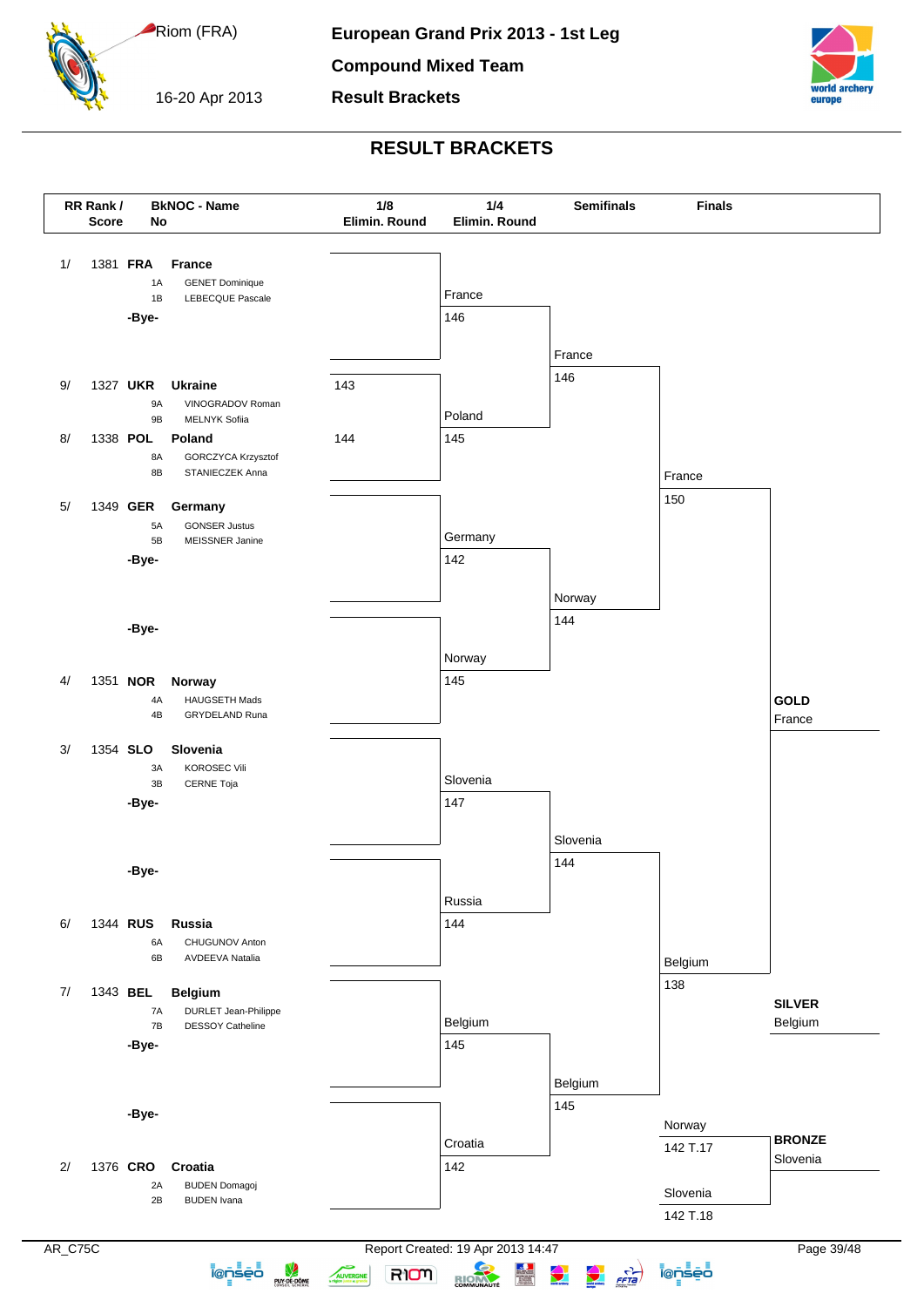16-20 Apr 2013

**European Grand Prix 2013 - 1st Leg**

**Compound Mixed Team**

**Result Brackets**



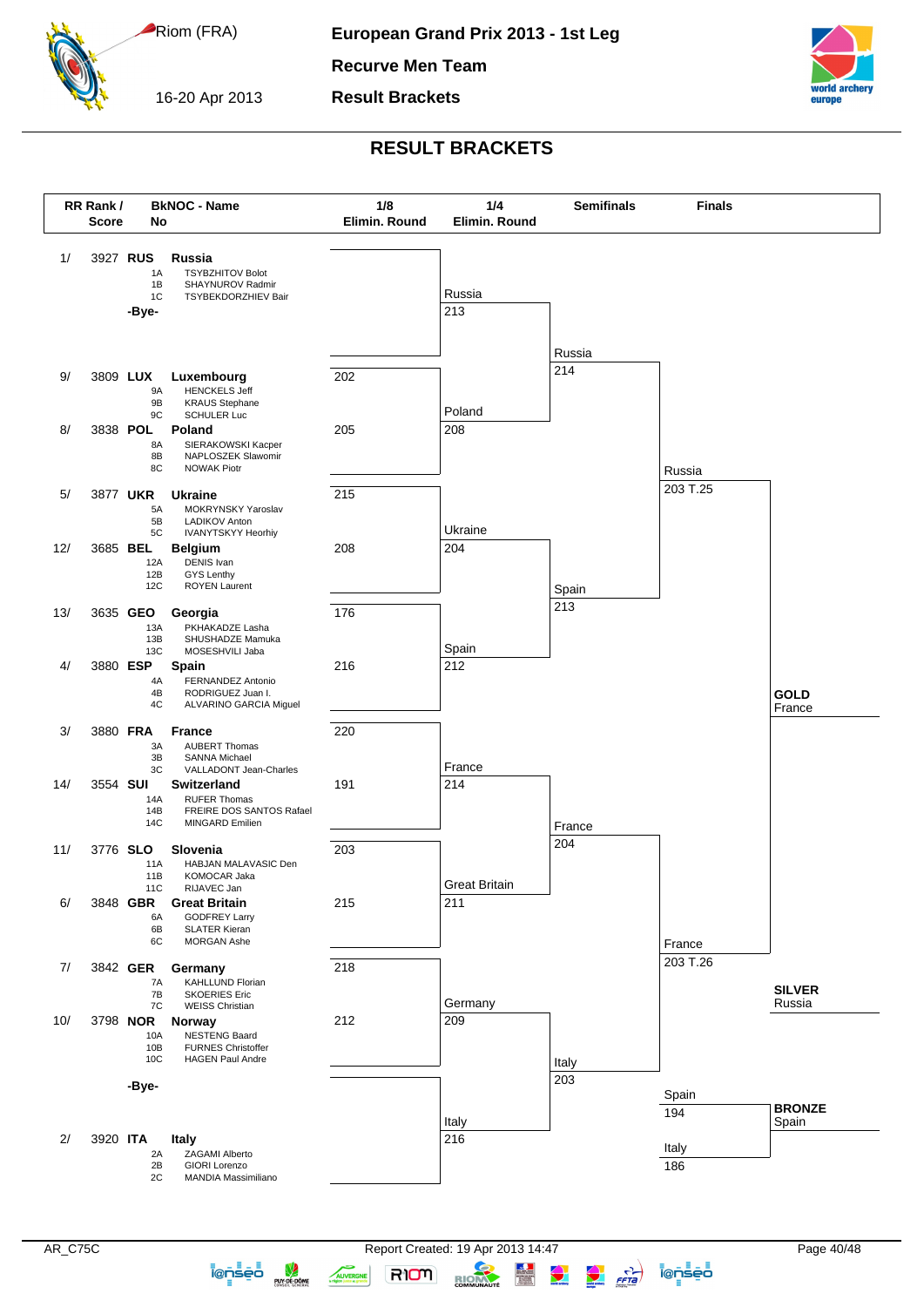16-20 Apr 2013

**European Grand Prix 2013 - 1st Leg**

**Recurve Men Team**

**Result Brackets**



## **RESULT BRACKETS**



**i**@nseo

AUVERO

AR\_C75C Report Created: 19 Apr 2013 14:47<br> **AREPORT CREATED REPORT AND RIGHTS ARE REPORTED ASSESS** TO A REPORT OF THE REPORT OF THE REPORT OF THE REPORT OF THE REPORT OF THE REPORT OF THE REPORT OF THE REPORT OF THE REPORT

**RION** 

RION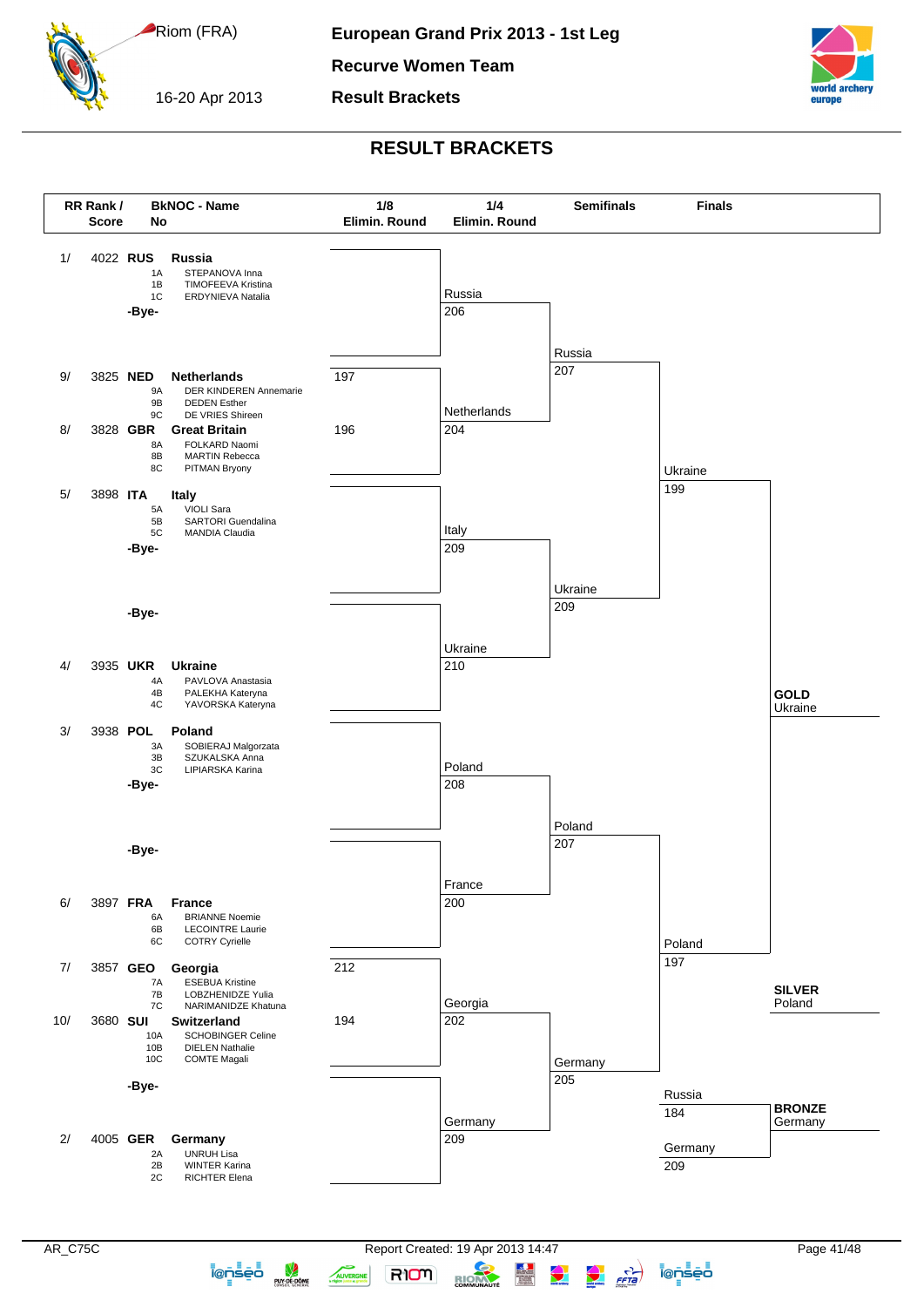16-20 Apr 2013

**European Grand Prix 2013 - 1st Leg**

**Recurve Women Team**

**Result Brackets**



## **RESULT BRACKETS**



**TODE OF SEARCH THE DATE OF STATE** 

AUVERO

RION

**RIC**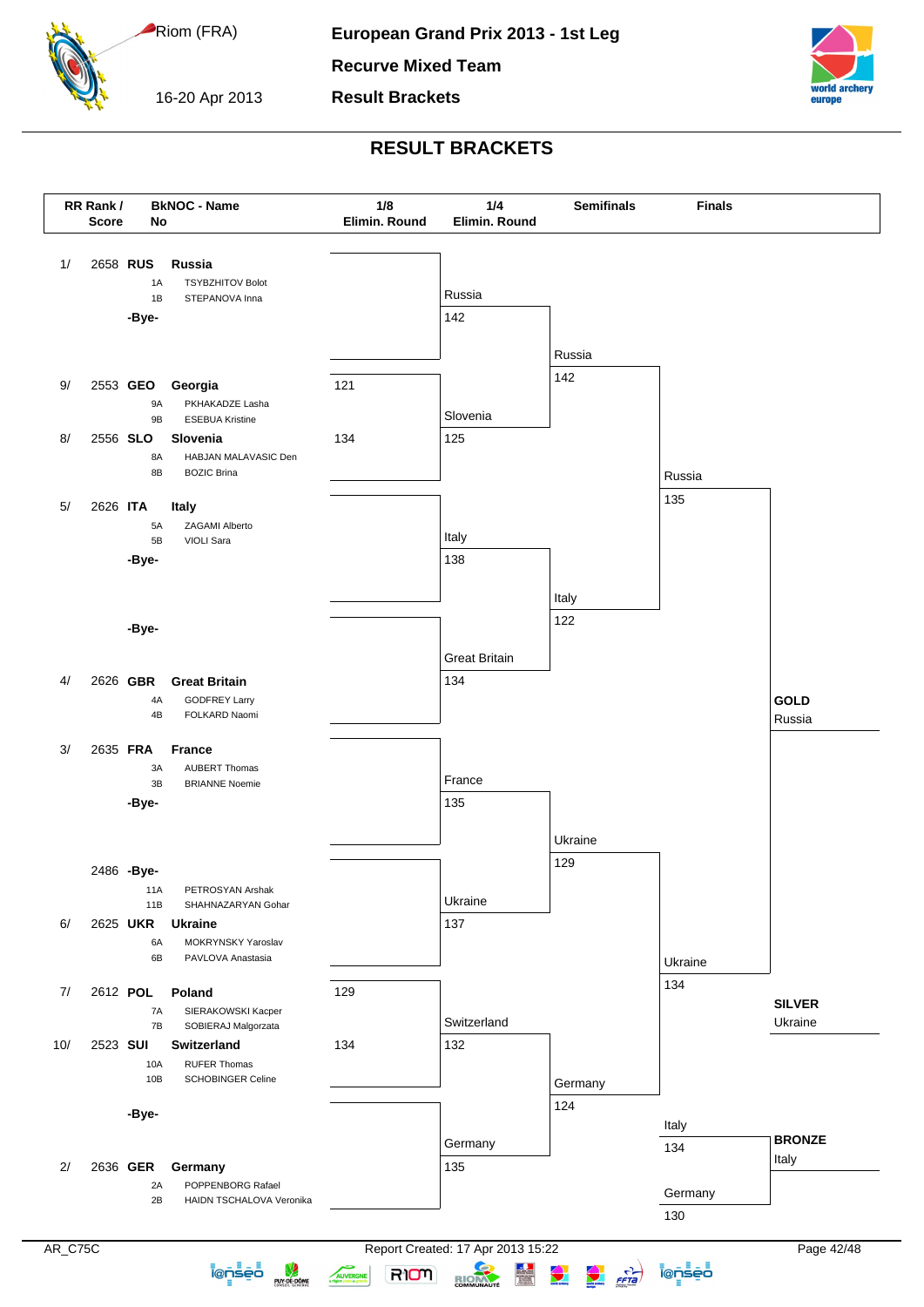16-20 Apr 2013

**European Grand Prix 2013 - 1st Leg**

**Recurve Mixed Team**

**Result Brackets**



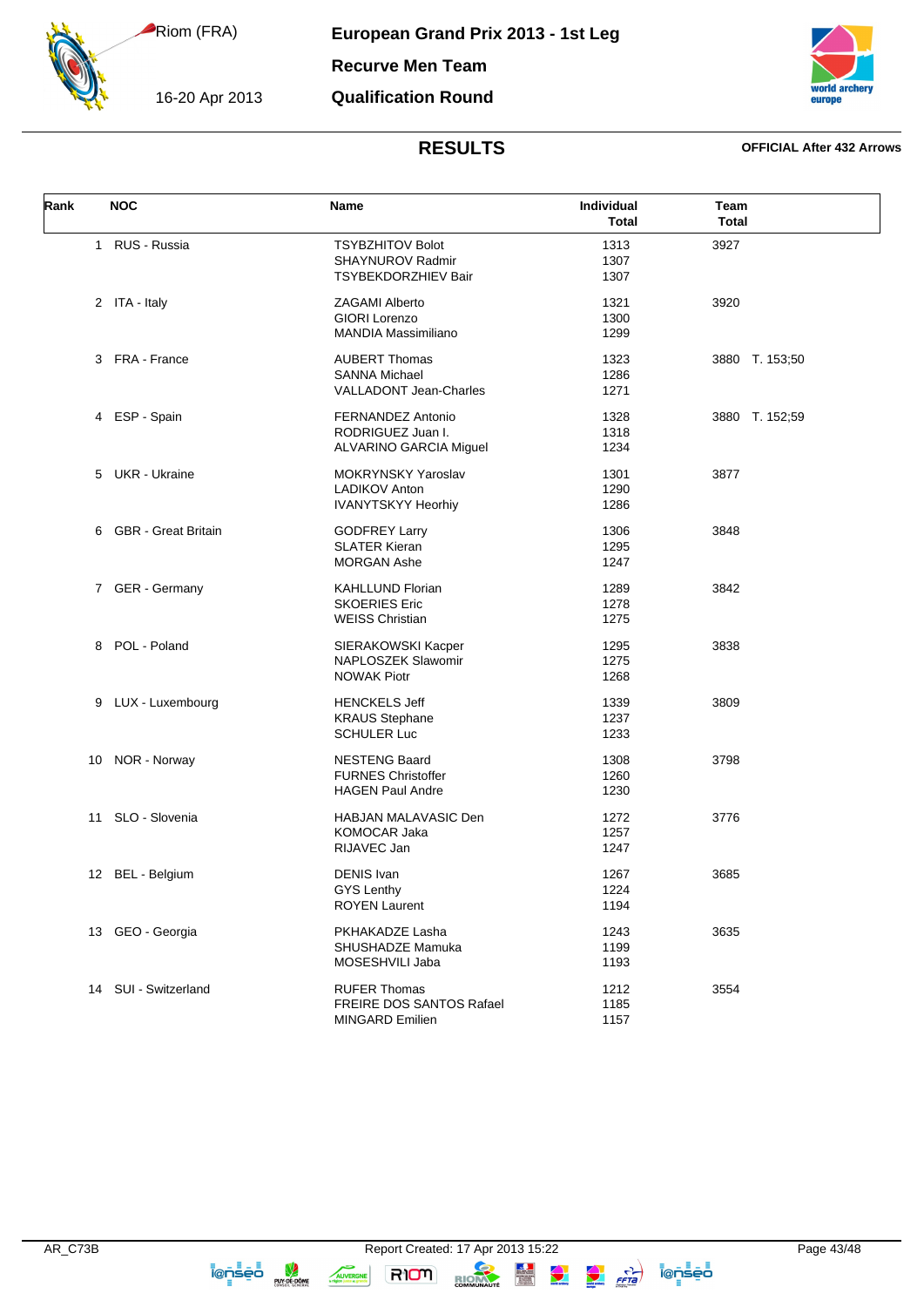16-20 Apr 2013

## **Recurve Men Team**

### **Qualification Round**



## **RESULTS OFFICIAL After 432 Arrows**

| Rank | <b>NOC</b>                 | Name                                                                           | Individual<br><b>Total</b> | Team<br><b>Total</b> |
|------|----------------------------|--------------------------------------------------------------------------------|----------------------------|----------------------|
|      | 1 RUS - Russia             | <b>TSYBZHITOV Bolot</b><br>SHAYNUROV Radmir<br><b>TSYBEKDORZHIEV Bair</b>      | 1313<br>1307<br>1307       | 3927                 |
|      | 2 ITA - Italy              | ZAGAMI Alberto<br><b>GIORI Lorenzo</b><br><b>MANDIA Massimiliano</b>           | 1321<br>1300<br>1299       | 3920                 |
|      | 3 FRA - France             | <b>AUBERT Thomas</b><br><b>SANNA Michael</b><br><b>VALLADONT Jean-Charles</b>  | 1323<br>1286<br>1271       | 3880 T. 153;50       |
|      | 4 ESP - Spain              | FERNANDEZ Antonio<br>RODRIGUEZ Juan I.<br>ALVARINO GARCIA Miguel               | 1328<br>1318<br>1234       | 3880 T. 152;59       |
| 5    | <b>UKR</b> - Ukraine       | <b>MOKRYNSKY Yaroslav</b><br><b>LADIKOV Anton</b><br><b>IVANYTSKYY Heorhiy</b> | 1301<br>1290<br>1286       | 3877                 |
| 6    | <b>GBR</b> - Great Britain | <b>GODFREY Larry</b><br><b>SLATER Kieran</b><br><b>MORGAN Ashe</b>             | 1306<br>1295<br>1247       | 3848                 |
|      | 7 GER - Germany            | <b>KAHLLUND Florian</b><br><b>SKOERIES Eric</b><br><b>WEISS Christian</b>      | 1289<br>1278<br>1275       | 3842                 |
|      | 8 POL - Poland             | SIERAKOWSKI Kacper<br>NAPLOSZEK Slawomir<br><b>NOWAK Piotr</b>                 | 1295<br>1275<br>1268       | 3838                 |
|      | 9 LUX - Luxembourg         | <b>HENCKELS Jeff</b><br><b>KRAUS Stephane</b><br><b>SCHULER Luc</b>            | 1339<br>1237<br>1233       | 3809                 |
|      | 10 NOR - Norway            | <b>NESTENG Baard</b><br><b>FURNES Christoffer</b><br><b>HAGEN Paul Andre</b>   | 1308<br>1260<br>1230       | 3798                 |
|      | 11 SLO - Slovenia          | HABJAN MALAVASIC Den<br>KOMOCAR Jaka<br>RIJAVEC Jan                            | 1272<br>1257<br>1247       | 3776                 |
|      | 12 BEL - Belgium           | <b>DENIS Ivan</b><br><b>GYS Lenthy</b><br><b>ROYEN Laurent</b>                 | 1267<br>1224<br>1194       | 3685                 |
|      | 13 GEO - Georgia           | PKHAKADZE Lasha<br>SHUSHADZE Mamuka<br>MOSESHVILI Jaba                         | 1243<br>1199<br>1193       | 3635                 |
|      | 14 SUI - Switzerland       | <b>RUFER Thomas</b><br>FREIRE DOS SANTOS Rafael<br>MINGARD Emilien             | 1212<br>1185<br>1157       | 3554                 |

RIOM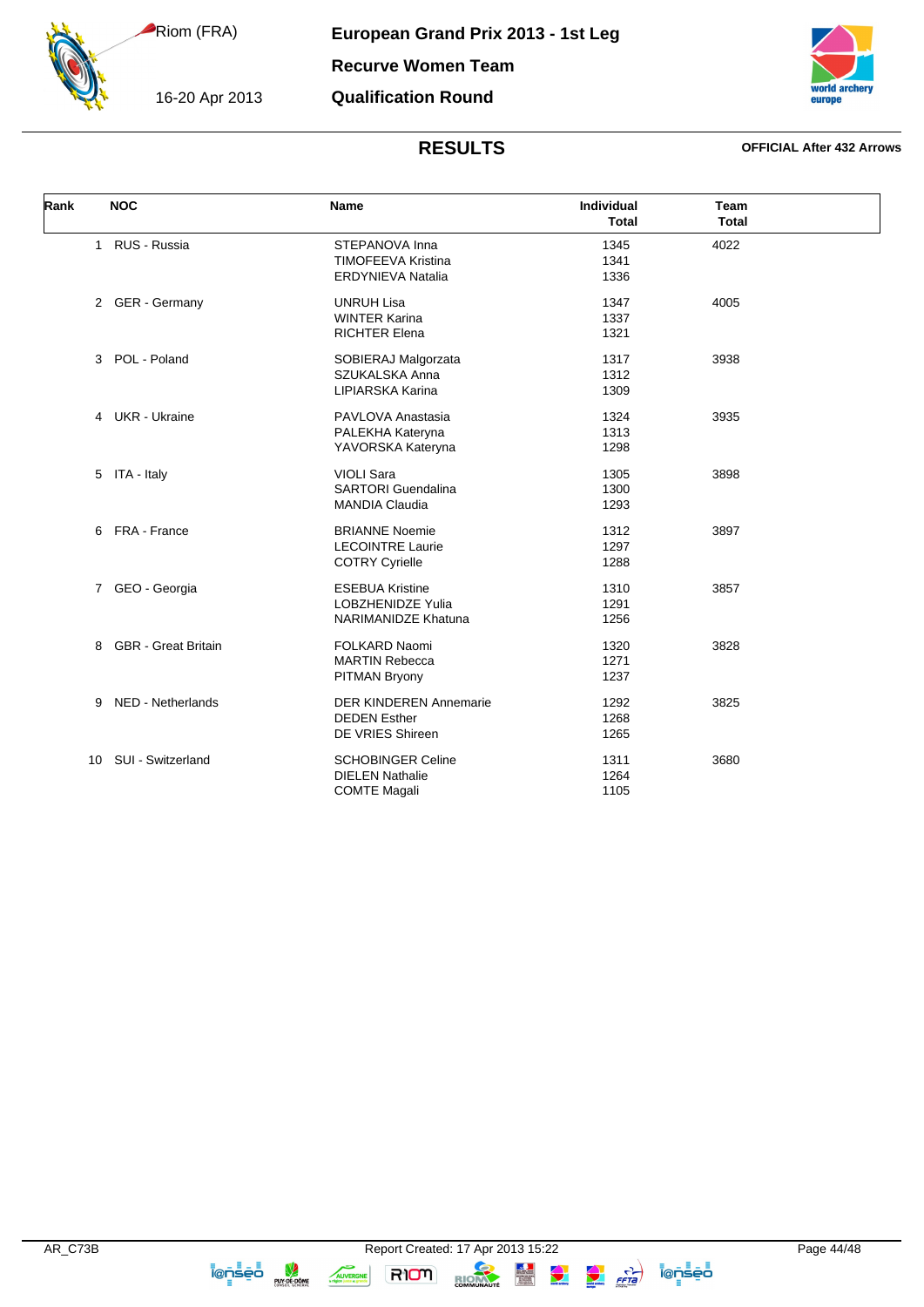**Recurve Women Team**

16-20 Apr 2013 **Qualification Round**



## **RESULTS OFFICIAL After 432 Arrows**

| Rank | <b>NOC</b>                      | <b>Name</b>                   | <b>Individual</b><br><b>Total</b> | Team<br><b>Total</b> |  |
|------|---------------------------------|-------------------------------|-----------------------------------|----------------------|--|
|      | 1 RUS - Russia                  | STEPANOVA Inna                | 1345                              | 4022                 |  |
|      |                                 | <b>TIMOFEEVA Kristina</b>     | 1341                              |                      |  |
|      |                                 | <b>ERDYNIEVA Natalia</b>      | 1336                              |                      |  |
|      | 2 GER - Germany                 | <b>UNRUH Lisa</b>             | 1347                              | 4005                 |  |
|      |                                 | <b>WINTER Karina</b>          | 1337                              |                      |  |
|      |                                 | <b>RICHTER Elena</b>          | 1321                              |                      |  |
|      | 3 POL - Poland                  | SOBIERAJ Malgorzata           | 1317                              | 3938                 |  |
|      |                                 | SZUKALSKA Anna                | 1312                              |                      |  |
|      |                                 | LIPIARSKA Karina              | 1309                              |                      |  |
|      | 4 UKR - Ukraine                 | PAVLOVA Anastasia             | 1324                              | 3935                 |  |
|      |                                 | PALEKHA Kateryna              | 1313                              |                      |  |
|      |                                 | YAVORSKA Kateryna             | 1298                              |                      |  |
|      | 5 ITA - Italy                   | <b>VIOLI Sara</b>             | 1305                              | 3898                 |  |
|      |                                 | <b>SARTORI</b> Guendalina     | 1300                              |                      |  |
|      |                                 | <b>MANDIA Claudia</b>         | 1293                              |                      |  |
|      | 6 FRA - France                  | <b>BRIANNE Noemie</b>         | 1312                              | 3897                 |  |
|      |                                 | <b>LECOINTRE Laurie</b>       | 1297                              |                      |  |
|      |                                 | <b>COTRY Cyrielle</b>         | 1288                              |                      |  |
|      | 7 GEO - Georgia                 | <b>ESEBUA Kristine</b>        | 1310                              | 3857                 |  |
|      |                                 | <b>LOBZHENIDZE Yulia</b>      | 1291                              |                      |  |
|      |                                 | <b>NARIMANIDZE Khatuna</b>    | 1256                              |                      |  |
|      | <b>GBR</b> - Great Britain<br>8 | <b>FOLKARD Naomi</b>          | 1320                              | 3828                 |  |
|      |                                 | <b>MARTIN Rebecca</b>         | 1271                              |                      |  |
|      |                                 | <b>PITMAN Bryony</b>          | 1237                              |                      |  |
|      | NED - Netherlands<br>9          | <b>DER KINDEREN Annemarie</b> | 1292                              | 3825                 |  |
|      |                                 | <b>DEDEN</b> Esther           | 1268                              |                      |  |
|      |                                 | DE VRIES Shireen              | 1265                              |                      |  |
| 10   | SUI - Switzerland               | <b>SCHOBINGER Celine</b>      | 1311                              | 3680                 |  |
|      |                                 | <b>DIELEN Nathalie</b>        | 1264                              |                      |  |
|      |                                 | <b>COMTE Magali</b>           | 1105                              |                      |  |

RIOM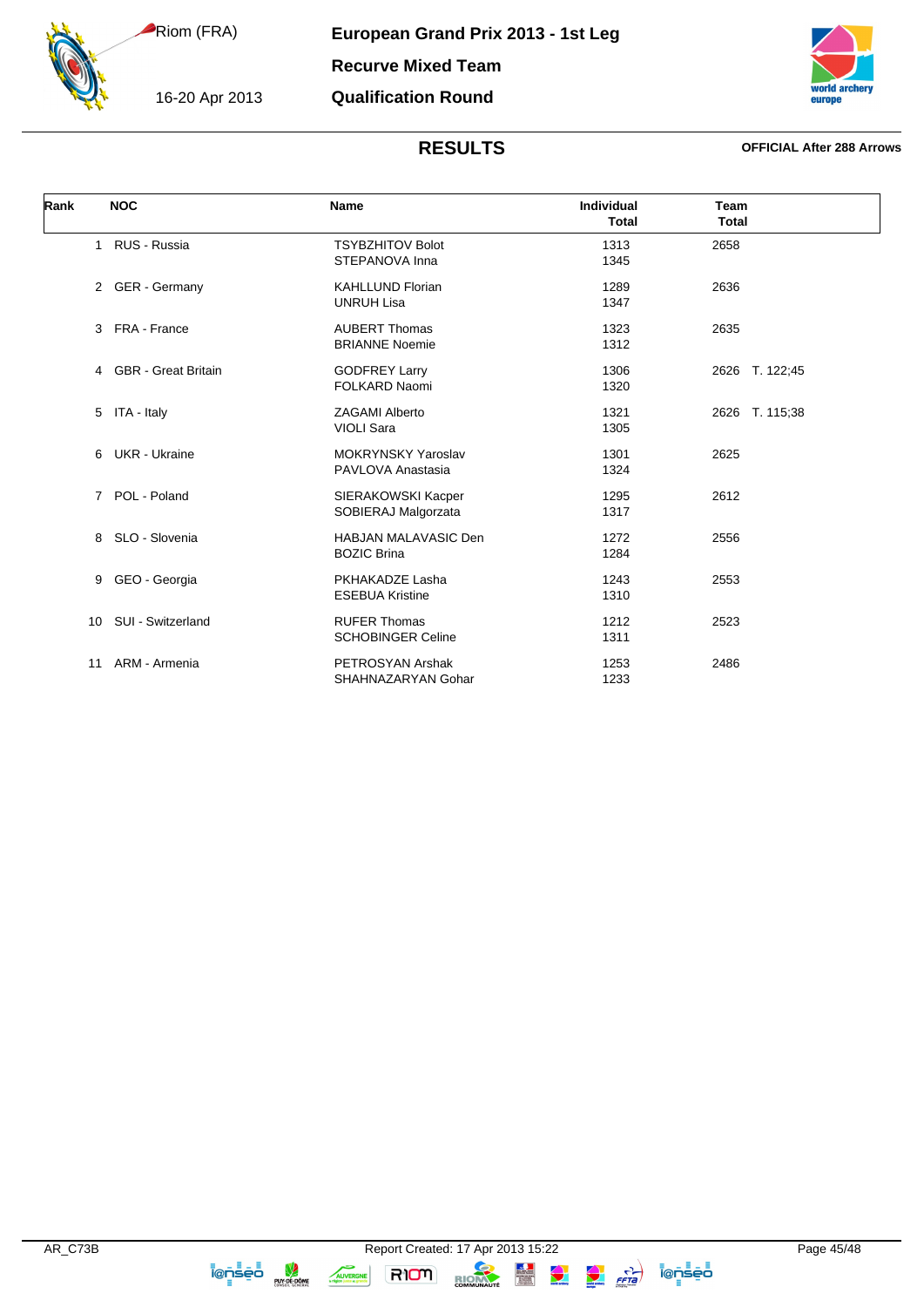16-20 Apr 2013

**European Grand Prix 2013 - 1st Leg**

**Recurve Mixed Team**

### **Qualification Round**



## **RESULTS OFFICIAL After 288 Arrows**

| Rank | <b>NOC</b>            | Name                        | Individual<br><b>Total</b> | <b>Team</b><br><b>Total</b> |
|------|-----------------------|-----------------------------|----------------------------|-----------------------------|
|      | 1 RUS - Russia        | <b>TSYBZHITOV Bolot</b>     | 1313                       | 2658                        |
|      |                       | STEPANOVA Inna              | 1345                       |                             |
|      | 2 GER - Germany       | <b>KAHLLUND Florian</b>     | 1289                       | 2636                        |
|      |                       | <b>UNRUH Lisa</b>           | 1347                       |                             |
|      | 3 FRA - France        | <b>AUBERT Thomas</b>        | 1323                       | 2635                        |
|      |                       | <b>BRIANNE Noemie</b>       | 1312                       |                             |
|      | 4 GBR - Great Britain | <b>GODFREY Larry</b>        | 1306                       | 2626 T. 122;45              |
|      |                       | <b>FOLKARD Naomi</b>        | 1320                       |                             |
|      | 5 ITA - Italy         | <b>ZAGAMI Alberto</b>       | 1321                       | 2626 T. 115;38              |
|      |                       | <b>VIOLI Sara</b>           | 1305                       |                             |
|      | UKR - Ukraine<br>6    | <b>MOKRYNSKY Yaroslav</b>   | 1301                       | 2625                        |
|      |                       | PAVLOVA Anastasia           | 1324                       |                             |
|      | 7 POL - Poland        | SIERAKOWSKI Kacper          | 1295                       | 2612                        |
|      |                       | SOBIERAJ Malgorzata         | 1317                       |                             |
|      | 8 SLO - Slovenia      | <b>HABJAN MALAVASIC Den</b> | 1272                       | 2556                        |
|      |                       | <b>BOZIC Brina</b>          | 1284                       |                             |
|      | GEO - Georgia<br>9    | PKHAKADZE Lasha             | 1243                       | 2553                        |
|      |                       | <b>ESEBUA Kristine</b>      | 1310                       |                             |
| 10   | SUI - Switzerland     | <b>RUFER Thomas</b>         | 1212                       | 2523                        |
|      |                       | <b>SCHOBINGER Celine</b>    | 1311                       |                             |
| 11   | ARM - Armenia         | PETROSYAN Arshak            | 1253                       | 2486                        |
|      |                       | SHAHNAZARYAN Gohar          | 1233                       |                             |

RIOM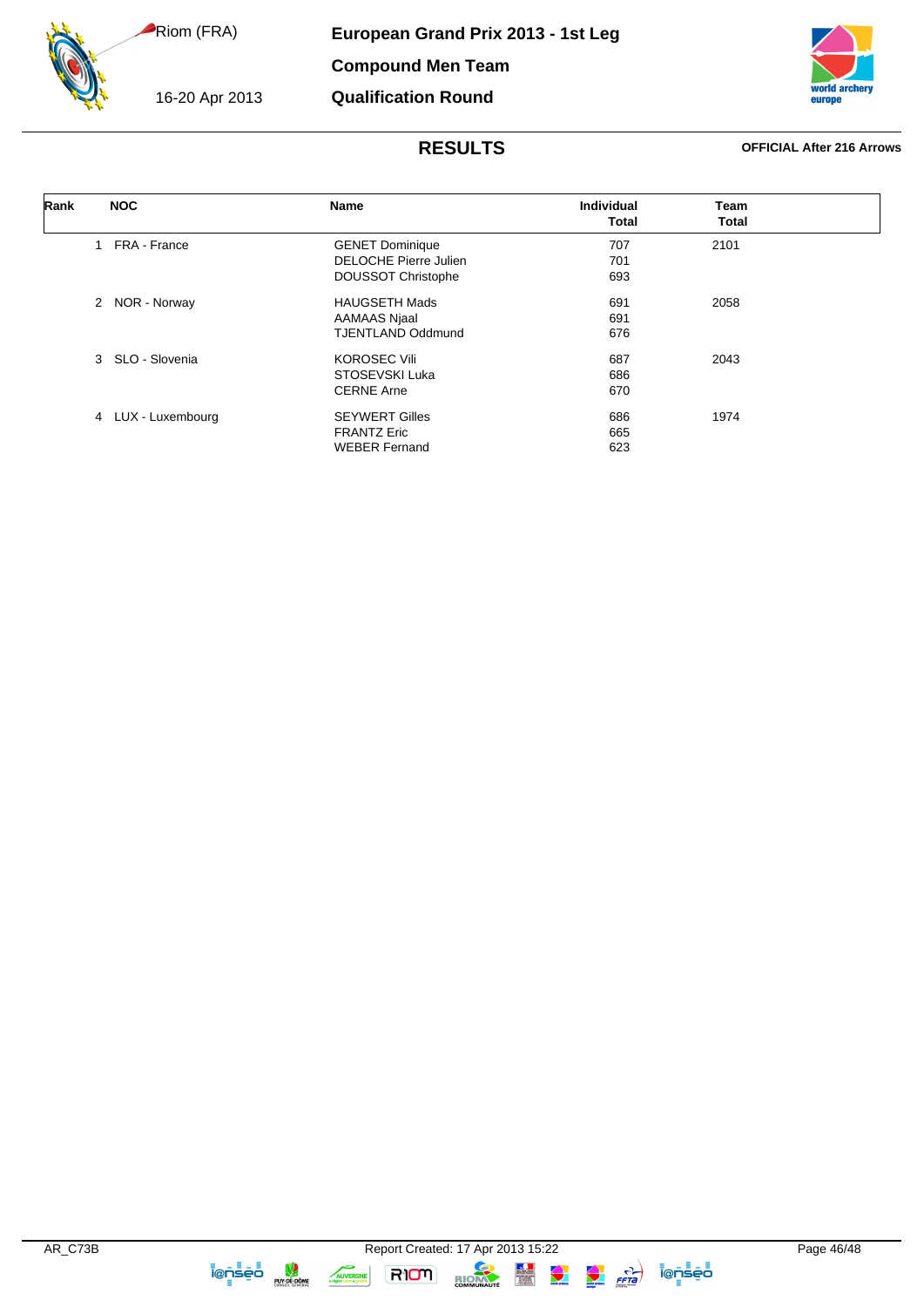**European Grand Prix 2013 - 1st Leg**

**Compound Men Team**

**Qualification Round**

16-20 Apr 2013



## **RESULTS OFFICIAL After 216 Arrows**

| <b>NOC</b><br>Rank | <b>Name</b>               | Individual   | Team         |  |
|--------------------|---------------------------|--------------|--------------|--|
|                    |                           | <b>Total</b> | <b>Total</b> |  |
| 1 FRA - France     | <b>GENET Dominique</b>    | 707          | 2101         |  |
|                    | DELOCHE Pierre Julien     | 701          |              |  |
|                    | <b>DOUSSOT Christophe</b> | 693          |              |  |
| 2 NOR - Norway     | <b>HAUGSETH Mads</b>      | 691          | 2058         |  |
|                    | AAMAAS Njaal              | 691          |              |  |
|                    | <b>TJENTLAND Oddmund</b>  | 676          |              |  |
| 3 SLO - Slovenia   | <b>KOROSEC Vili</b>       | 687          | 2043         |  |
|                    | STOSEVSKI Luka            | 686          |              |  |
|                    | <b>CERNE Arne</b>         | 670          |              |  |
| 4 LUX - Luxembourg | <b>SEYWERT Gilles</b>     | 686          | 1974         |  |
|                    | <b>FRANTZ Eric</b>        | 665          |              |  |
|                    | <b>WEBER Fernand</b>      | 623          |              |  |

RIOM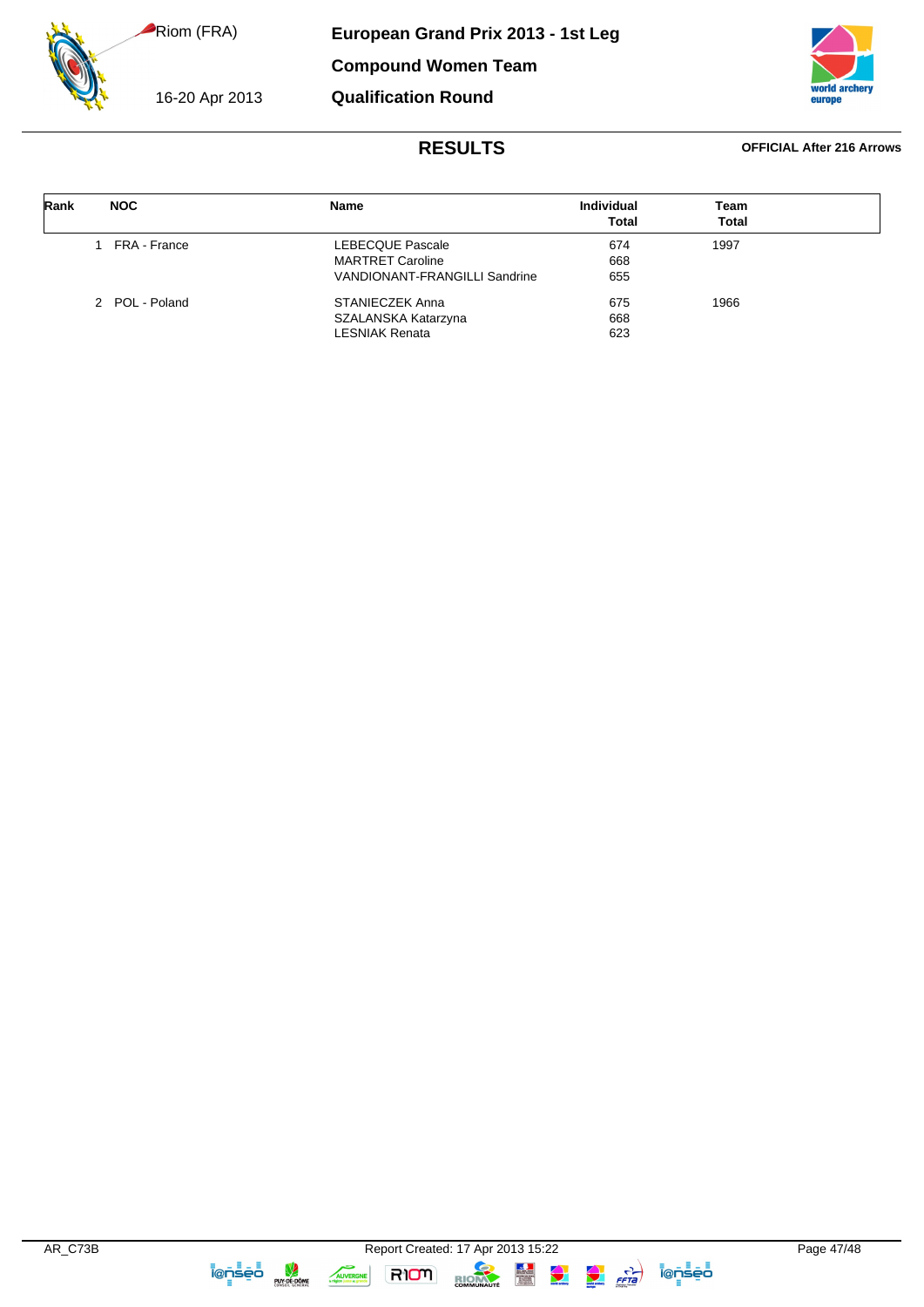16-20 Apr 2013

**European Grand Prix 2013 - 1st Leg Compound Women Team**

**Qualification Round**



## **RESULTS OFFICIAL After 216 Arrows**

| Rank | <b>NOC</b>     | <b>Name</b>                   | Individual<br>Total | Team<br><b>Total</b> |  |
|------|----------------|-------------------------------|---------------------|----------------------|--|
|      | FRA - France   | LEBECQUE Pascale              | 674                 | 1997                 |  |
|      |                | <b>MARTRET Caroline</b>       | 668                 |                      |  |
|      |                | VANDIONANT-FRANGILLI Sandrine | 655                 |                      |  |
|      | 2 POL - Poland | STANIECZEK Anna               | 675                 | 1966                 |  |
|      |                | SZALANSKA Katarzyna           | 668                 |                      |  |
|      |                | <b>LESNIAK Renata</b>         | 623                 |                      |  |



RIOM